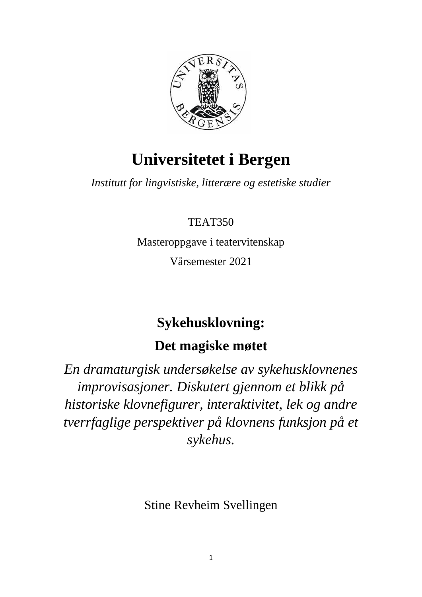

# **Universitetet i Bergen**

*Institutt for lingvistiske, litterære og estetiske studier*

# TEAT350

Masteroppgave i teatervitenskap

Vårsemester 2021

# **Sykehusklovning:**

# **Det magiske møtet**

*En dramaturgisk undersøkelse av sykehusklovnenes improvisasjoner. Diskutert gjennom et blikk på historiske klovnefigurer, interaktivitet, lek og andre tverrfaglige perspektiver på klovnens funksjon på et sykehus.*

Stine Revheim Svellingen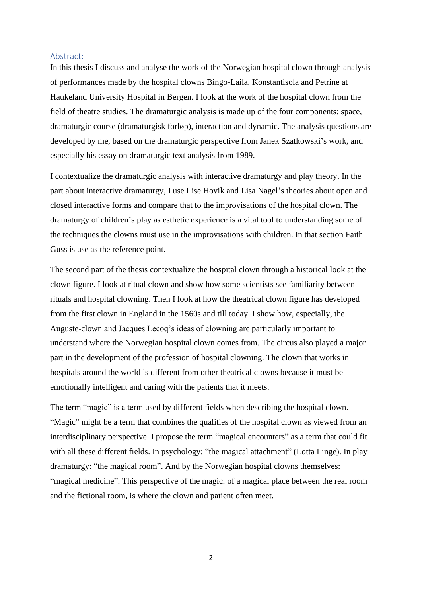## <span id="page-1-0"></span>Abstract:

In this thesis I discuss and analyse the work of the Norwegian hospital clown through analysis of performances made by the hospital clowns Bingo-Laila, Konstantisola and Petrine at Haukeland University Hospital in Bergen. I look at the work of the hospital clown from the field of theatre studies. The dramaturgic analysis is made up of the four components: space, dramaturgic course (dramaturgisk forløp), interaction and dynamic. The analysis questions are developed by me, based on the dramaturgic perspective from Janek Szatkowski's work, and especially his essay on dramaturgic text analysis from 1989.

I contextualize the dramaturgic analysis with interactive dramaturgy and play theory. In the part about interactive dramaturgy, I use Lise Hovik and Lisa Nagel's theories about open and closed interactive forms and compare that to the improvisations of the hospital clown. The dramaturgy of children's play as esthetic experience is a vital tool to understanding some of the techniques the clowns must use in the improvisations with children. In that section Faith Guss is use as the reference point.

The second part of the thesis contextualize the hospital clown through a historical look at the clown figure. I look at ritual clown and show how some scientists see familiarity between rituals and hospital clowning. Then I look at how the theatrical clown figure has developed from the first clown in England in the 1560s and till today. I show how, especially, the Auguste-clown and Jacques Lecoq's ideas of clowning are particularly important to understand where the Norwegian hospital clown comes from. The circus also played a major part in the development of the profession of hospital clowning. The clown that works in hospitals around the world is different from other theatrical clowns because it must be emotionally intelligent and caring with the patients that it meets.

The term "magic" is a term used by different fields when describing the hospital clown. "Magic" might be a term that combines the qualities of the hospital clown as viewed from an interdisciplinary perspective. I propose the term "magical encounters" as a term that could fit with all these different fields. In psychology: "the magical attachment" (Lotta Linge). In play dramaturgy: "the magical room". And by the Norwegian hospital clowns themselves: "magical medicine". This perspective of the magic: of a magical place between the real room and the fictional room, is where the clown and patient often meet.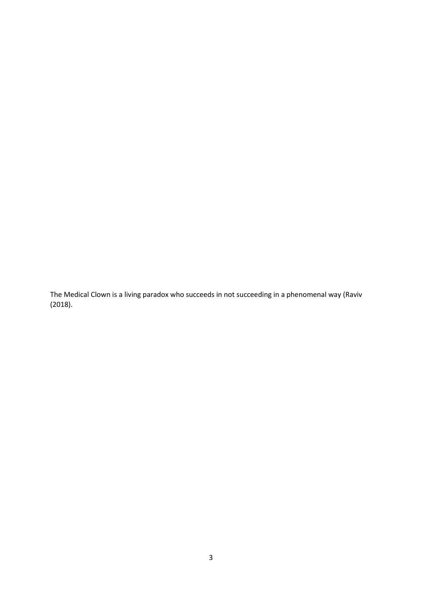The Medical Clown is a living paradox who succeeds in not succeeding in a phenomenal way (Raviv (2018).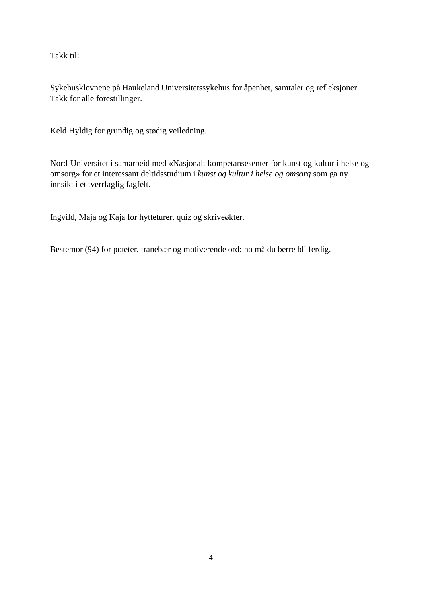Takk til:

Sykehusklovnene på Haukeland Universitetssykehus for åpenhet, samtaler og refleksjoner. Takk for alle forestillinger.

Keld Hyldig for grundig og stødig veiledning.

Nord-Universitet i samarbeid med «Nasjonalt kompetansesenter for kunst og kultur i helse og omsorg» for et interessant deltidsstudium i *kunst og kultur i helse og omsorg* som ga ny innsikt i et tverrfaglig fagfelt.

Ingvild, Maja og Kaja for hytteturer, quiz og skriveøkter.

Bestemor (94) for poteter, tranebær og motiverende ord: no må du berre bli ferdig.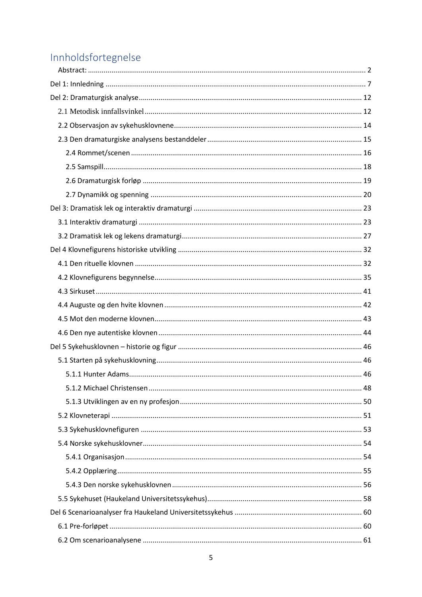# Innholdsfortegnelse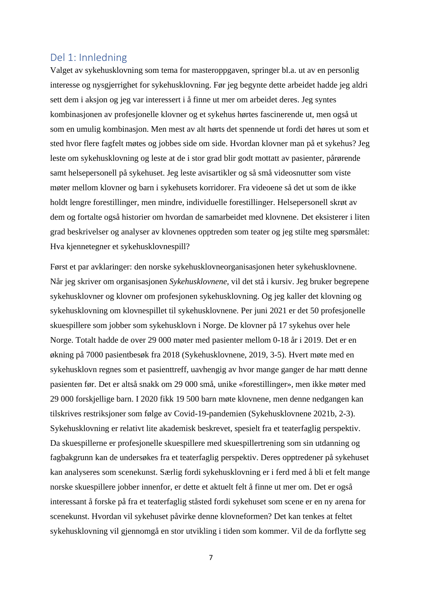# <span id="page-6-0"></span>Del 1: Innledning

Valget av sykehusklovning som tema for masteroppgaven, springer bl.a. ut av en personlig interesse og nysgjerrighet for sykehusklovning. Før jeg begynte dette arbeidet hadde jeg aldri sett dem i aksjon og jeg var interessert i å finne ut mer om arbeidet deres. Jeg syntes kombinasjonen av profesjonelle klovner og et sykehus hørtes fascinerende ut, men også ut som en umulig kombinasjon. Men mest av alt hørts det spennende ut fordi det høres ut som et sted hvor flere fagfelt møtes og jobbes side om side. Hvordan klovner man på et sykehus? Jeg leste om sykehusklovning og leste at de i stor grad blir godt mottatt av pasienter, pårørende samt helsepersonell på sykehuset. Jeg leste avisartikler og så små videosnutter som viste møter mellom klovner og barn i sykehusets korridorer. Fra videoene så det ut som de ikke holdt lengre forestillinger, men mindre, individuelle forestillinger. Helsepersonell skrøt av dem og fortalte også historier om hvordan de samarbeidet med klovnene. Det eksisterer i liten grad beskrivelser og analyser av klovnenes opptreden som teater og jeg stilte meg spørsmålet: Hva kjennetegner et sykehusklovnespill?

Først et par avklaringer: den norske sykehusklovneorganisasjonen heter sykehusklovnene. Når jeg skriver om organisasjonen *Sykehusklovnene,* vil det stå i kursiv. Jeg bruker begrepene sykehusklovner og klovner om profesjonen sykehusklovning. Og jeg kaller det klovning og sykehusklovning om klovnespillet til sykehusklovnene. Per juni 2021 er det 50 profesjonelle skuespillere som jobber som sykehusklovn i Norge. De klovner på 17 sykehus over hele Norge. Totalt hadde de over 29 000 møter med pasienter mellom 0-18 år i 2019. Det er en økning på 7000 pasientbesøk fra 2018 (Sykehusklovnene, 2019, 3-5). Hvert møte med en sykehusklovn regnes som et pasienttreff, uavhengig av hvor mange ganger de har møtt denne pasienten før. Det er altså snakk om 29 000 små, unike «forestillinger», men ikke møter med 29 000 forskjellige barn. I 2020 fikk 19 500 barn møte klovnene, men denne nedgangen kan tilskrives restriksjoner som følge av Covid-19-pandemien (Sykehusklovnene 2021b, 2-3). Sykehusklovning er relativt lite akademisk beskrevet, spesielt fra et teaterfaglig perspektiv. Da skuespillerne er profesjonelle skuespillere med skuespillertrening som sin utdanning og fagbakgrunn kan de undersøkes fra et teaterfaglig perspektiv. Deres opptredener på sykehuset kan analyseres som scenekunst. Særlig fordi sykehusklovning er i ferd med å bli et felt mange norske skuespillere jobber innenfor, er dette et aktuelt felt å finne ut mer om. Det er også interessant å forske på fra et teaterfaglig ståsted fordi sykehuset som scene er en ny arena for scenekunst. Hvordan vil sykehuset påvirke denne klovneformen? Det kan tenkes at feltet sykehusklovning vil gjennomgå en stor utvikling i tiden som kommer. Vil de da forflytte seg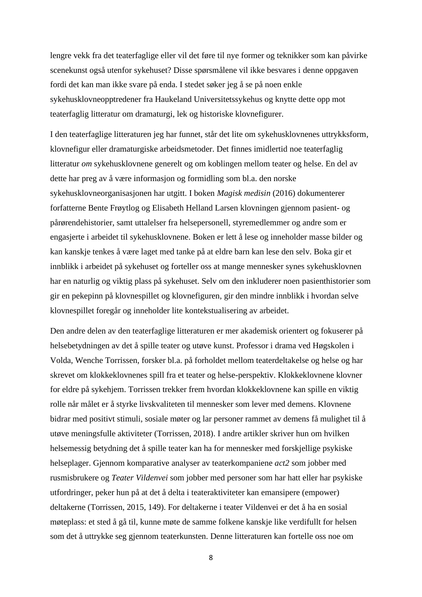lengre vekk fra det teaterfaglige eller vil det føre til nye former og teknikker som kan påvirke scenekunst også utenfor sykehuset? Disse spørsmålene vil ikke besvares i denne oppgaven fordi det kan man ikke svare på enda. I stedet søker jeg å se på noen enkle sykehusklovneopptredener fra Haukeland Universitetssykehus og knytte dette opp mot teaterfaglig litteratur om dramaturgi, lek og historiske klovnefigurer.

I den teaterfaglige litteraturen jeg har funnet, står det lite om sykehusklovnenes uttrykksform, klovnefigur eller dramaturgiske arbeidsmetoder. Det finnes imidlertid noe teaterfaglig litteratur *om* sykehusklovnene generelt og om koblingen mellom teater og helse. En del av dette har preg av å være informasjon og formidling som bl.a. den norske sykehusklovneorganisasjonen har utgitt. I boken *Magisk medisin* (2016) dokumenterer forfatterne Bente Frøytlog og Elisabeth Helland Larsen klovningen gjennom pasient- og pårørendehistorier, samt uttalelser fra helsepersonell, styremedlemmer og andre som er engasjerte i arbeidet til sykehusklovnene. Boken er lett å lese og inneholder masse bilder og kan kanskje tenkes å være laget med tanke på at eldre barn kan lese den selv. Boka gir et innblikk i arbeidet på sykehuset og forteller oss at mange mennesker synes sykehusklovnen har en naturlig og viktig plass på sykehuset. Selv om den inkluderer noen pasienthistorier som gir en pekepinn på klovnespillet og klovnefiguren, gir den mindre innblikk i hvordan selve klovnespillet foregår og inneholder lite kontekstualisering av arbeidet.

Den andre delen av den teaterfaglige litteraturen er mer akademisk orientert og fokuserer på helsebetydningen av det å spille teater og utøve kunst. Professor i drama ved Høgskolen i Volda, Wenche Torrissen, forsker bl.a. på forholdet mellom teaterdeltakelse og helse og har skrevet om klokkeklovnenes spill fra et teater og helse-perspektiv. Klokkeklovnene klovner for eldre på sykehjem. Torrissen trekker frem hvordan klokkeklovnene kan spille en viktig rolle når målet er å styrke livskvaliteten til mennesker som lever med demens. Klovnene bidrar med positivt stimuli, sosiale møter og lar personer rammet av demens få mulighet til å utøve meningsfulle aktiviteter (Torrissen, 2018). I andre artikler skriver hun om hvilken helsemessig betydning det å spille teater kan ha for mennesker med forskjellige psykiske helseplager. Gjennom komparative analyser av teaterkompaniene *act2* som jobber med rusmisbrukere og *Teater Vildenvei* som jobber med personer som har hatt eller har psykiske utfordringer, peker hun på at det å delta i teateraktiviteter kan emansipere (empower) deltakerne (Torrissen, 2015, 149). For deltakerne i teater Vildenvei er det å ha en sosial møteplass: et sted å gå til, kunne møte de samme folkene kanskje like verdifullt for helsen som det å uttrykke seg gjennom teaterkunsten. Denne litteraturen kan fortelle oss noe om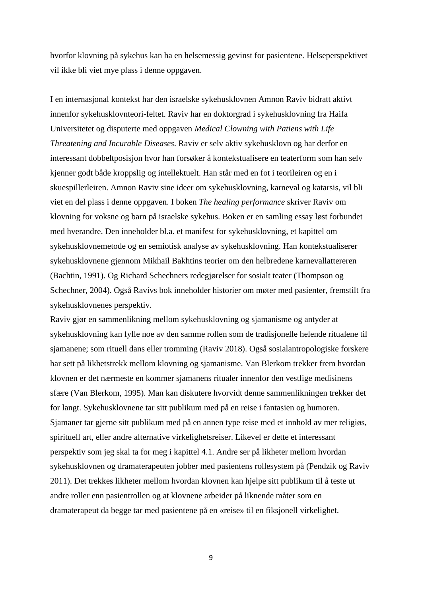hvorfor klovning på sykehus kan ha en helsemessig gevinst for pasientene. Helseperspektivet vil ikke bli viet mye plass i denne oppgaven.

I en internasjonal kontekst har den israelske sykehusklovnen Amnon Raviv bidratt aktivt innenfor sykehusklovnteori-feltet. Raviv har en doktorgrad i sykehusklovning fra Haifa Universitetet og disputerte med oppgaven *Medical Clowning with Patiens with Life Threatening and Incurable Diseases*. Raviv er selv aktiv sykehusklovn og har derfor en interessant dobbeltposisjon hvor han forsøker å kontekstualisere en teaterform som han selv kjenner godt både kroppslig og intellektuelt. Han står med en fot i teorileiren og en i skuespillerleiren. Amnon Raviv sine ideer om sykehusklovning, karneval og katarsis, vil bli viet en del plass i denne oppgaven. I boken *The healing performance* skriver Raviv om klovning for voksne og barn på israelske sykehus. Boken er en samling essay løst forbundet med hverandre. Den inneholder bl.a. et manifest for sykehusklovning, et kapittel om sykehusklovnemetode og en semiotisk analyse av sykehusklovning. Han kontekstualiserer sykehusklovnene gjennom Mikhail Bakhtins teorier om den helbredene karnevallattereren (Bachtin, 1991). Og Richard Schechners redegjørelser for sosialt teater (Thompson og Schechner, 2004). Også Ravivs bok inneholder historier om møter med pasienter, fremstilt fra sykehusklovnenes perspektiv.

Raviv gjør en sammenlikning mellom sykehusklovning og sjamanisme og antyder at sykehusklovning kan fylle noe av den samme rollen som de tradisjonelle helende ritualene til sjamanene; som rituell dans eller tromming (Raviv 2018). Også sosialantropologiske forskere har sett på likhetstrekk mellom klovning og sjamanisme. Van Blerkom trekker frem hvordan klovnen er det nærmeste en kommer sjamanens ritualer innenfor den vestlige medisinens sfære (Van Blerkom, 1995). Man kan diskutere hvorvidt denne sammenlikningen trekker det for langt. Sykehusklovnene tar sitt publikum med på en reise i fantasien og humoren. Sjamaner tar gjerne sitt publikum med på en annen type reise med et innhold av mer religiøs, spirituell art, eller andre alternative virkelighetsreiser. Likevel er dette et interessant perspektiv som jeg skal ta for meg i kapittel 4.1. Andre ser på likheter mellom hvordan sykehusklovnen og dramaterapeuten jobber med pasientens rollesystem på (Pendzik og Raviv 2011). Det trekkes likheter mellom hvordan klovnen kan hjelpe sitt publikum til å teste ut andre roller enn pasientrollen og at klovnene arbeider på liknende måter som en dramaterapeut da begge tar med pasientene på en «reise» til en fiksjonell virkelighet.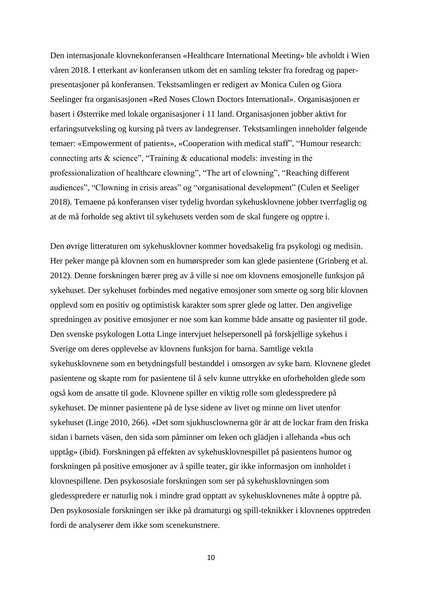Den internasjonale klovnekonferansen «Healthcare International Meeting» ble avholdt i Wien våren 2018. I etterkant av konferansen utkom det en samling tekster fra foredrag og paperpresentasjoner på konferansen. Tekstsamlingen er redigert av Monica Culen og Giora Seelinger fra organisasjonen «Red Noses Clown Doctors International». Organisasjonen er basert i Østerrike med lokale organisasjoner i 11 land. Organisasjonen jobber aktivt for erfaringsutveksling og kursing på tvers av landegrenser. Tekstsamlingen inneholder følgende temaer: «Empowerment of patients», «Cooperation with medical staff", "Humour research: connecting arts & science", "Training & educational models: investing in the professionalization of healthcare clowning", "The art of clowning", "Reaching different audiences", "Clowning in crisis areas" og "organisational development" (Culen et Seeliger 2018). Temaene på konferansen viser tydelig hvordan sykehusklovnene jobber tverrfaglig og at de må forholde seg aktivt til sykehusets verden som de skal fungere og opptre i.

Den øvrige litteraturen om sykehusklovner kommer hovedsakelig fra psykologi og medisin. Her peker mange på klovnen som en humørspreder som kan glede pasientene (Grinberg et al. 2012). Denne forskningen bærer preg av å ville si noe om klovnens emosjonelle funksjon på sykehuset. Der sykehuset forbindes med negative emosjoner som smerte og sorg blir klovnen opplevd som en positiv og optimistisk karakter som sprer glede og latter. Den angivelige spredningen av positive emosjoner er noe som kan komme både ansatte og pasienter til gode. Den svenske psykologen Lotta Linge intervjuet helsepersonell på forskjellige sykehus i Sverige om deres opplevelse av klovnens funksjon for barna. Samtlige vektla sykehusklovnene som en betydningsfull bestanddel i omsorgen av syke barn. Klovnene gledet pasientene og skapte rom for pasientene til å selv kunne uttrykke en uforbeholden glede som også kom de ansatte til gode. Klovnene spiller en viktig rolle som gledesspredere på sykehuset. De minner pasientene på de lyse sidene av livet og minne om livet utenfor sykehuset (Linge 2010, 266). «Det som sjukhusclownerna gör är att de lockar fram den friska sidan i barnets väsen, den sida som påminner om leken och glädjen i allehanda «bus och upptåg» (ibid). Forskningen på effekten av sykehusklovnespillet på pasientens humor og forskningen på positive emosjoner av å spille teater, gir ikke informasjon om innholdet i klovnespillene. Den psykososiale forskningen som ser på sykehusklovningen som gledesspredere er naturlig nok i mindre grad opptatt av sykehusklovnenes måte å opptre på. Den psykososiale forskningen ser ikke på dramaturgi og spill-teknikker i klovnenes opptreden fordi de analyserer dem ikke som scenekunstnere.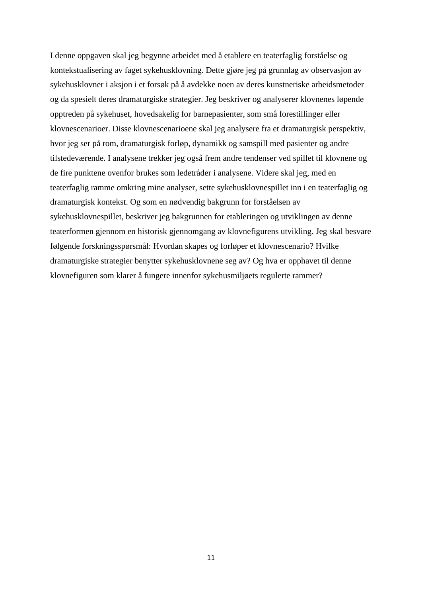I denne oppgaven skal jeg begynne arbeidet med å etablere en teaterfaglig forståelse og kontekstualisering av faget sykehusklovning. Dette gjøre jeg på grunnlag av observasjon av sykehusklovner i aksjon i et forsøk på å avdekke noen av deres kunstneriske arbeidsmetoder og da spesielt deres dramaturgiske strategier. Jeg beskriver og analyserer klovnenes løpende opptreden på sykehuset, hovedsakelig for barnepasienter, som små forestillinger eller klovnescenarioer. Disse klovnescenarioene skal jeg analysere fra et dramaturgisk perspektiv, hvor jeg ser på rom, dramaturgisk forløp, dynamikk og samspill med pasienter og andre tilstedeværende. I analysene trekker jeg også frem andre tendenser ved spillet til klovnene og de fire punktene ovenfor brukes som ledetråder i analysene. Videre skal jeg, med en teaterfaglig ramme omkring mine analyser, sette sykehusklovnespillet inn i en teaterfaglig og dramaturgisk kontekst. Og som en nødvendig bakgrunn for forståelsen av sykehusklovnespillet, beskriver jeg bakgrunnen for etableringen og utviklingen av denne teaterformen gjennom en historisk gjennomgang av klovnefigurens utvikling. Jeg skal besvare følgende forskningsspørsmål: Hvordan skapes og forløper et klovnescenario? Hvilke dramaturgiske strategier benytter sykehusklovnene seg av? Og hva er opphavet til denne klovnefiguren som klarer å fungere innenfor sykehusmiljøets regulerte rammer?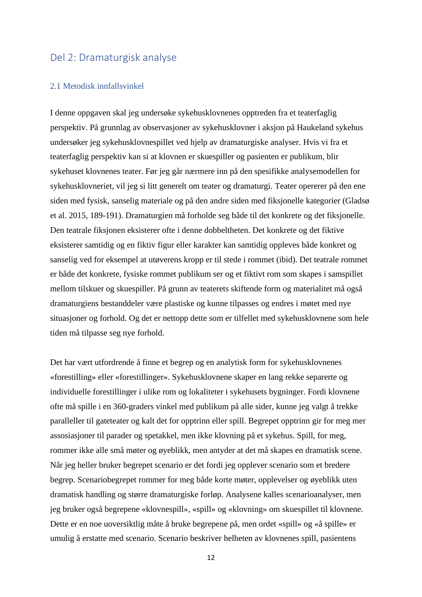# <span id="page-11-0"></span>Del 2: Dramaturgisk analyse

#### <span id="page-11-1"></span>2.1 Metodisk innfallsvinkel

I denne oppgaven skal jeg undersøke sykehusklovnenes opptreden fra et teaterfaglig perspektiv. På grunnlag av observasjoner av sykehusklovner i aksjon på Haukeland sykehus undersøker jeg sykehusklovnespillet ved hjelp av dramaturgiske analyser. Hvis vi fra et teaterfaglig perspektiv kan si at klovnen er skuespiller og pasienten er publikum, blir sykehuset klovnenes teater. Før jeg går nærmere inn på den spesifikke analysemodellen for sykehusklovneriet, vil jeg si litt generelt om teater og dramaturgi. Teater opererer på den ene siden med fysisk, sanselig materiale og på den andre siden med fiksjonelle kategorier (Gladsø et al. 2015, 189-191). Dramaturgien må forholde seg både til det konkrete og det fiksjonelle. Den teatrale fiksjonen eksisterer ofte i denne dobbeltheten. Det konkrete og det fiktive eksisterer samtidig og en fiktiv figur eller karakter kan samtidig oppleves både konkret og sanselig ved for eksempel at utøverens kropp er til stede i rommet (ibid). Det teatrale rommet er både det konkrete, fysiske rommet publikum ser og et fiktivt rom som skapes i samspillet mellom tilskuer og skuespiller. På grunn av teaterets skiftende form og materialitet må også dramaturgiens bestanddeler være plastiske og kunne tilpasses og endres i møtet med nye situasjoner og forhold. Og det er nettopp dette som er tilfellet med sykehusklovnene som hele tiden må tilpasse seg nye forhold.

Det har vært utfordrende å finne et begrep og en analytisk form for sykehusklovnenes «forestilling» eller «forestillinger». Sykehusklovnene skaper en lang rekke separerte og individuelle forestillinger i ulike rom og lokaliteter i sykehusets bygninger. Fordi klovnene ofte må spille i en 360-graders vinkel med publikum på alle sider, kunne jeg valgt å trekke paralleller til gateteater og kalt det for opptrinn eller spill. Begrepet opptrinn gir for meg mer assosiasjoner til parader og spetakkel, men ikke klovning på et sykehus. Spill, for meg, rommer ikke alle små møter og øyeblikk, men antyder at det må skapes en dramatisk scene. Når jeg heller bruker begrepet scenario er det fordi jeg opplever scenario som et bredere begrep. Scenariobegrepet rommer for meg både korte møter, opplevelser og øyeblikk uten dramatisk handling og større dramaturgiske forløp. Analysene kalles scenarioanalyser, men jeg bruker også begrepene «klovnespill», «spill» og «klovning» om skuespillet til klovnene. Dette er en noe uoversiktlig måte å bruke begrepene på, men ordet «spill» og «å spille» er umulig å erstatte med scenario. Scenario beskriver helheten av klovnenes spill, pasientens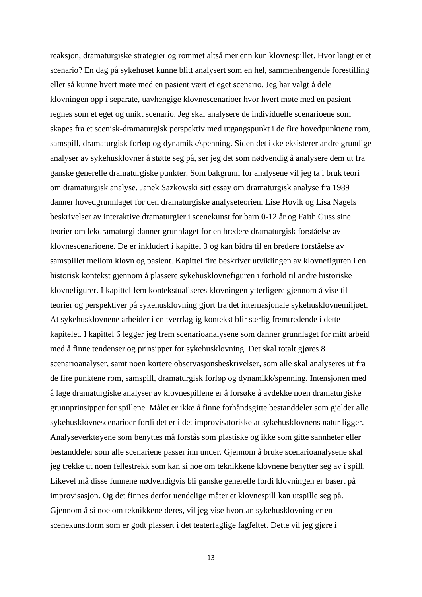reaksjon, dramaturgiske strategier og rommet altså mer enn kun klovnespillet. Hvor langt er et scenario? En dag på sykehuset kunne blitt analysert som en hel, sammenhengende forestilling eller så kunne hvert møte med en pasient vært et eget scenario. Jeg har valgt å dele klovningen opp i separate, uavhengige klovnescenarioer hvor hvert møte med en pasient regnes som et eget og unikt scenario. Jeg skal analysere de individuelle scenarioene som skapes fra et scenisk-dramaturgisk perspektiv med utgangspunkt i de fire hovedpunktene rom, samspill, dramaturgisk forløp og dynamikk/spenning. Siden det ikke eksisterer andre grundige analyser av sykehusklovner å støtte seg på, ser jeg det som nødvendig å analysere dem ut fra ganske generelle dramaturgiske punkter. Som bakgrunn for analysene vil jeg ta i bruk teori om dramaturgisk analyse. Janek Sazkowski sitt essay om dramaturgisk analyse fra 1989 danner hovedgrunnlaget for den dramaturgiske analyseteorien. Lise Hovik og Lisa Nagels beskrivelser av interaktive dramaturgier i scenekunst for barn 0-12 år og Faith Guss sine teorier om lekdramaturgi danner grunnlaget for en bredere dramaturgisk forståelse av klovnescenarioene. De er inkludert i kapittel 3 og kan bidra til en bredere forståelse av samspillet mellom klovn og pasient. Kapittel fire beskriver utviklingen av klovnefiguren i en historisk kontekst gjennom å plassere sykehusklovnefiguren i forhold til andre historiske klovnefigurer. I kapittel fem kontekstualiseres klovningen ytterligere gjennom å vise til teorier og perspektiver på sykehusklovning gjort fra det internasjonale sykehusklovnemiljøet. At sykehusklovnene arbeider i en tverrfaglig kontekst blir særlig fremtredende i dette kapitelet. I kapittel 6 legger jeg frem scenarioanalysene som danner grunnlaget for mitt arbeid med å finne tendenser og prinsipper for sykehusklovning. Det skal totalt gjøres 8 scenarioanalyser, samt noen kortere observasjonsbeskrivelser, som alle skal analyseres ut fra de fire punktene rom, samspill, dramaturgisk forløp og dynamikk/spenning. Intensjonen med å lage dramaturgiske analyser av klovnespillene er å forsøke å avdekke noen dramaturgiske grunnprinsipper for spillene. Målet er ikke å finne forhåndsgitte bestanddeler som gjelder alle sykehusklovnescenarioer fordi det er i det improvisatoriske at sykehusklovnens natur ligger. Analyseverktøyene som benyttes må forstås som plastiske og ikke som gitte sannheter eller bestanddeler som alle scenariene passer inn under. Gjennom å bruke scenarioanalysene skal jeg trekke ut noen fellestrekk som kan si noe om teknikkene klovnene benytter seg av i spill. Likevel må disse funnene nødvendigvis bli ganske generelle fordi klovningen er basert på improvisasjon. Og det finnes derfor uendelige måter et klovnespill kan utspille seg på. Gjennom å si noe om teknikkene deres, vil jeg vise hvordan sykehusklovning er en scenekunstform som er godt plassert i det teaterfaglige fagfeltet. Dette vil jeg gjøre i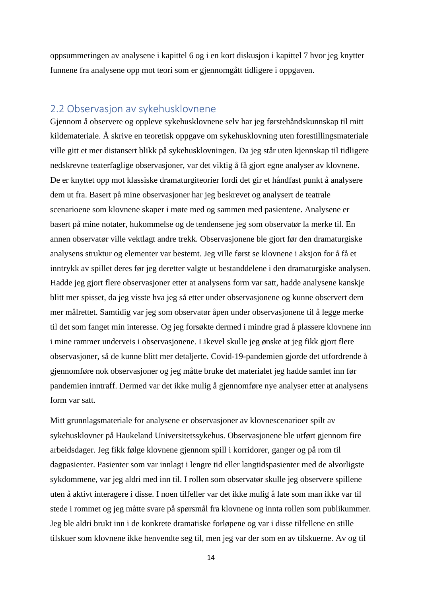oppsummeringen av analysene i kapittel 6 og i en kort diskusjon i kapittel 7 hvor jeg knytter funnene fra analysene opp mot teori som er gjennomgått tidligere i oppgaven.

# <span id="page-13-0"></span>2.2 Observasjon av sykehusklovnene

Gjennom å observere og oppleve sykehusklovnene selv har jeg førstehåndskunnskap til mitt kildemateriale. Å skrive en teoretisk oppgave om sykehusklovning uten forestillingsmateriale ville gitt et mer distansert blikk på sykehusklovningen. Da jeg står uten kjennskap til tidligere nedskrevne teaterfaglige observasjoner, var det viktig å få gjort egne analyser av klovnene. De er knyttet opp mot klassiske dramaturgiteorier fordi det gir et håndfast punkt å analysere dem ut fra. Basert på mine observasjoner har jeg beskrevet og analysert de teatrale scenarioene som klovnene skaper i møte med og sammen med pasientene. Analysene er basert på mine notater, hukommelse og de tendensene jeg som observatør la merke til. En annen observatør ville vektlagt andre trekk. Observasjonene ble gjort før den dramaturgiske analysens struktur og elementer var bestemt. Jeg ville først se klovnene i aksjon for å få et inntrykk av spillet deres før jeg deretter valgte ut bestanddelene i den dramaturgiske analysen. Hadde jeg gjort flere observasjoner etter at analysens form var satt, hadde analysene kanskje blitt mer spisset, da jeg visste hva jeg så etter under observasjonene og kunne observert dem mer målrettet. Samtidig var jeg som observatør åpen under observasjonene til å legge merke til det som fanget min interesse. Og jeg forsøkte dermed i mindre grad å plassere klovnene inn i mine rammer underveis i observasjonene. Likevel skulle jeg ønske at jeg fikk gjort flere observasjoner, så de kunne blitt mer detaljerte. Covid-19-pandemien gjorde det utfordrende å gjennomføre nok observasjoner og jeg måtte bruke det materialet jeg hadde samlet inn før pandemien inntraff. Dermed var det ikke mulig å gjennomføre nye analyser etter at analysens form var satt.

Mitt grunnlagsmateriale for analysene er observasjoner av klovnescenarioer spilt av sykehusklovner på Haukeland Universitetssykehus. Observasjonene ble utført gjennom fire arbeidsdager. Jeg fikk følge klovnene gjennom spill i korridorer, ganger og på rom til dagpasienter. Pasienter som var innlagt i lengre tid eller langtidspasienter med de alvorligste sykdommene, var jeg aldri med inn til. I rollen som observatør skulle jeg observere spillene uten å aktivt interagere i disse. I noen tilfeller var det ikke mulig å late som man ikke var til stede i rommet og jeg måtte svare på spørsmål fra klovnene og innta rollen som publikummer. Jeg ble aldri brukt inn i de konkrete dramatiske forløpene og var i disse tilfellene en stille tilskuer som klovnene ikke henvendte seg til, men jeg var der som en av tilskuerne. Av og til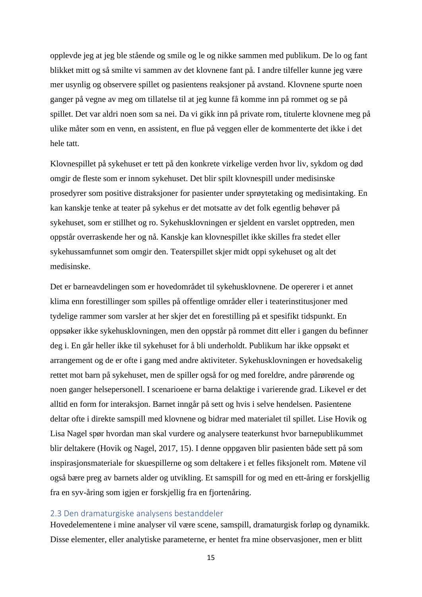opplevde jeg at jeg ble stående og smile og le og nikke sammen med publikum. De lo og fant blikket mitt og så smilte vi sammen av det klovnene fant på. I andre tilfeller kunne jeg være mer usynlig og observere spillet og pasientens reaksjoner på avstand. Klovnene spurte noen ganger på vegne av meg om tillatelse til at jeg kunne få komme inn på rommet og se på spillet. Det var aldri noen som sa nei. Da vi gikk inn på private rom, titulerte klovnene meg på ulike måter som en venn, en assistent, en flue på veggen eller de kommenterte det ikke i det hele tatt.

Klovnespillet på sykehuset er tett på den konkrete virkelige verden hvor liv, sykdom og død omgir de fleste som er innom sykehuset. Det blir spilt klovnespill under medisinske prosedyrer som positive distraksjoner for pasienter under sprøytetaking og medisintaking. En kan kanskje tenke at teater på sykehus er det motsatte av det folk egentlig behøver på sykehuset, som er stillhet og ro. Sykehusklovningen er sjeldent en varslet opptreden, men oppstår overraskende her og nå. Kanskje kan klovnespillet ikke skilles fra stedet eller sykehussamfunnet som omgir den. Teaterspillet skjer midt oppi sykehuset og alt det medisinske.

Det er barneavdelingen som er hovedområdet til sykehusklovnene. De opererer i et annet klima enn forestillinger som spilles på offentlige områder eller i teaterinstitusjoner med tydelige rammer som varsler at her skjer det en forestilling på et spesifikt tidspunkt. En oppsøker ikke sykehusklovningen, men den oppstår på rommet ditt eller i gangen du befinner deg i. En går heller ikke til sykehuset for å bli underholdt. Publikum har ikke oppsøkt et arrangement og de er ofte i gang med andre aktiviteter. Sykehusklovningen er hovedsakelig rettet mot barn på sykehuset, men de spiller også for og med foreldre, andre pårørende og noen ganger helsepersonell. I scenarioene er barna delaktige i varierende grad. Likevel er det alltid en form for interaksjon. Barnet inngår på sett og hvis i selve hendelsen. Pasientene deltar ofte i direkte samspill med klovnene og bidrar med materialet til spillet. Lise Hovik og Lisa Nagel spør hvordan man skal vurdere og analysere teaterkunst hvor barnepublikummet blir deltakere (Hovik og Nagel, 2017, 15). I denne oppgaven blir pasienten både sett på som inspirasjonsmateriale for skuespillerne og som deltakere i et felles fiksjonelt rom. Møtene vil også bære preg av barnets alder og utvikling. Et samspill for og med en ett-åring er forskjellig fra en syv-åring som igjen er forskjellig fra en fjortenåring.

### <span id="page-14-0"></span>2.3 Den dramaturgiske analysens bestanddeler

Hovedelementene i mine analyser vil være scene, samspill, dramaturgisk forløp og dynamikk. Disse elementer, eller analytiske parameterne, er hentet fra mine observasjoner, men er blitt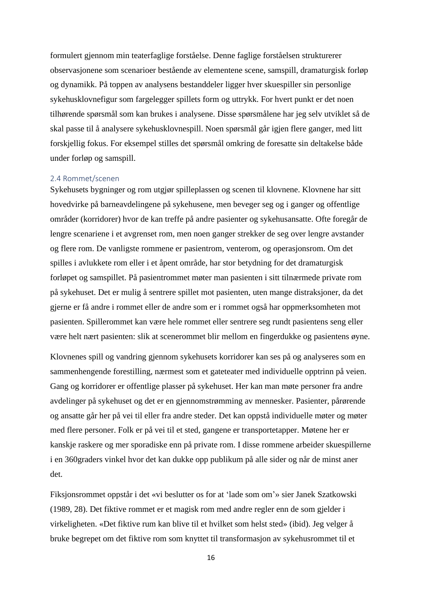formulert gjennom min teaterfaglige forståelse. Denne faglige forståelsen strukturerer observasjonene som scenarioer bestående av elementene scene, samspill, dramaturgisk forløp og dynamikk. På toppen av analysens bestanddeler ligger hver skuespiller sin personlige sykehusklovnefigur som fargelegger spillets form og uttrykk. For hvert punkt er det noen tilhørende spørsmål som kan brukes i analysene. Disse spørsmålene har jeg selv utviklet så de skal passe til å analysere sykehusklovnespill. Noen spørsmål går igjen flere ganger, med litt forskjellig fokus. For eksempel stilles det spørsmål omkring de foresatte sin deltakelse både under forløp og samspill.

#### <span id="page-15-0"></span>2.4 Rommet/scenen

Sykehusets bygninger og rom utgjør spilleplassen og scenen til klovnene. Klovnene har sitt hovedvirke på barneavdelingene på sykehusene, men beveger seg og i ganger og offentlige områder (korridorer) hvor de kan treffe på andre pasienter og sykehusansatte. Ofte foregår de lengre scenariene i et avgrenset rom, men noen ganger strekker de seg over lengre avstander og flere rom. De vanligste rommene er pasientrom, venterom, og operasjonsrom. Om det spilles i avlukkete rom eller i et åpent område, har stor betydning for det dramaturgisk forløpet og samspillet. På pasientrommet møter man pasienten i sitt tilnærmede private rom på sykehuset. Det er mulig å sentrere spillet mot pasienten, uten mange distraksjoner, da det gjerne er få andre i rommet eller de andre som er i rommet også har oppmerksomheten mot pasienten. Spillerommet kan være hele rommet eller sentrere seg rundt pasientens seng eller være helt nært pasienten: slik at scenerommet blir mellom en fingerdukke og pasientens øyne.

Klovnenes spill og vandring gjennom sykehusets korridorer kan ses på og analyseres som en sammenhengende forestilling, nærmest som et gateteater med individuelle opptrinn på veien. Gang og korridorer er offentlige plasser på sykehuset. Her kan man møte personer fra andre avdelinger på sykehuset og det er en gjennomstrømming av mennesker. Pasienter, pårørende og ansatte går her på vei til eller fra andre steder. Det kan oppstå individuelle møter og møter med flere personer. Folk er på vei til et sted, gangene er transportetapper. Møtene her er kanskje raskere og mer sporadiske enn på private rom. I disse rommene arbeider skuespillerne i en 360graders vinkel hvor det kan dukke opp publikum på alle sider og når de minst aner det.

Fiksjonsrommet oppstår i det «vi beslutter os for at 'lade som om'» sier Janek Szatkowski (1989, 28). Det fiktive rommet er et magisk rom med andre regler enn de som gjelder i virkeligheten. «Det fiktive rum kan blive til et hvilket som helst sted» (ibid). Jeg velger å bruke begrepet om det fiktive rom som knyttet til transformasjon av sykehusrommet til et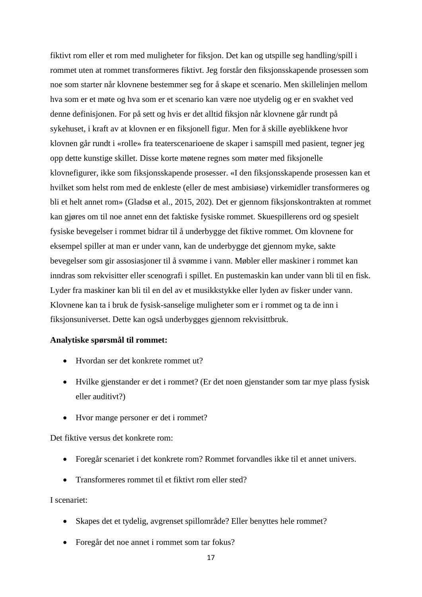fiktivt rom eller et rom med muligheter for fiksjon. Det kan og utspille seg handling/spill i rommet uten at rommet transformeres fiktivt. Jeg forstår den fiksjonsskapende prosessen som noe som starter når klovnene bestemmer seg for å skape et scenario. Men skillelinjen mellom hva som er et møte og hva som er et scenario kan være noe utydelig og er en svakhet ved denne definisjonen. For på sett og hvis er det alltid fiksjon når klovnene går rundt på sykehuset, i kraft av at klovnen er en fiksjonell figur. Men for å skille øyeblikkene hvor klovnen går rundt i «rolle» fra teaterscenarioene de skaper i samspill med pasient, tegner jeg opp dette kunstige skillet. Disse korte møtene regnes som møter med fiksjonelle klovnefigurer, ikke som fiksjonsskapende prosesser. «I den fiksjonsskapende prosessen kan et hvilket som helst rom med de enkleste (eller de mest ambisiøse) virkemidler transformeres og bli et helt annet rom» (Gladsø et al., 2015, 202). Det er gjennom fiksjonskontrakten at rommet kan gjøres om til noe annet enn det faktiske fysiske rommet. Skuespillerens ord og spesielt fysiske bevegelser i rommet bidrar til å underbygge det fiktive rommet. Om klovnene for eksempel spiller at man er under vann, kan de underbygge det gjennom myke, sakte bevegelser som gir assosiasjoner til å svømme i vann. Møbler eller maskiner i rommet kan inndras som rekvisitter eller scenografi i spillet. En pustemaskin kan under vann bli til en fisk. Lyder fra maskiner kan bli til en del av et musikkstykke eller lyden av fisker under vann. Klovnene kan ta i bruk de fysisk-sanselige muligheter som er i rommet og ta de inn i fiksjonsuniverset. Dette kan også underbygges gjennom rekvisittbruk.

#### **Analytiske spørsmål til rommet:**

- Hvordan ser det konkrete rommet ut?
- Hvilke gjenstander er det i rommet? (Er det noen gjenstander som tar mye plass fysisk eller auditivt?)
- Hvor mange personer er det i rommet?

Det fiktive versus det konkrete rom:

- Foregår scenariet i det konkrete rom? Rommet forvandles ikke til et annet univers.
- Transformeres rommet til et fiktivt rom eller sted?

# I scenariet:

- Skapes det et tydelig, avgrenset spillområde? Eller benyttes hele rommet?
- Foregår det noe annet i rommet som tar fokus?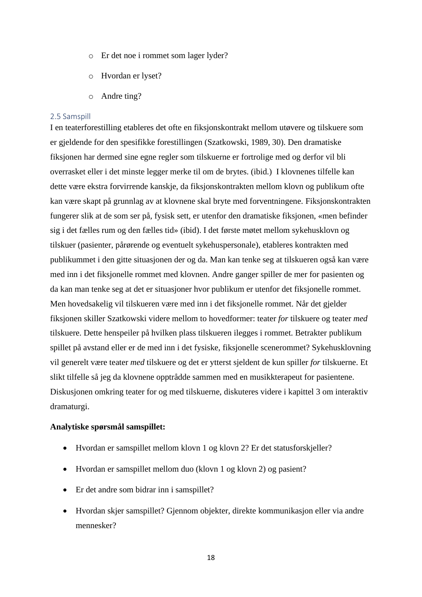- o Er det noe i rommet som lager lyder?
- o Hvordan er lyset?
- o Andre ting?

#### <span id="page-17-0"></span>2.5 Samspill

I en teaterforestilling etableres det ofte en fiksjonskontrakt mellom utøvere og tilskuere som er gjeldende for den spesifikke forestillingen (Szatkowski, 1989, 30). Den dramatiske fiksjonen har dermed sine egne regler som tilskuerne er fortrolige med og derfor vil bli overrasket eller i det minste legger merke til om de brytes. (ibid.) I klovnenes tilfelle kan dette være ekstra forvirrende kanskje, da fiksjonskontrakten mellom klovn og publikum ofte kan være skapt på grunnlag av at klovnene skal bryte med forventningene. Fiksjonskontrakten fungerer slik at de som ser på, fysisk sett, er utenfor den dramatiske fiksjonen, «men befinder sig i det fælles rum og den fælles tid» (ibid). I det første møtet mellom sykehusklovn og tilskuer (pasienter, pårørende og eventuelt sykehuspersonale), etableres kontrakten med publikummet i den gitte situasjonen der og da. Man kan tenke seg at tilskueren også kan være med inn i det fiksjonelle rommet med klovnen. Andre ganger spiller de mer for pasienten og da kan man tenke seg at det er situasjoner hvor publikum er utenfor det fiksjonelle rommet. Men hovedsakelig vil tilskueren være med inn i det fiksjonelle rommet. Når det gjelder fiksjonen skiller Szatkowski videre mellom to hovedformer: teater *for* tilskuere og teater *med* tilskuere. Dette henspeiler på hvilken plass tilskueren ilegges i rommet. Betrakter publikum spillet på avstand eller er de med inn i det fysiske, fiksjonelle scenerommet? Sykehusklovning vil generelt være teater *med* tilskuere og det er ytterst sjeldent de kun spiller *for* tilskuerne. Et slikt tilfelle så jeg da klovnene opptrådde sammen med en musikkterapeut for pasientene. Diskusjonen omkring teater for og med tilskuerne, diskuteres videre i kapittel 3 om interaktiv dramaturgi.

#### **Analytiske spørsmål samspillet:**

- Hvordan er samspillet mellom klovn 1 og klovn 2? Er det statusforskjeller?
- Hvordan er samspillet mellom duo (klovn 1 og klovn 2) og pasient?
- Er det andre som bidrar inn i samspillet?
- Hvordan skjer samspillet? Gjennom objekter, direkte kommunikasjon eller via andre mennesker?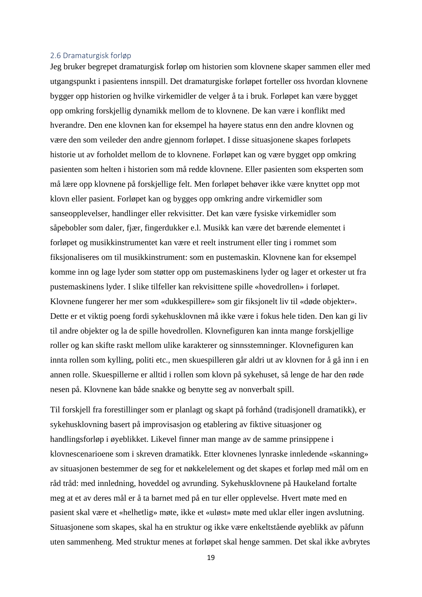#### <span id="page-18-0"></span>2.6 Dramaturgisk forløp

Jeg bruker begrepet dramaturgisk forløp om historien som klovnene skaper sammen eller med utgangspunkt i pasientens innspill. Det dramaturgiske forløpet forteller oss hvordan klovnene bygger opp historien og hvilke virkemidler de velger å ta i bruk. Forløpet kan være bygget opp omkring forskjellig dynamikk mellom de to klovnene. De kan være i konflikt med hverandre. Den ene klovnen kan for eksempel ha høyere status enn den andre klovnen og være den som veileder den andre gjennom forløpet. I disse situasjonene skapes forløpets historie ut av forholdet mellom de to klovnene. Forløpet kan og være bygget opp omkring pasienten som helten i historien som må redde klovnene. Eller pasienten som eksperten som må lære opp klovnene på forskjellige felt. Men forløpet behøver ikke være knyttet opp mot klovn eller pasient. Forløpet kan og bygges opp omkring andre virkemidler som sanseopplevelser, handlinger eller rekvisitter. Det kan være fysiske virkemidler som såpebobler som daler, fjær, fingerdukker e.l. Musikk kan være det bærende elementet i forløpet og musikkinstrumentet kan være et reelt instrument eller ting i rommet som fiksjonaliseres om til musikkinstrument: som en pustemaskin. Klovnene kan for eksempel komme inn og lage lyder som støtter opp om pustemaskinens lyder og lager et orkester ut fra pustemaskinens lyder. I slike tilfeller kan rekvisittene spille «hovedrollen» i forløpet. Klovnene fungerer her mer som «dukkespillere» som gir fiksjonelt liv til «døde objekter». Dette er et viktig poeng fordi sykehusklovnen må ikke være i fokus hele tiden. Den kan gi liv til andre objekter og la de spille hovedrollen. Klovnefiguren kan innta mange forskjellige roller og kan skifte raskt mellom ulike karakterer og sinnsstemninger. Klovnefiguren kan innta rollen som kylling, politi etc., men skuespilleren går aldri ut av klovnen for å gå inn i en annen rolle. Skuespillerne er alltid i rollen som klovn på sykehuset, så lenge de har den røde nesen på. Klovnene kan både snakke og benytte seg av nonverbalt spill.

Til forskjell fra forestillinger som er planlagt og skapt på forhånd (tradisjonell dramatikk), er sykehusklovning basert på improvisasjon og etablering av fiktive situasjoner og handlingsforløp i øyeblikket. Likevel finner man mange av de samme prinsippene i klovnescenarioene som i skreven dramatikk. Etter klovnenes lynraske innledende «skanning» av situasjonen bestemmer de seg for et nøkkelelement og det skapes et forløp med mål om en råd tråd: med innledning, hoveddel og avrunding. Sykehusklovnene på Haukeland fortalte meg at et av deres mål er å ta barnet med på en tur eller opplevelse. Hvert møte med en pasient skal være et «helhetlig» møte, ikke et «uløst» møte med uklar eller ingen avslutning. Situasjonene som skapes, skal ha en struktur og ikke være enkeltstående øyeblikk av påfunn uten sammenheng. Med struktur menes at forløpet skal henge sammen. Det skal ikke avbrytes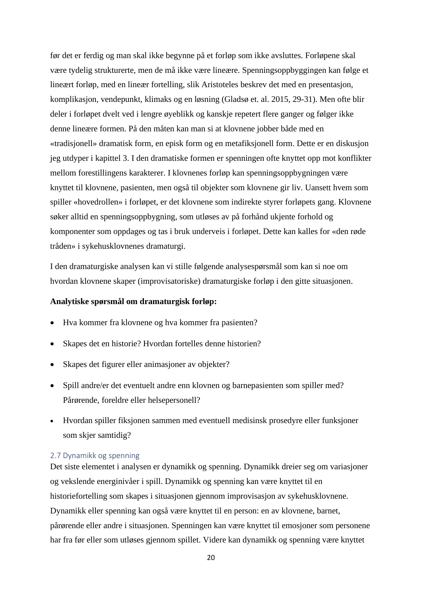før det er ferdig og man skal ikke begynne på et forløp som ikke avsluttes. Forløpene skal være tydelig strukturerte, men de må ikke være lineære. Spenningsoppbyggingen kan følge et lineært forløp, med en lineær fortelling, slik Aristoteles beskrev det med en presentasjon, komplikasjon, vendepunkt, klimaks og en løsning (Gladsø et. al. 2015, 29-31). Men ofte blir deler i forløpet dvelt ved i lengre øyeblikk og kanskje repetert flere ganger og følger ikke denne lineære formen. På den måten kan man si at klovnene jobber både med en «tradisjonell» dramatisk form, en episk form og en metafiksjonell form. Dette er en diskusjon jeg utdyper i kapittel 3. I den dramatiske formen er spenningen ofte knyttet opp mot konflikter mellom forestillingens karakterer. I klovnenes forløp kan spenningsoppbygningen være knyttet til klovnene, pasienten, men også til objekter som klovnene gir liv. Uansett hvem som spiller «hovedrollen» i forløpet, er det klovnene som indirekte styrer forløpets gang. Klovnene søker alltid en spenningsoppbygning, som utløses av på forhånd ukjente forhold og komponenter som oppdages og tas i bruk underveis i forløpet. Dette kan kalles for «den røde tråden» i sykehusklovnenes dramaturgi.

I den dramaturgiske analysen kan vi stille følgende analysespørsmål som kan si noe om hvordan klovnene skaper (improvisatoriske) dramaturgiske forløp i den gitte situasjonen.

## **Analytiske spørsmål om dramaturgisk forløp:**

- Hva kommer fra klovnene og hva kommer fra pasienten?
- Skapes det en historie? Hvordan fortelles denne historien?
- Skapes det figurer eller animasjoner av objekter?
- Spill andre/er det eventuelt andre enn klovnen og barnepasienten som spiller med? Pårørende, foreldre eller helsepersonell?
- Hvordan spiller fiksjonen sammen med eventuell medisinsk prosedyre eller funksjoner som skjer samtidig?

### <span id="page-19-0"></span>2.7 Dynamikk og spenning

Det siste elementet i analysen er dynamikk og spenning. Dynamikk dreier seg om variasjoner og vekslende energinivåer i spill. Dynamikk og spenning kan være knyttet til en historiefortelling som skapes i situasjonen gjennom improvisasjon av sykehusklovnene. Dynamikk eller spenning kan også være knyttet til en person: en av klovnene, barnet, pårørende eller andre i situasjonen. Spenningen kan være knyttet til emosjoner som personene har fra før eller som utløses gjennom spillet. Videre kan dynamikk og spenning være knyttet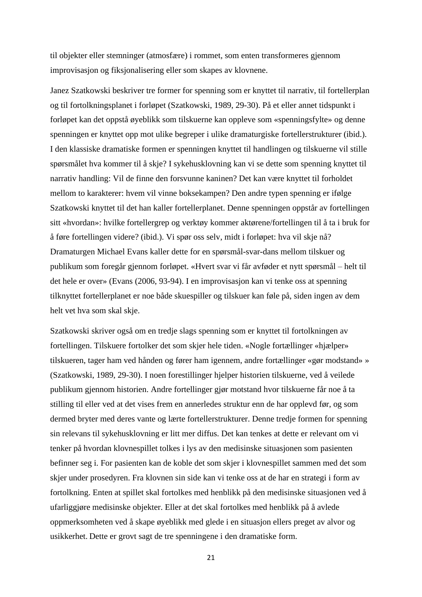til objekter eller stemninger (atmosfære) i rommet, som enten transformeres gjennom improvisasjon og fiksjonalisering eller som skapes av klovnene.

Janez Szatkowski beskriver tre former for spenning som er knyttet til narrativ, til fortellerplan og til fortolkningsplanet i forløpet (Szatkowski, 1989, 29-30). På et eller annet tidspunkt i forløpet kan det oppstå øyeblikk som tilskuerne kan oppleve som «spenningsfylte» og denne spenningen er knyttet opp mot ulike begreper i ulike dramaturgiske fortellerstrukturer (ibid.). I den klassiske dramatiske formen er spenningen knyttet til handlingen og tilskuerne vil stille spørsmålet hva kommer til å skje? I sykehusklovning kan vi se dette som spenning knyttet til narrativ handling: Vil de finne den forsvunne kaninen? Det kan være knyttet til forholdet mellom to karakterer: hvem vil vinne boksekampen? Den andre typen spenning er ifølge Szatkowski knyttet til det han kaller fortellerplanet. Denne spenningen oppstår av fortellingen sitt «hvordan»: hvilke fortellergrep og verktøy kommer aktørene/fortellingen til å ta i bruk for å føre fortellingen videre? (ibid.). Vi spør oss selv, midt i forløpet: hva vil skje nå? Dramaturgen Michael Evans kaller dette for en spørsmål-svar-dans mellom tilskuer og publikum som foregår gjennom forløpet. «Hvert svar vi får avføder et nytt spørsmål – helt til det hele er over» (Evans (2006, 93-94). I en improvisasjon kan vi tenke oss at spenning tilknyttet fortellerplanet er noe både skuespiller og tilskuer kan føle på, siden ingen av dem helt vet hva som skal skje.

Szatkowski skriver også om en tredje slags spenning som er knyttet til fortolkningen av fortellingen. Tilskuere fortolker det som skjer hele tiden. «Nogle fortællinger «hjælper» tilskueren, tager ham ved hånden og fører ham igennem, andre fortællinger «gør modstand» » (Szatkowski, 1989, 29-30). I noen forestillinger hjelper historien tilskuerne, ved å veilede publikum gjennom historien. Andre fortellinger gjør motstand hvor tilskuerne får noe å ta stilling til eller ved at det vises frem en annerledes struktur enn de har opplevd før, og som dermed bryter med deres vante og lærte fortellerstrukturer. Denne tredje formen for spenning sin relevans til sykehusklovning er litt mer diffus. Det kan tenkes at dette er relevant om vi tenker på hvordan klovnespillet tolkes i lys av den medisinske situasjonen som pasienten befinner seg i. For pasienten kan de koble det som skjer i klovnespillet sammen med det som skjer under prosedyren. Fra klovnen sin side kan vi tenke oss at de har en strategi i form av fortolkning. Enten at spillet skal fortolkes med henblikk på den medisinske situasjonen ved å ufarliggjøre medisinske objekter. Eller at det skal fortolkes med henblikk på å avlede oppmerksomheten ved å skape øyeblikk med glede i en situasjon ellers preget av alvor og usikkerhet. Dette er grovt sagt de tre spenningene i den dramatiske form.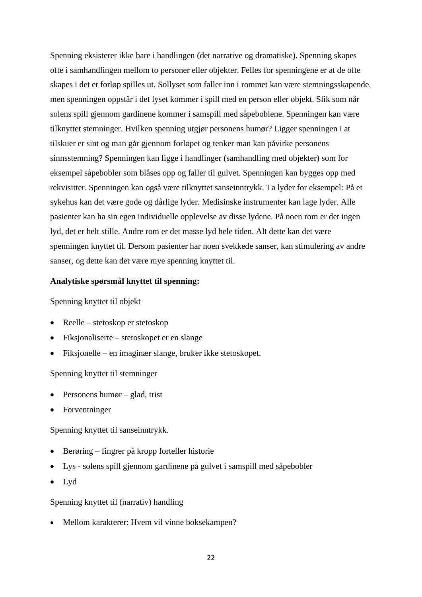Spenning eksisterer ikke bare i handlingen (det narrative og dramatiske). Spenning skapes ofte i samhandlingen mellom to personer eller objekter. Felles for spenningene er at de ofte skapes i det et forløp spilles ut. Sollyset som faller inn i rommet kan være stemningsskapende, men spenningen oppstår i det lyset kommer i spill med en person eller objekt. Slik som når solens spill gjennom gardinene kommer i samspill med såpeboblene. Spenningen kan være tilknyttet stemninger. Hvilken spenning utgjør personens humør? Ligger spenningen i at tilskuer er sint og man går gjennom forløpet og tenker man kan påvirke personens sinnsstemning? Spenningen kan ligge i handlinger (samhandling med objekter) som for eksempel såpebobler som blåses opp og faller til gulvet. Spenningen kan bygges opp med rekvisitter. Spenningen kan også være tilknyttet sanseinntrykk. Ta lyder for eksempel: På et sykehus kan det være gode og dårlige lyder. Medisinske instrumenter kan lage lyder. Alle pasienter kan ha sin egen individuelle opplevelse av disse lydene. På noen rom er det ingen lyd, det er helt stille. Andre rom er det masse lyd hele tiden. Alt dette kan det være spenningen knyttet til. Dersom pasienter har noen svekkede sanser, kan stimulering av andre sanser, og dette kan det være mye spenning knyttet til.

## **Analytiske spørsmål knyttet til spenning:**

## Spenning knyttet til objekt

- Reelle stetoskop er stetoskop
- Fiksjonaliserte stetoskopet er en slange
- Fiksjonelle en imaginær slange, bruker ikke stetoskopet.

#### Spenning knyttet til stemninger

- Personens humør glad, trist
- **Forventninger**

## Spenning knyttet til sanseinntrykk.

- Berøring fingrer på kropp forteller historie
- Lys solens spill gjennom gardinene på gulvet i samspill med såpebobler
- Lyd

## Spenning knyttet til (narrativ) handling

• Mellom karakterer: Hvem vil vinne boksekampen?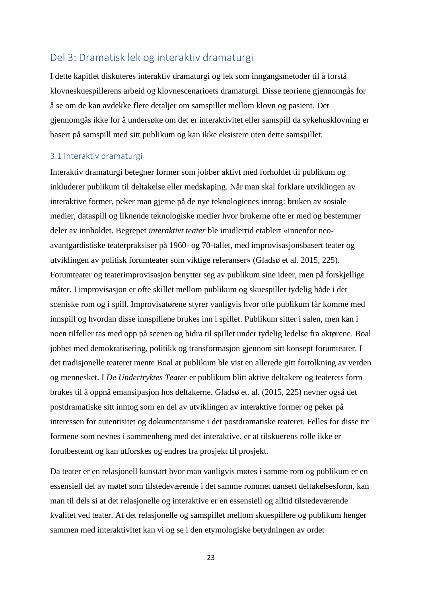# <span id="page-22-0"></span>Del 3: Dramatisk lek og interaktiv dramaturgi

I dette kapitlet diskuteres interaktiv dramaturgi og lek som inngangsmetoder til å forstå klovneskuespillerens arbeid og klovnescenarioets dramaturgi. Disse teoriene gjennomgås for å se om de kan avdekke flere detaljer om samspillet mellom klovn og pasient. Det gjennomgås ikke for å undersøke om det er interaktivitet eller samspill da sykehusklovning er basert på samspill med sitt publikum og kan ikke eksistere uten dette samspillet.

# <span id="page-22-1"></span>3.1 Interaktiv dramaturgi

Interaktiv dramaturgi betegner former som jobber aktivt med forholdet til publikum og inkluderer publikum til deltakelse eller medskaping*.* Når man skal forklare utviklingen av interaktive former, peker man gjerne på de nye teknologienes inntog: bruken av sosiale medier, dataspill og liknende teknologiske medier hvor brukerne ofte er med og bestemmer deler av innholdet. Begrepet *interaktivt teater* ble imidlertid etablert «innenfor neoavantgardistiske teaterpraksiser på 1960- og 70-tallet, med improvisasjonsbasert teater og utviklingen av politisk forumteater som viktige referanser» (Gladsø et al. 2015, 225). Forumteater og teaterimprovisasjon benytter seg av publikum sine ideer, men på forskjellige måter. I improvisasjon er ofte skillet mellom publikum og skuespiller tydelig både i det sceniske rom og i spill. Improvisatørene styrer vanligvis hvor ofte publikum får komme med innspill og hvordan disse innspillene brukes inn i spillet. Publikum sitter i salen, men kan i noen tilfeller tas med opp på scenen og bidra til spillet under tydelig ledelse fra aktørene. Boal jobbet med demokratisering, politikk og transformasjon gjennom sitt konsept forumteater. I det tradisjonelle teateret mente Boal at publikum ble vist en allerede gitt fortolkning av verden og mennesket. I *De Undertryktes Teater* er publikum blitt aktive deltakere og teaterets form brukes til å oppnå emansipasjon hos deltakerne. Gladsø et. al. (2015, 225) nevner også det postdramatiske sitt inntog som en del av utviklingen av interaktive former og peker på interessen for autentisitet og dokumentarisme i det postdramatiske teateret. Felles for disse tre formene som nevnes i sammenheng med det interaktive, er at tilskuerens rolle ikke er forutbestemt og kan utforskes og endres fra prosjekt til prosjekt.

Da teater er en relasjonell kunstart hvor man vanligvis møtes i samme rom og publikum er en essensiell del av møtet som tilstedeværende i det samme rommet uansett deltakelsesform, kan man til dels si at det relasjonelle og interaktive er en essensiell og alltid tilstedeværende kvalitet ved teater. At det relasjonelle og samspillet mellom skuespillere og publikum henger sammen med interaktivitet kan vi og se i den etymologiske betydningen av ordet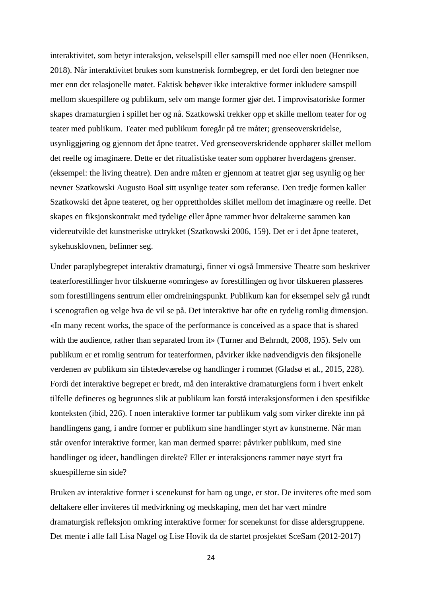interaktivitet, som betyr interaksjon, vekselspill eller samspill med noe eller noen (Henriksen, 2018). Når interaktivitet brukes som kunstnerisk formbegrep, er det fordi den betegner noe mer enn det relasjonelle møtet. Faktisk behøver ikke interaktive former inkludere samspill mellom skuespillere og publikum, selv om mange former gjør det. I improvisatoriske former skapes dramaturgien i spillet her og nå. Szatkowski trekker opp et skille mellom teater for og teater med publikum. Teater med publikum foregår på tre måter; grenseoverskridelse, usynliggjøring og gjennom det åpne teatret. Ved grenseoverskridende opphører skillet mellom det reelle og imaginære. Dette er det ritualistiske teater som opphører hverdagens grenser. (eksempel: the living theatre). Den andre måten er gjennom at teatret gjør seg usynlig og her nevner Szatkowski Augusto Boal sitt usynlige teater som referanse. Den tredje formen kaller Szatkowski det åpne teateret, og her opprettholdes skillet mellom det imaginære og reelle. Det skapes en fiksjonskontrakt med tydelige eller åpne rammer hvor deltakerne sammen kan videreutvikle det kunstneriske uttrykket (Szatkowski 2006, 159). Det er i det åpne teateret, sykehusklovnen, befinner seg.

Under paraplybegrepet interaktiv dramaturgi, finner vi også Immersive Theatre som beskriver teaterforestillinger hvor tilskuerne «omringes» av forestillingen og hvor tilskueren plasseres som forestillingens sentrum eller omdreiningspunkt. Publikum kan for eksempel selv gå rundt i scenografien og velge hva de vil se på. Det interaktive har ofte en tydelig romlig dimensjon. «In many recent works, the space of the performance is conceived as a space that is shared with the audience, rather than separated from it» (Turner and Behrndt, 2008, 195). Selv om publikum er et romlig sentrum for teaterformen, påvirker ikke nødvendigvis den fiksjonelle verdenen av publikum sin tilstedeværelse og handlinger i rommet (Gladsø et al., 2015, 228). Fordi det interaktive begrepet er bredt, må den interaktive dramaturgiens form i hvert enkelt tilfelle defineres og begrunnes slik at publikum kan forstå interaksjonsformen i den spesifikke konteksten (ibid, 226). I noen interaktive former tar publikum valg som virker direkte inn på handlingens gang, i andre former er publikum sine handlinger styrt av kunstnerne. Når man står ovenfor interaktive former, kan man dermed spørre: påvirker publikum, med sine handlinger og ideer, handlingen direkte? Eller er interaksjonens rammer nøye styrt fra skuespillerne sin side?

Bruken av interaktive former i scenekunst for barn og unge, er stor. De inviteres ofte med som deltakere eller inviteres til medvirkning og medskaping, men det har vært mindre dramaturgisk refleksjon omkring interaktive former for scenekunst for disse aldersgruppene. Det mente i alle fall Lisa Nagel og Lise Hovik da de startet prosjektet SceSam (2012-2017)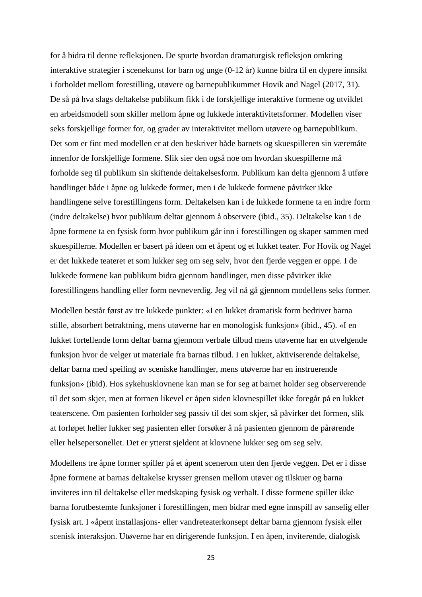for å bidra til denne refleksjonen. De spurte hvordan dramaturgisk refleksjon omkring interaktive strategier i scenekunst for barn og unge (0-12 år) kunne bidra til en dypere innsikt i forholdet mellom forestilling, utøvere og barnepublikummet Hovik and Nagel (2017, 31). De så på hva slags deltakelse publikum fikk i de forskjellige interaktive formene og utviklet en arbeidsmodell som skiller mellom åpne og lukkede interaktivitetsformer. Modellen viser seks forskjellige former for, og grader av interaktivitet mellom utøvere og barnepublikum. Det som er fint med modellen er at den beskriver både barnets og skuespilleren sin væremåte innenfor de forskjellige formene. Slik sier den også noe om hvordan skuespillerne må forholde seg til publikum sin skiftende deltakelsesform. Publikum kan delta gjennom å utføre handlinger både i åpne og lukkede former, men i de lukkede formene påvirker ikke handlingene selve forestillingens form. Deltakelsen kan i de lukkede formene ta en indre form (indre deltakelse) hvor publikum deltar gjennom å observere (ibid., 35). Deltakelse kan i de åpne formene ta en fysisk form hvor publikum går inn i forestillingen og skaper sammen med skuespillerne. Modellen er basert på ideen om et åpent og et lukket teater. For Hovik og Nagel er det lukkede teateret et som lukker seg om seg selv, hvor den fjerde veggen er oppe. I de lukkede formene kan publikum bidra gjennom handlinger, men disse påvirker ikke forestillingens handling eller form nevneverdig. Jeg vil nå gå gjennom modellens seks former.

Modellen består først av tre lukkede punkter: «I en lukket dramatisk form bedriver barna stille, absorbert betraktning, mens utøverne har en monologisk funksjon» (ibid., 45). «I en lukket fortellende form deltar barna gjennom verbale tilbud mens utøverne har en utvelgende funksjon hvor de velger ut materiale fra barnas tilbud. I en lukket, aktiviserende deltakelse, deltar barna med speiling av sceniske handlinger, mens utøverne har en instruerende funksjon» (ibid). Hos sykehusklovnene kan man se for seg at barnet holder seg observerende til det som skjer, men at formen likevel er åpen siden klovnespillet ikke foregår på en lukket teaterscene. Om pasienten forholder seg passiv til det som skjer, så påvirker det formen, slik at forløpet heller lukker seg pasienten eller forsøker å nå pasienten gjennom de pårørende eller helsepersonellet. Det er ytterst sjeldent at klovnene lukker seg om seg selv.

Modellens tre åpne former spiller på et åpent scenerom uten den fjerde veggen. Det er i disse åpne formene at barnas deltakelse krysser grensen mellom utøver og tilskuer og barna inviteres inn til deltakelse eller medskaping fysisk og verbalt. I disse formene spiller ikke barna forutbestemte funksjoner i forestillingen, men bidrar med egne innspill av sanselig eller fysisk art. I «åpent installasjons- eller vandreteaterkonsept deltar barna gjennom fysisk eller scenisk interaksjon. Utøverne har en dirigerende funksjon. I en åpen, inviterende, dialogisk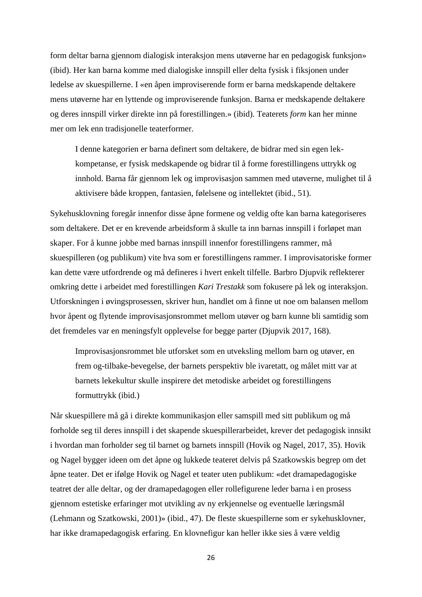form deltar barna gjennom dialogisk interaksjon mens utøverne har en pedagogisk funksjon» (ibid). Her kan barna komme med dialogiske innspill eller delta fysisk i fiksjonen under ledelse av skuespillerne. I «en åpen improviserende form er barna medskapende deltakere mens utøverne har en lyttende og improviserende funksjon. Barna er medskapende deltakere og deres innspill virker direkte inn på forestillingen.» (ibid). Teaterets *form* kan her minne mer om lek enn tradisjonelle teaterformer.

I denne kategorien er barna definert som deltakere, de bidrar med sin egen lekkompetanse, er fysisk medskapende og bidrar til å forme forestillingens uttrykk og innhold. Barna får gjennom lek og improvisasjon sammen med utøverne, mulighet til å aktivisere både kroppen, fantasien, følelsene og intellektet (ibid., 51).

Sykehusklovning foregår innenfor disse åpne formene og veldig ofte kan barna kategoriseres som deltakere. Det er en krevende arbeidsform å skulle ta inn barnas innspill i forløpet man skaper. For å kunne jobbe med barnas innspill innenfor forestillingens rammer, må skuespilleren (og publikum) vite hva som er forestillingens rammer. I improvisatoriske former kan dette være utfordrende og må defineres i hvert enkelt tilfelle. Barbro Djupvik reflekterer omkring dette i arbeidet med forestillingen *Kari Trestakk* som fokusere på lek og interaksjon. Utforskningen i øvingsprosessen, skriver hun, handlet om å finne ut noe om balansen mellom hvor åpent og flytende improvisasjonsrommet mellom utøver og barn kunne bli samtidig som det fremdeles var en meningsfylt opplevelse for begge parter (Djupvik 2017, 168).

Improvisasjonsrommet ble utforsket som en utveksling mellom barn og utøver, en frem og-tilbake-bevegelse, der barnets perspektiv ble ivaretatt, og målet mitt var at barnets lekekultur skulle inspirere det metodiske arbeidet og forestillingens formuttrykk (ibid.)

Når skuespillere må gå i direkte kommunikasjon eller samspill med sitt publikum og må forholde seg til deres innspill i det skapende skuespillerarbeidet, krever det pedagogisk innsikt i hvordan man forholder seg til barnet og barnets innspill (Hovik og Nagel, 2017, 35). Hovik og Nagel bygger ideen om det åpne og lukkede teateret delvis på Szatkowskis begrep om det åpne teater. Det er ifølge Hovik og Nagel et teater uten publikum: «det dramapedagogiske teatret der alle deltar, og der dramapedagogen eller rollefigurene leder barna i en prosess gjennom estetiske erfaringer mot utvikling av ny erkjennelse og eventuelle læringsmål (Lehmann og Szatkowski, 2001)» (ibid., 47). De fleste skuespillerne som er sykehusklovner, har ikke dramapedagogisk erfaring. En klovnefigur kan heller ikke sies å være veldig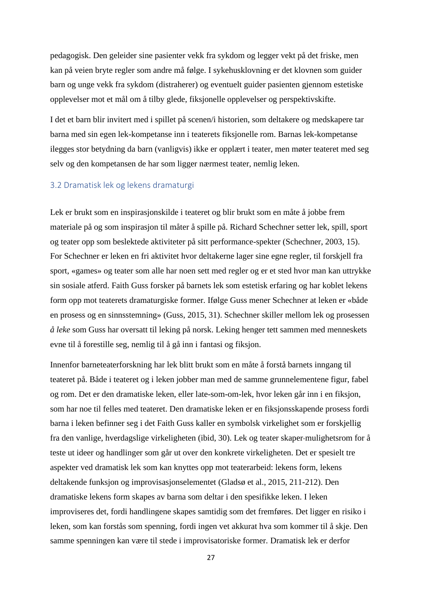pedagogisk. Den geleider sine pasienter vekk fra sykdom og legger vekt på det friske, men kan på veien bryte regler som andre må følge. I sykehusklovning er det klovnen som guider barn og unge vekk fra sykdom (distraherer) og eventuelt guider pasienten gjennom estetiske opplevelser mot et mål om å tilby glede, fiksjonelle opplevelser og perspektivskifte.

I det et barn blir invitert med i spillet på scenen/i historien, som deltakere og medskapere tar barna med sin egen lek-kompetanse inn i teaterets fiksjonelle rom. Barnas lek-kompetanse ilegges stor betydning da barn (vanligvis) ikke er opplært i teater, men møter teateret med seg selv og den kompetansen de har som ligger nærmest teater, nemlig leken.

# <span id="page-26-0"></span>3.2 Dramatisk lek og lekens dramaturgi

Lek er brukt som en inspirasjonskilde i teateret og blir brukt som en måte å jobbe frem materiale på og som inspirasjon til måter å spille på. Richard Schechner setter lek, spill, sport og teater opp som beslektede aktiviteter på sitt performance-spekter (Schechner, 2003, 15). For Schechner er leken en fri aktivitet hvor deltakerne lager sine egne regler, til forskjell fra sport, «games» og teater som alle har noen sett med regler og er et sted hvor man kan uttrykke sin sosiale atferd. Faith Guss forsker på barnets lek som estetisk erfaring og har koblet lekens form opp mot teaterets dramaturgiske former. Ifølge Guss mener Schechner at leken er «både en prosess og en sinnsstemning» (Guss, 2015, 31). Schechner skiller mellom lek og prosessen *å leke* som Guss har oversatt til leking på norsk. Leking henger tett sammen med menneskets evne til å forestille seg, nemlig til å gå inn i fantasi og fiksjon.

Innenfor barneteaterforskning har lek blitt brukt som en måte å forstå barnets inngang til teateret på. Både i teateret og i leken jobber man med de samme grunnelementene figur, fabel og rom. Det er den dramatiske leken, eller late-som-om-lek, hvor leken går inn i en fiksjon, som har noe til felles med teateret. Den dramatiske leken er en fiksjonsskapende prosess fordi barna i leken befinner seg i det Faith Guss kaller en symbolsk virkelighet som er forskjellig fra den vanlige, hverdagslige virkeligheten (ibid, 30). Lek og teater skaper mulighetsrom for å teste ut ideer og handlinger som går ut over den konkrete virkeligheten. Det er spesielt tre aspekter ved dramatisk lek som kan knyttes opp mot teaterarbeid: lekens form, lekens deltakende funksjon og improvisasjonselementet (Gladsø et al., 2015, 211-212). Den dramatiske lekens form skapes av barna som deltar i den spesifikke leken. I leken improviseres det, fordi handlingene skapes samtidig som det fremføres. Det ligger en risiko i leken, som kan forstås som spenning, fordi ingen vet akkurat hva som kommer til å skje. Den samme spenningen kan være til stede i improvisatoriske former. Dramatisk lek er derfor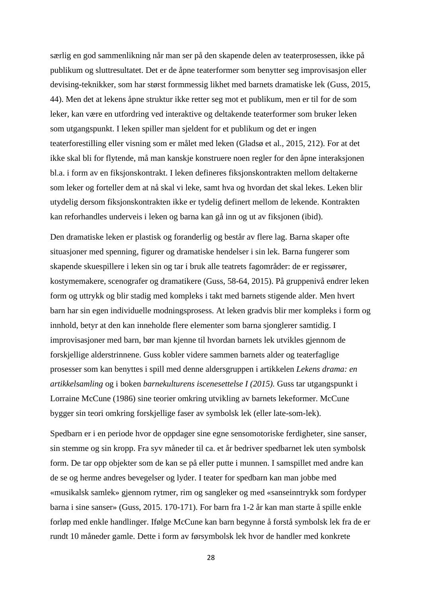særlig en god sammenlikning når man ser på den skapende delen av teaterprosessen, ikke på publikum og sluttresultatet. Det er de åpne teaterformer som benytter seg improvisasjon eller devising-teknikker, som har størst formmessig likhet med barnets dramatiske lek (Guss, 2015, 44). Men det at lekens åpne struktur ikke retter seg mot et publikum, men er til for de som leker, kan være en utfordring ved interaktive og deltakende teaterformer som bruker leken som utgangspunkt. I leken spiller man sjeldent for et publikum og det er ingen teaterforestilling eller visning som er målet med leken (Gladsø et al., 2015, 212). For at det ikke skal bli for flytende, må man kanskje konstruere noen regler for den åpne interaksjonen bl.a. i form av en fiksjonskontrakt. I leken defineres fiksjonskontrakten mellom deltakerne som leker og forteller dem at nå skal vi leke, samt hva og hvordan det skal lekes. Leken blir utydelig dersom fiksjonskontrakten ikke er tydelig definert mellom de lekende. Kontrakten kan reforhandles underveis i leken og barna kan gå inn og ut av fiksjonen (ibid).

Den dramatiske leken er plastisk og foranderlig og består av flere lag. Barna skaper ofte situasjoner med spenning, figurer og dramatiske hendelser i sin lek. Barna fungerer som skapende skuespillere i leken sin og tar i bruk alle teatrets fagområder: de er regissører, kostymemakere, scenografer og dramatikere (Guss, 58-64, 2015). På gruppenivå endrer leken form og uttrykk og blir stadig med kompleks i takt med barnets stigende alder. Men hvert barn har sin egen individuelle modningsprosess. At leken gradvis blir mer kompleks i form og innhold, betyr at den kan inneholde flere elementer som barna sjonglerer samtidig. I improvisasjoner med barn, bør man kjenne til hvordan barnets lek utvikles gjennom de forskjellige alderstrinnene. Guss kobler videre sammen barnets alder og teaterfaglige prosesser som kan benyttes i spill med denne aldersgruppen i artikkelen *Lekens drama: en artikkelsamling* og i boken *barnekulturens iscenesettelse I (2015).* Guss tar utgangspunkt i Lorraine McCune (1986) sine teorier omkring utvikling av barnets lekeformer. McCune bygger sin teori omkring forskjellige faser av symbolsk lek (eller late-som-lek).

Spedbarn er i en periode hvor de oppdager sine egne sensomotoriske ferdigheter, sine sanser, sin stemme og sin kropp. Fra syv måneder til ca. et år bedriver spedbarnet lek uten symbolsk form. De tar opp objekter som de kan se på eller putte i munnen. I samspillet med andre kan de se og herme andres bevegelser og lyder. I teater for spedbarn kan man jobbe med «musikalsk samlek» gjennom rytmer, rim og sangleker og med «sanseinntrykk som fordyper barna i sine sanser» (Guss, 2015. 170-171). For barn fra 1-2 år kan man starte å spille enkle forløp med enkle handlinger. Ifølge McCune kan barn begynne å forstå symbolsk lek fra de er rundt 10 måneder gamle. Dette i form av førsymbolsk lek hvor de handler med konkrete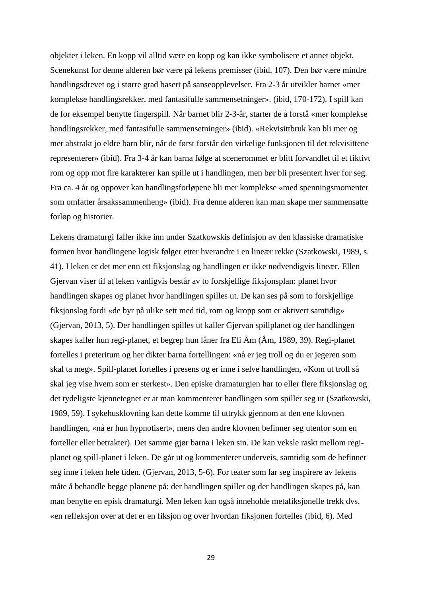objekter i leken. En kopp vil alltid være en kopp og kan ikke symbolisere et annet objekt. Scenekunst for denne alderen bør være på lekens premisser (ibid, 107). Den bør være mindre handlingsdrevet og i større grad basert på sanseopplevelser. Fra 2-3 år utvikler barnet «mer komplekse handlingsrekker, med fantasifulle sammensetninger». (ibid, 170-172). I spill kan de for eksempel benytte fingerspill. Når barnet blir 2-3-år, starter de å forstå «mer komplekse handlingsrekker, med fantasifulle sammensetninger» (ibid). «Rekvisittbruk kan bli mer og mer abstrakt jo eldre barn blir, når de først forstår den virkelige funksjonen til det rekvisittene representerer» (ibid). Fra 3-4 år kan barna følge at scenerommet er blitt forvandlet til et fiktivt rom og opp mot fire karakterer kan spille ut i handlingen, men bør bli presentert hver for seg. Fra ca. 4 år og oppover kan handlingsforløpene bli mer komplekse «med spenningsmomenter som omfatter årsakssammenheng» (ibid). Fra denne alderen kan man skape mer sammensatte forløp og historier.

Lekens dramaturgi faller ikke inn under Szatkowskis definisjon av den klassiske dramatiske formen hvor handlingene logisk følger etter hverandre i en lineær rekke (Szatkowski, 1989, s. 41). I leken er det mer enn ett fiksjonslag og handlingen er ikke nødvendigvis lineær. Ellen Gjervan viser til at leken vanligvis består av to forskjellige fiksjonsplan: planet hvor handlingen skapes og planet hvor handlingen spilles ut. De kan ses på som to forskjellige fiksjonslag fordi «de byr på ulike sett med tid, rom og kropp som er aktivert samtidig» (Gjervan, 2013, 5). Der handlingen spilles ut kaller Gjervan spillplanet og der handlingen skapes kaller hun regi-planet, et begrep hun låner fra Eli Åm (Åm, 1989, 39). Regi-planet fortelles i preteritum og her dikter barna fortellingen: «nå er jeg troll og du er jegeren som skal ta meg». Spill-planet fortelles i presens og er inne i selve handlingen, «Kom ut troll så skal jeg vise hvem som er sterkest». Den episke dramaturgien har to eller flere fiksjonslag og det tydeligste kjennetegnet er at man kommenterer handlingen som spiller seg ut (Szatkowski, 1989, 59). I sykehusklovning kan dette komme til uttrykk gjennom at den ene klovnen handlingen, «nå er hun hypnotisert», mens den andre klovnen befinner seg utenfor som en forteller eller betrakter). Det samme gjør barna i leken sin. De kan veksle raskt mellom regiplanet og spill-planet i leken. De går ut og kommenterer underveis, samtidig som de befinner seg inne i leken hele tiden. (Gjervan, 2013, 5-6). For teater som lar seg inspirere av lekens måte å behandle begge planene på: der handlingen spiller og der handlingen skapes på, kan man benytte en episk dramaturgi. Men leken kan også inneholde metafiksjonelle trekk dvs. «en refleksjon over at det er en fiksjon og over hvordan fiksjonen fortelles (ibid, 6). Med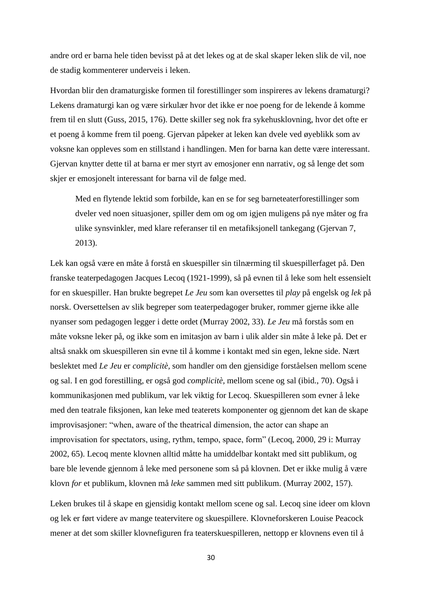andre ord er barna hele tiden bevisst på at det lekes og at de skal skaper leken slik de vil, noe de stadig kommenterer underveis i leken.

Hvordan blir den dramaturgiske formen til forestillinger som inspireres av lekens dramaturgi? Lekens dramaturgi kan og være sirkulær hvor det ikke er noe poeng for de lekende å komme frem til en slutt (Guss, 2015, 176). Dette skiller seg nok fra sykehusklovning, hvor det ofte er et poeng å komme frem til poeng. Gjervan påpeker at leken kan dvele ved øyeblikk som av voksne kan oppleves som en stillstand i handlingen. Men for barna kan dette være interessant. Gjervan knytter dette til at barna er mer styrt av emosjoner enn narrativ, og så lenge det som skjer er emosjonelt interessant for barna vil de følge med.

Med en flytende lektid som forbilde, kan en se for seg barneteaterforestillinger som dveler ved noen situasjoner, spiller dem om og om igjen muligens på nye måter og fra ulike synsvinkler, med klare referanser til en metafiksjonell tankegang (Gjervan 7, 2013).

Lek kan også være en måte å forstå en skuespiller sin tilnærming til skuespillerfaget på. Den franske teaterpedagogen Jacques Lecoq (1921-1999), så på evnen til å leke som helt essensielt for en skuespiller. Han brukte begrepet *Le Jeu* som kan oversettes til *play* på engelsk og *lek* på norsk. Oversettelsen av slik begreper som teaterpedagoger bruker, rommer gjerne ikke alle nyanser som pedagogen legger i dette ordet (Murray 2002, 33). *Le Jeu* må forstås som en måte voksne leker på, og ikke som en imitasjon av barn i ulik alder sin måte å leke på. Det er altså snakk om skuespilleren sin evne til å komme i kontakt med sin egen, lekne side. Nært beslektet med *Le Jeu* er *complicitè,* som handler om den gjensidige forståelsen mellom scene og sal. I en god forestilling, er også god *complicitè,* mellom scene og sal (ibid., 70). Også i kommunikasjonen med publikum, var lek viktig for Lecoq. Skuespilleren som evner å leke med den teatrale fiksjonen, kan leke med teaterets komponenter og gjennom det kan de skape improvisasjoner: "when, aware of the theatrical dimension, the actor can shape an improvisation for spectators, using, rythm, tempo, space, form" (Lecoq, 2000, 29 i: Murray 2002, 65). Lecoq mente klovnen alltid måtte ha umiddelbar kontakt med sitt publikum, og bare ble levende gjennom å leke med personene som så på klovnen. Det er ikke mulig å være klovn *for* et publikum, klovnen må *leke* sammen med sitt publikum. (Murray 2002, 157).

Leken brukes til å skape en gjensidig kontakt mellom scene og sal. Lecoq sine ideer om klovn og lek er ført videre av mange teatervitere og skuespillere. Klovneforskeren Louise Peacock mener at det som skiller klovnefiguren fra teaterskuespilleren, nettopp er klovnens even til å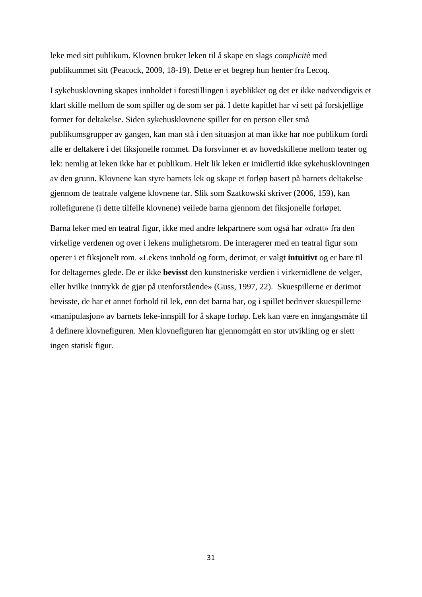leke med sitt publikum. Klovnen bruker leken til å skape en slags *complicitè* med publikummet sitt (Peacock, 2009, 18-19). Dette er et begrep hun henter fra Lecoq.

I sykehusklovning skapes innholdet i forestillingen i øyeblikket og det er ikke nødvendigvis et klart skille mellom de som spiller og de som ser på. I dette kapitlet har vi sett på forskjellige former for deltakelse. Siden sykehusklovnene spiller for en person eller små publikumsgrupper av gangen, kan man stå i den situasjon at man ikke har noe publikum fordi alle er deltakere i det fiksjonelle rommet. Da forsvinner et av hovedskillene mellom teater og lek: nemlig at leken ikke har et publikum. Helt lik leken er imidlertid ikke sykehusklovningen av den grunn. Klovnene kan styre barnets lek og skape et forløp basert på barnets deltakelse gjennom de teatrale valgene klovnene tar. Slik som Szatkowski skriver (2006, 159), kan rollefigurene (i dette tilfelle klovnene) veilede barna gjennom det fiksjonelle forløpet.

Barna leker med en teatral figur, ikke med andre lekpartnere som også har «dratt» fra den virkelige verdenen og over i lekens mulighetsrom. De interagerer med en teatral figur som operer i et fiksjonelt rom. «Lekens innhold og form, derimot, er valgt **intuitivt** og er bare til for deltagernes glede. De er ikke **bevisst** den kunstneriske verdien i virkemidlene de velger, eller hvilke inntrykk de gjør på utenforstående» (Guss, 1997, 22). Skuespillerne er derimot bevisste, de har et annet forhold til lek, enn det barna har, og i spillet bedriver skuespillerne «manipulasjon» av barnets leke-innspill for å skape forløp. Lek kan være en inngangsmåte til å definere klovnefiguren. Men klovnefiguren har gjennomgått en stor utvikling og er slett ingen statisk figur.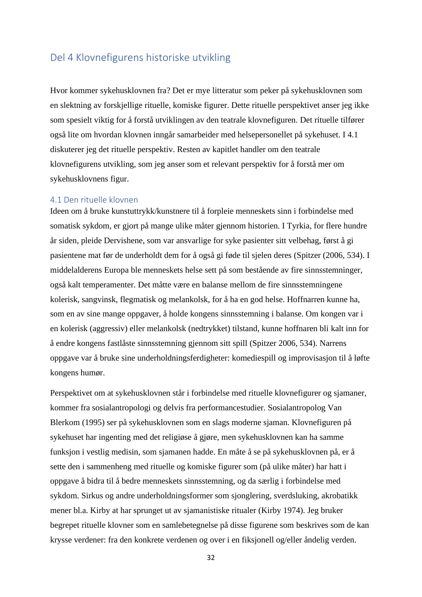# <span id="page-31-0"></span>Del 4 Klovnefigurens historiske utvikling

Hvor kommer sykehusklovnen fra? Det er mye litteratur som peker på sykehusklovnen som en slektning av forskjellige rituelle, komiske figurer. Dette rituelle perspektivet anser jeg ikke som spesielt viktig for å forstå utviklingen av den teatrale klovnefiguren. Det rituelle tilfører også lite om hvordan klovnen inngår samarbeider med helsepersonellet på sykehuset. I 4.1 diskuterer jeg det rituelle perspektiv. Resten av kapitlet handler om den teatrale klovnefigurens utvikling, som jeg anser som et relevant perspektiv for å forstå mer om sykehusklovnens figur.

## <span id="page-31-1"></span>4.1 Den rituelle klovnen

Ideen om å bruke kunstuttrykk/kunstnere til å forpleie menneskets sinn i forbindelse med somatisk sykdom, er gjort på mange ulike måter gjennom historien. I Tyrkia, for flere hundre år siden, pleide Dervishene, som var ansvarlige for syke pasienter sitt velbehag, først å gi pasientene mat før de underholdt dem for å også gi føde til sjelen deres (Spitzer (2006, 534). I middelalderens Europa ble menneskets helse sett på som bestående av fire sinnsstemninger, også kalt temperamenter. Det måtte være en balanse mellom de fire sinnsstemningene kolerisk, sangvinsk, flegmatisk og melankolsk, for å ha en god helse. Hoffnarren kunne ha, som en av sine mange oppgaver, å holde kongens sinnsstemning i balanse. Om kongen var i en kolerisk (aggressiv) eller melankolsk (nedtrykket) tilstand, kunne hoffnaren bli kalt inn for å endre kongens fastlåste sinnsstemning gjennom sitt spill (Spitzer 2006, 534). Narrens oppgave var å bruke sine underholdningsferdigheter: komediespill og improvisasjon til å løfte kongens humør.

Perspektivet om at sykehusklovnen står i forbindelse med rituelle klovnefigurer og sjamaner, kommer fra sosialantropologi og delvis fra performancestudier. Sosialantropolog Van Blerkom (1995) ser på sykehusklovnen som en slags moderne sjaman. Klovnefiguren på sykehuset har ingenting med det religiøse å gjøre, men sykehusklovnen kan ha samme funksjon i vestlig medisin, som sjamanen hadde. En måte å se på sykehusklovnen på, er å sette den i sammenheng med rituelle og komiske figurer som (på ulike måter) har hatt i oppgave å bidra til å bedre menneskets sinnsstemning, og da særlig i forbindelse med sykdom. Sirkus og andre underholdningsformer som sjonglering, sverdsluking, akrobatikk mener bl.a. Kirby at har sprunget ut av sjamanistiske ritualer (Kirby 1974). Jeg bruker begrepet rituelle klovner som en samlebetegnelse på disse figurene som beskrives som de kan krysse verdener: fra den konkrete verdenen og over i en fiksjonell og/eller åndelig verden.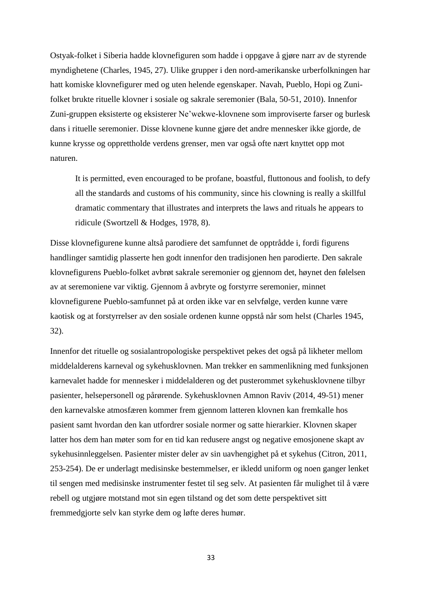Ostyak-folket i Siberia hadde klovnefiguren som hadde i oppgave å gjøre narr av de styrende myndighetene (Charles, 1945, 27). Ulike grupper i den nord-amerikanske urberfolkningen har hatt komiske klovnefigurer med og uten helende egenskaper. Navah, Pueblo, Hopi og Zunifolket brukte rituelle klovner i sosiale og sakrale seremonier (Bala, 50-51, 2010). Innenfor Zuni-gruppen eksisterte og eksisterer Ne'wekwe-klovnene som improviserte farser og burlesk dans i rituelle seremonier. Disse klovnene kunne gjøre det andre mennesker ikke gjorde, de kunne krysse og opprettholde verdens grenser, men var også ofte nært knyttet opp mot naturen.

It is permitted, even encouraged to be profane, boastful, fluttonous and foolish, to defy all the standards and customs of his community, since his clowning is really a skillful dramatic commentary that illustrates and interprets the laws and rituals he appears to ridicule (Swortzell & Hodges, 1978, 8).

Disse klovnefigurene kunne altså parodiere det samfunnet de opptrådde i, fordi figurens handlinger samtidig plasserte hen godt innenfor den tradisjonen hen parodierte. Den sakrale klovnefigurens Pueblo-folket avbrøt sakrale seremonier og gjennom det, høynet den følelsen av at seremoniene var viktig. Gjennom å avbryte og forstyrre seremonier, minnet klovnefigurene Pueblo-samfunnet på at orden ikke var en selvfølge, verden kunne være kaotisk og at forstyrrelser av den sosiale ordenen kunne oppstå når som helst (Charles 1945, 32).

Innenfor det rituelle og sosialantropologiske perspektivet pekes det også på likheter mellom middelalderens karneval og sykehusklovnen. Man trekker en sammenlikning med funksjonen karnevalet hadde for mennesker i middelalderen og det pusterommet sykehusklovnene tilbyr pasienter, helsepersonell og pårørende. Sykehusklovnen Amnon Raviv (2014, 49-51) mener den karnevalske atmosfæren kommer frem gjennom latteren klovnen kan fremkalle hos pasient samt hvordan den kan utfordrer sosiale normer og satte hierarkier. Klovnen skaper latter hos dem han møter som for en tid kan redusere angst og negative emosjonene skapt av sykehusinnleggelsen. Pasienter mister deler av sin uavhengighet på et sykehus (Citron, 2011, 253-254). De er underlagt medisinske bestemmelser, er ikledd uniform og noen ganger lenket til sengen med medisinske instrumenter festet til seg selv. At pasienten får mulighet til å være rebell og utgjøre motstand mot sin egen tilstand og det som dette perspektivet sitt fremmedgjorte selv kan styrke dem og løfte deres humør.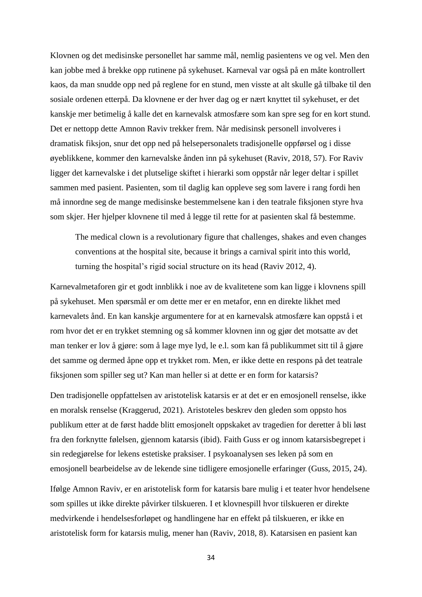Klovnen og det medisinske personellet har samme mål, nemlig pasientens ve og vel. Men den kan jobbe med å brekke opp rutinene på sykehuset. Karneval var også på en måte kontrollert kaos, da man snudde opp ned på reglene for en stund, men visste at alt skulle gå tilbake til den sosiale ordenen etterpå. Da klovnene er der hver dag og er nært knyttet til sykehuset, er det kanskje mer betimelig å kalle det en karnevalsk atmosfære som kan spre seg for en kort stund. Det er nettopp dette Amnon Raviv trekker frem. Når medisinsk personell involveres i dramatisk fiksjon, snur det opp ned på helsepersonalets tradisjonelle oppførsel og i disse øyeblikkene, kommer den karnevalske ånden inn på sykehuset (Raviv, 2018, 57). For Raviv ligger det karnevalske i det plutselige skiftet i hierarki som oppstår når leger deltar i spillet sammen med pasient. Pasienten, som til daglig kan oppleve seg som lavere i rang fordi hen må innordne seg de mange medisinske bestemmelsene kan i den teatrale fiksjonen styre hva som skjer. Her hjelper klovnene til med å legge til rette for at pasienten skal få bestemme.

The medical clown is a revolutionary figure that challenges, shakes and even changes conventions at the hospital site, because it brings a carnival spirit into this world, turning the hospital's rigid social structure on its head (Raviv 2012, 4).

Karnevalmetaforen gir et godt innblikk i noe av de kvalitetene som kan ligge i klovnens spill på sykehuset. Men spørsmål er om dette mer er en metafor, enn en direkte likhet med karnevalets ånd. En kan kanskje argumentere for at en karnevalsk atmosfære kan oppstå i et rom hvor det er en trykket stemning og så kommer klovnen inn og gjør det motsatte av det man tenker er lov å gjøre: som å lage mye lyd, le e.l. som kan få publikummet sitt til å gjøre det samme og dermed åpne opp et trykket rom. Men, er ikke dette en respons på det teatrale fiksjonen som spiller seg ut? Kan man heller si at dette er en form for katarsis?

Den tradisjonelle oppfattelsen av aristotelisk katarsis er at det er en emosjonell renselse, ikke en moralsk renselse (Kraggerud, 2021). Aristoteles beskrev den gleden som oppsto hos publikum etter at de først hadde blitt emosjonelt oppskaket av tragedien for deretter å bli løst fra den forknytte følelsen, gjennom katarsis (ibid). Faith Guss er og innom katarsisbegrepet i sin redegjørelse for lekens estetiske praksiser. I psykoanalysen ses leken på som en emosjonell bearbeidelse av de lekende sine tidligere emosjonelle erfaringer (Guss, 2015, 24).

Ifølge Amnon Raviv, er en aristotelisk form for katarsis bare mulig i et teater hvor hendelsene som spilles ut ikke direkte påvirker tilskueren. I et klovnespill hvor tilskueren er direkte medvirkende i hendelsesforløpet og handlingene har en effekt på tilskueren, er ikke en aristotelisk form for katarsis mulig, mener han (Raviv, 2018, 8). Katarsisen en pasient kan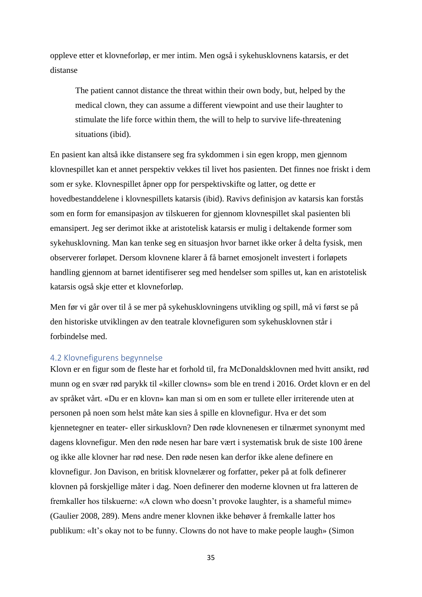oppleve etter et klovneforløp, er mer intim. Men også i sykehusklovnens katarsis, er det distanse

The patient cannot distance the threat within their own body, but, helped by the medical clown, they can assume a different viewpoint and use their laughter to stimulate the life force within them, the will to help to survive life-threatening situations (ibid).

En pasient kan altså ikke distansere seg fra sykdommen i sin egen kropp, men gjennom klovnespillet kan et annet perspektiv vekkes til livet hos pasienten. Det finnes noe friskt i dem som er syke. Klovnespillet åpner opp for perspektivskifte og latter, og dette er hovedbestanddelene i klovnespillets katarsis (ibid). Ravivs definisjon av katarsis kan forstås som en form for emansipasjon av tilskueren for gjennom klovnespillet skal pasienten bli emansipert. Jeg ser derimot ikke at aristotelisk katarsis er mulig i deltakende former som sykehusklovning. Man kan tenke seg en situasjon hvor barnet ikke orker å delta fysisk, men observerer forløpet. Dersom klovnene klarer å få barnet emosjonelt investert i forløpets handling gjennom at barnet identifiserer seg med hendelser som spilles ut, kan en aristotelisk katarsis også skje etter et klovneforløp.

Men før vi går over til å se mer på sykehusklovningens utvikling og spill, må vi først se på den historiske utviklingen av den teatrale klovnefiguren som sykehusklovnen står i forbindelse med.

# <span id="page-34-0"></span>4.2 Klovnefigurens begynnelse

Klovn er en figur som de fleste har et forhold til, fra McDonaldsklovnen med hvitt ansikt, rød munn og en svær rød parykk til «killer clowns» som ble en trend i 2016. Ordet klovn er en del av språket vårt. «Du er en klovn» kan man si om en som er tullete eller irriterende uten at personen på noen som helst måte kan sies å spille en klovnefigur. Hva er det som kjennetegner en teater- eller sirkusklovn? Den røde klovnenesen er tilnærmet synonymt med dagens klovnefigur. Men den røde nesen har bare vært i systematisk bruk de siste 100 årene og ikke alle klovner har rød nese. Den røde nesen kan derfor ikke alene definere en klovnefigur. Jon Davison, en britisk klovnelærer og forfatter, peker på at folk definerer klovnen på forskjellige måter i dag. Noen definerer den moderne klovnen ut fra latteren de fremkaller hos tilskuerne: «A clown who doesn't provoke laughter, is a shameful mime» (Gaulier 2008, 289). Mens andre mener klovnen ikke behøver å fremkalle latter hos publikum: «It's okay not to be funny. Clowns do not have to make people laugh» (Simon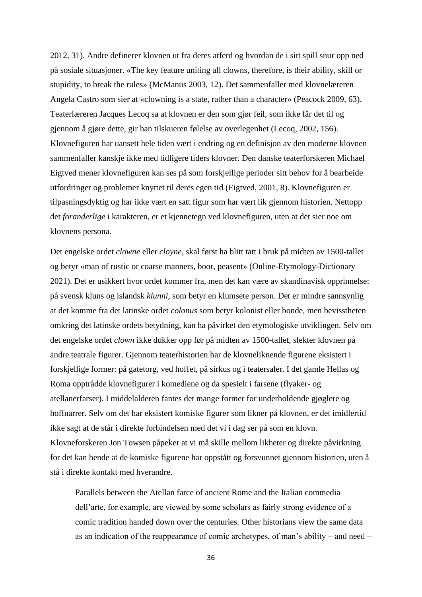2012, 31). Andre definerer klovnen ut fra deres atferd og hvordan de i sitt spill snur opp ned på sosiale situasjoner. «The key feature uniting all clowns, therefore, is their ability, skill or stupidity, to break the rules» (McManus 2003, 12). Det sammenfaller med klovnelæreren Angela Castro som sier at «clowning is a state, rather than a character» (Peacock 2009, 63). Teaterlæreren Jacques Lecoq sa at klovnen er den som gjør feil, som ikke får det til og gjennom å gjøre dette, gir han tilskueren følelse av overlegenhet (Lecoq, 2002, 156). Klovnefiguren har uansett hele tiden vært i endring og en definisjon av den moderne klovnen sammenfaller kanskje ikke med tidligere tiders klovner. Den danske teaterforskeren Michael Eigtved mener klovnefiguren kan ses på som forskjellige perioder sitt behov for å bearbeide utfordringer og problemer knyttet til deres egen tid (Eigtved, 2001, 8). Klovnefiguren er tilpasningsdyktig og har ikke vært en satt figur som har vært lik gjennom historien. Nettopp det *foranderlige* i karakteren, er et kjennetegn ved klovnefiguren, uten at det sier noe om klovnens persona.

Det engelske ordet *clowne* eller *cloyne*, skal først ha blitt tatt i bruk på midten av 1500-tallet og betyr «man of rustic or coarse manners, boor, peasent» (Online-Etymology-Dictionary 2021). Det er usikkert hvor ordet kommer fra, men det kan være av skandinavisk opprinnelse: på svensk kluns og islandsk *klunni,* som betyr en klumsete person. Det er mindre sannsynlig at det komme fra det latinske ordet *colonus* som betyr kolonist eller bonde, men bevisstheten omkring det latinske ordets betydning, kan ha påvirket den etymologiske utviklingen. Selv om det engelske ordet *clown* ikke dukker opp før på midten av 1500-tallet, slekter klovnen på andre teatrale figurer. Gjennom teaterhistorien har de klovneliknende figurene eksistert i forskjellige former: på gatetorg, ved hoffet, på sirkus og i teatersaler. I det gamle Hellas og Roma opptrådde klovnefigurer i komediene og da spesielt i farsene (flyaker- og atellanerfarser). I middelalderen fantes det mange former for underholdende gjøglere og hoffnarrer. Selv om det har eksistert komiske figurer som likner på klovnen, er det imidlertid ikke sagt at de står i direkte forbindelsen med det vi i dag ser på som en klovn. Klovneforskeren Jon Towsen påpeker at vi må skille mellom likheter og direkte påvirkning for det kan hende at de komiske figurene har oppstått og forsvunnet gjennom historien, uten å stå i direkte kontakt med hverandre.

Parallels between the Atellan farce of ancient Rome and the Italian commedia dell'arte, for example, are viewed by some scholars as fairly strong evidence of a comic tradition handed down over the centuries. Other historians view the same data as an indication of the reappearance of comic archetypes, of man's ability – and need –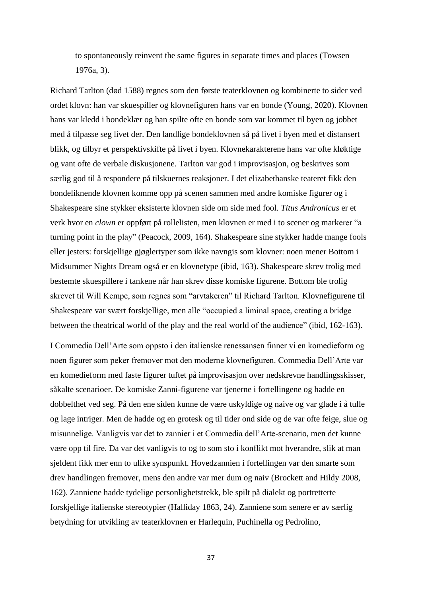to spontaneously reinvent the same figures in separate times and places (Towsen 1976a, 3).

Richard Tarlton (død 1588) regnes som den første teaterklovnen og kombinerte to sider ved ordet klovn: han var skuespiller og klovnefiguren hans var en bonde (Young, 2020). Klovnen hans var kledd i bondeklær og han spilte ofte en bonde som var kommet til byen og jobbet med å tilpasse seg livet der. Den landlige bondeklovnen så på livet i byen med et distansert blikk, og tilbyr et perspektivskifte på livet i byen. Klovnekarakterene hans var ofte kløktige og vant ofte de verbale diskusjonene. Tarlton var god i improvisasjon, og beskrives som særlig god til å respondere på tilskuernes reaksjoner. I det elizabethanske teateret fikk den bondeliknende klovnen komme opp på scenen sammen med andre komiske figurer og i Shakespeare sine stykker eksisterte klovnen side om side med fool. *Titus Andronicus* er et verk hvor en *clown* er oppført på rollelisten, men klovnen er med i to scener og markerer "a turning point in the play" (Peacock, 2009, 164). Shakespeare sine stykker hadde mange fools eller jesters: forskjellige gjøglertyper som ikke navngis som klovner: noen mener Bottom i Midsummer Nights Dream også er en klovnetype (ibid, 163). Shakespeare skrev trolig med bestemte skuespillere i tankene når han skrev disse komiske figurene. Bottom ble trolig skrevet til Will Kempe, som regnes som "arvtakeren" til Richard Tarlton. Klovnefigurene til Shakespeare var svært forskjellige, men alle "occupied a liminal space, creating a bridge between the theatrical world of the play and the real world of the audience" (ibid, 162-163).

I Commedia Dell'Arte som oppsto i den italienske renessansen finner vi en komedieform og noen figurer som peker fremover mot den moderne klovnefiguren. Commedia Dell'Arte var en komedieform med faste figurer tuftet på improvisasjon over nedskrevne handlingsskisser, såkalte scenarioer. De komiske Zanni-figurene var tjenerne i fortellingene og hadde en dobbelthet ved seg. På den ene siden kunne de være uskyldige og naive og var glade i å tulle og lage intriger. Men de hadde og en grotesk og til tider ond side og de var ofte feige, slue og misunnelige. Vanligvis var det to zannier i et Commedia dell'Arte-scenario, men det kunne være opp til fire. Da var det vanligvis to og to som sto i konflikt mot hverandre, slik at man sjeldent fikk mer enn to ulike synspunkt. Hovedzannien i fortellingen var den smarte som drev handlingen fremover, mens den andre var mer dum og naiv (Brockett and Hildy 2008, 162). Zanniene hadde tydelige personlighetstrekk, ble spilt på dialekt og portretterte forskjellige italienske stereotypier (Halliday 1863, 24). Zanniene som senere er av særlig betydning for utvikling av teaterklovnen er Harlequin, Puchinella og Pedrolino,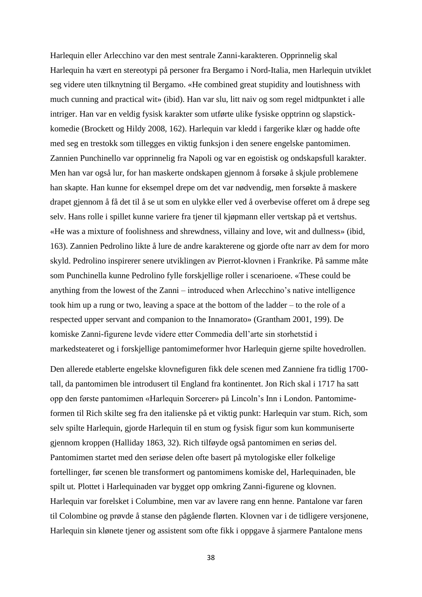Harlequin eller Arlecchino var den mest sentrale Zanni-karakteren. Opprinnelig skal Harlequin ha vært en stereotypi på personer fra Bergamo i Nord-Italia, men Harlequin utviklet seg videre uten tilknytning til Bergamo. «He combined great stupidity and loutishness with much cunning and practical wit» (ibid). Han var slu, litt naiv og som regel midtpunktet i alle intriger. Han var en veldig fysisk karakter som utførte ulike fysiske opptrinn og slapstickkomedie (Brockett og Hildy 2008, 162). Harlequin var kledd i fargerike klær og hadde ofte med seg en trestokk som tillegges en viktig funksjon i den senere engelske pantomimen. Zannien Punchinello var opprinnelig fra Napoli og var en egoistisk og ondskapsfull karakter. Men han var også lur, for han maskerte ondskapen gjennom å forsøke å skjule problemene han skapte. Han kunne for eksempel drepe om det var nødvendig, men forsøkte å maskere drapet gjennom å få det til å se ut som en ulykke eller ved å overbevise offeret om å drepe seg selv. Hans rolle i spillet kunne variere fra tjener til kjøpmann eller vertskap på et vertshus. «He was a mixture of foolishness and shrewdness, villainy and love, wit and dullness» (ibid, 163). Zannien Pedrolino likte å lure de andre karakterene og gjorde ofte narr av dem for moro skyld. Pedrolino inspirerer senere utviklingen av Pierrot-klovnen i Frankrike. På samme måte som Punchinella kunne Pedrolino fylle forskjellige roller i scenarioene. «These could be anything from the lowest of the Zanni – introduced when Arlecchino's native intelligence took him up a rung or two, leaving a space at the bottom of the ladder – to the role of a respected upper servant and companion to the Innamorato» (Grantham 2001, 199). De komiske Zanni-figurene levde videre etter Commedia dell'arte sin storhetstid i markedsteateret og i forskjellige pantomimeformer hvor Harlequin gjerne spilte hovedrollen.

Den allerede etablerte engelske klovnefiguren fikk dele scenen med Zanniene fra tidlig 1700 tall, da pantomimen ble introdusert til England fra kontinentet. Jon Rich skal i 1717 ha satt opp den første pantomimen «Harlequin Sorcerer» på Lincoln's Inn i London. Pantomimeformen til Rich skilte seg fra den italienske på et viktig punkt: Harlequin var stum. Rich, som selv spilte Harlequin, gjorde Harlequin til en stum og fysisk figur som kun kommuniserte gjennom kroppen (Halliday 1863, 32). Rich tilføyde også pantomimen en seriøs del. Pantomimen startet med den seriøse delen ofte basert på mytologiske eller folkelige fortellinger, før scenen ble transformert og pantomimens komiske del, Harlequinaden, ble spilt ut*.* Plottet i Harlequinaden var bygget opp omkring Zanni-figurene og klovnen. Harlequin var forelsket i Columbine, men var av lavere rang enn henne. Pantalone var faren til Colombine og prøvde å stanse den pågående flørten. Klovnen var i de tidligere versjonene, Harlequin sin klønete tjener og assistent som ofte fikk i oppgave å sjarmere Pantalone mens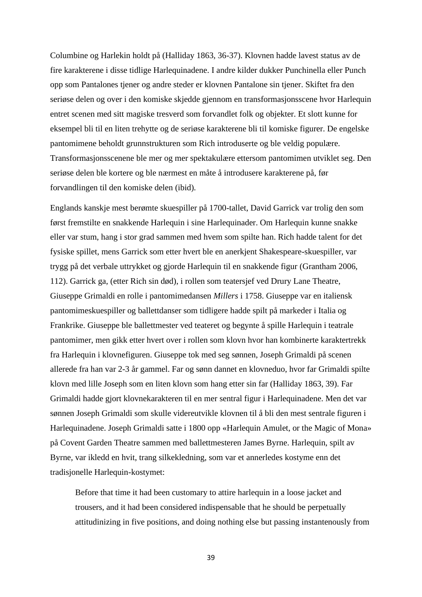Columbine og Harlekin holdt på (Halliday 1863, 36-37). Klovnen hadde lavest status av de fire karakterene i disse tidlige Harlequinadene. I andre kilder dukker Punchinella eller Punch opp som Pantalones tjener og andre steder er klovnen Pantalone sin tjener. Skiftet fra den seriøse delen og over i den komiske skjedde gjennom en transformasjonsscene hvor Harlequin entret scenen med sitt magiske tresverd som forvandlet folk og objekter. Et slott kunne for eksempel bli til en liten trehytte og de seriøse karakterene bli til komiske figurer. De engelske pantomimene beholdt grunnstrukturen som Rich introduserte og ble veldig populære. Transformasjonsscenene ble mer og mer spektakulære ettersom pantomimen utviklet seg. Den seriøse delen ble kortere og ble nærmest en måte å introdusere karakterene på, før forvandlingen til den komiske delen (ibid)*.* 

Englands kanskje mest berømte skuespiller på 1700-tallet, David Garrick var trolig den som først fremstilte en snakkende Harlequin i sine Harlequinader. Om Harlequin kunne snakke eller var stum, hang i stor grad sammen med hvem som spilte han. Rich hadde talent for det fysiske spillet, mens Garrick som etter hvert ble en anerkjent Shakespeare-skuespiller, var trygg på det verbale uttrykket og gjorde Harlequin til en snakkende figur (Grantham 2006, 112). Garrick ga, (etter Rich sin død), i rollen som teatersjef ved Drury Lane Theatre, Giuseppe Grimaldi en rolle i pantomimedansen *Millers* i 1758. Giuseppe var en italiensk pantomimeskuespiller og ballettdanser som tidligere hadde spilt på markeder i Italia og Frankrike. Giuseppe ble ballettmester ved teateret og begynte å spille Harlequin i teatrale pantomimer, men gikk etter hvert over i rollen som klovn hvor han kombinerte karaktertrekk fra Harlequin i klovnefiguren. Giuseppe tok med seg sønnen, Joseph Grimaldi på scenen allerede fra han var 2-3 år gammel. Far og sønn dannet en klovneduo, hvor far Grimaldi spilte klovn med lille Joseph som en liten klovn som hang etter sin far (Halliday 1863, 39). Far Grimaldi hadde gjort klovnekarakteren til en mer sentral figur i Harlequinadene. Men det var sønnen Joseph Grimaldi som skulle videreutvikle klovnen til å bli den mest sentrale figuren i Harlequinadene. Joseph Grimaldi satte i 1800 opp «Harlequin Amulet, or the Magic of Mona» på Covent Garden Theatre sammen med ballettmesteren James Byrne. Harlequin, spilt av Byrne, var ikledd en hvit, trang silkekledning, som var et annerledes kostyme enn det tradisjonelle Harlequin-kostymet:

Before that time it had been customary to attire harlequin in a loose jacket and trousers, and it had been considered indispensable that he should be perpetually attitudinizing in five positions, and doing nothing else but passing instantenously from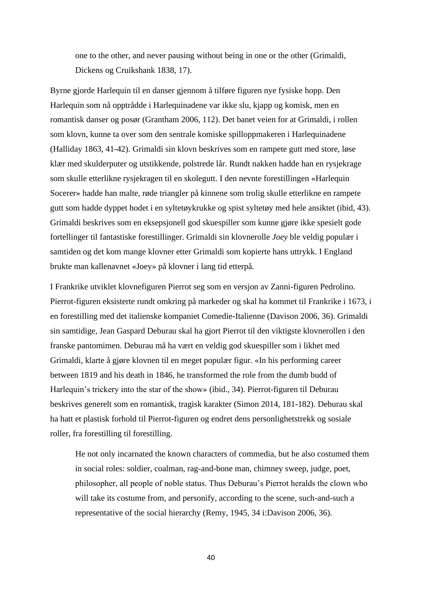one to the other, and never pausing without being in one or the other (Grimaldi, Dickens og Cruikshank 1838, 17).

Byrne gjorde Harlequin til en danser gjennom å tilføre figuren nye fysiske hopp. Den Harlequin som nå opptrådde i Harlequinadene var ikke slu, kjapp og komisk, men en romantisk danser og posør (Grantham 2006, 112). Det banet veien for at Grimaldi, i rollen som klovn, kunne ta over som den sentrale komiske spilloppmakeren i Harlequinadene (Halliday 1863, 41-42). Grimaldi sin klovn beskrives som en rampete gutt med store, løse klær med skulderputer og utstikkende, polstrede lår. Rundt nakken hadde han en rysjekrage som skulle etterlikne rysjekragen til en skolegutt. I den nevnte forestillingen «Harlequin Socerer» hadde han malte, røde triangler på kinnene som trolig skulle etterlikne en rampete gutt som hadde dyppet hodet i en syltetøykrukke og spist syltetøy med hele ansiktet (ibid, 43). Grimaldi beskrives som en eksepsjonell god skuespiller som kunne gjøre ikke spesielt gode fortellinger til fantastiske forestillinger. Grimaldi sin klovnerolle *Joey* ble veldig populær i samtiden og det kom mange klovner etter Grimaldi som kopierte hans uttrykk. I England brukte man kallenavnet «Joey» på klovner i lang tid etterpå.

I Frankrike utviklet klovnefiguren Pierrot seg som en versjon av Zanni-figuren Pedrolino. Pierrot-figuren eksisterte rundt omkring på markeder og skal ha kommet til Frankrike i 1673, i en forestilling med det italienske kompaniet Comedie-Italienne (Davison 2006, 36). Grimaldi sin samtidige, Jean Gaspard Deburau skal ha gjort Pierrot til den viktigste klovnerollen i den franske pantomimen. Deburau må ha vært en veldig god skuespiller som i likhet med Grimaldi, klarte å gjøre klovnen til en meget populær figur. «In his performing career between 1819 and his death in 1846, he transformed the role from the dumb budd of Harlequin's trickery into the star of the show» (ibid., 34). Pierrot-figuren til Deburau beskrives generelt som en romantisk, tragisk karakter (Simon 2014, 181-182). Deburau skal ha hatt et plastisk forhold til Pierrot-figuren og endret dens personlighetstrekk og sosiale roller, fra forestilling til forestilling.

He not only incarnated the known characters of commedia, but he also costumed them in social roles: soldier, coalman, rag-and-bone man, chimney sweep, judge, poet, philosopher, all people of noble status. Thus Deburau's Pierrot heralds the clown who will take its costume from, and personify, according to the scene, such-and-such a representative of the social hierarchy (Remy, 1945, 34 i:Davison 2006, 36).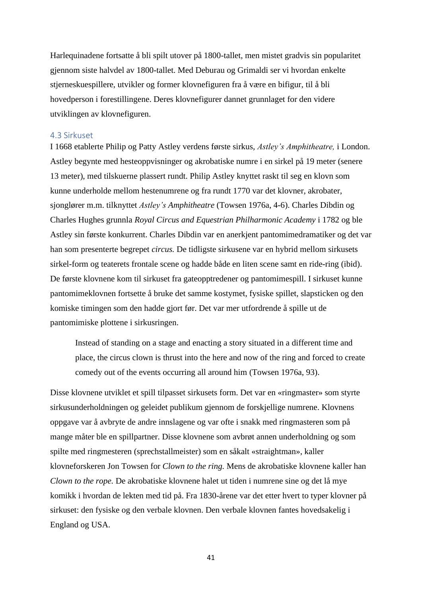Harlequinadene fortsatte å bli spilt utover på 1800-tallet, men mistet gradvis sin popularitet gjennom siste halvdel av 1800-tallet. Med Deburau og Grimaldi ser vi hvordan enkelte stjerneskuespillere, utvikler og former klovnefiguren fra å være en bifigur, til å bli hovedperson i forestillingene. Deres klovnefigurer dannet grunnlaget for den videre utviklingen av klovnefiguren.

# 4.3 Sirkuset

I 1668 etablerte Philip og Patty Astley verdens første sirkus, *Astley's Amphitheatre,* i London. Astley begynte med hesteoppvisninger og akrobatiske numre i en sirkel på 19 meter (senere 13 meter), med tilskuerne plassert rundt. Philip Astley knyttet raskt til seg en klovn som kunne underholde mellom hestenumrene og fra rundt 1770 var det klovner, akrobater, sjonglører m.m. tilknyttet *Astley's Amphitheatre* (Towsen 1976a, 4-6). Charles Dibdin og Charles Hughes grunnla *Royal Circus and Equestrian Philharmonic Academy* i 1782 og ble Astley sin første konkurrent. Charles Dibdin var en anerkjent pantomimedramatiker og det var han som presenterte begrepet *circus.* De tidligste sirkusene var en hybrid mellom sirkusets sirkel-form og teaterets frontale scene og hadde både en liten scene samt en ride-ring (ibid). De første klovnene kom til sirkuset fra gateopptredener og pantomimespill. I sirkuset kunne pantomimeklovnen fortsette å bruke det samme kostymet, fysiske spillet, slapsticken og den komiske timingen som den hadde gjort før. Det var mer utfordrende å spille ut de pantomimiske plottene i sirkusringen.

Instead of standing on a stage and enacting a story situated in a different time and place, the circus clown is thrust into the here and now of the ring and forced to create comedy out of the events occurring all around him (Towsen 1976a, 93).

Disse klovnene utviklet et spill tilpasset sirkusets form. Det var en «ringmaster» som styrte sirkusunderholdningen og geleidet publikum gjennom de forskjellige numrene. Klovnens oppgave var å avbryte de andre innslagene og var ofte i snakk med ringmasteren som på mange måter ble en spillpartner. Disse klovnene som avbrøt annen underholdning og som spilte med ringmesteren (sprechstallmeister) som en såkalt «straightman», kaller klovneforskeren Jon Towsen for *Clown to the ring.* Mens de akrobatiske klovnene kaller han *Clown to the rope.* De akrobatiske klovnene halet ut tiden i numrene sine og det lå mye komikk i hvordan de lekten med tid på. Fra 1830-årene var det etter hvert to typer klovner på sirkuset: den fysiske og den verbale klovnen. Den verbale klovnen fantes hovedsakelig i England og USA.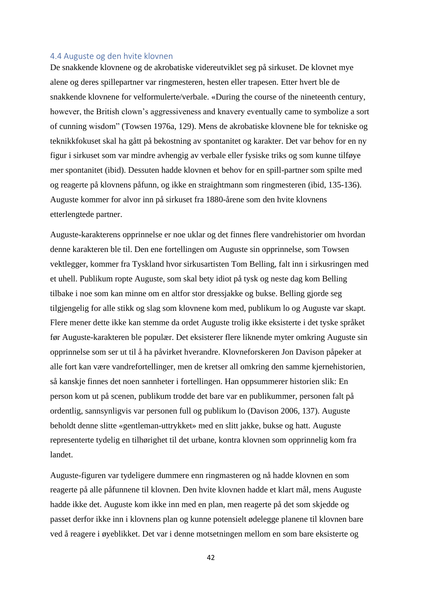# 4.4 Auguste og den hvite klovnen

De snakkende klovnene og de akrobatiske videreutviklet seg på sirkuset. De klovnet mye alene og deres spillepartner var ringmesteren, hesten eller trapesen. Etter hvert ble de snakkende klovnene for velformulerte/verbale. «During the course of the nineteenth century, however, the British clown's aggressiveness and knavery eventually came to symbolize a sort of cunning wisdom" (Towsen 1976a, 129). Mens de akrobatiske klovnene ble for tekniske og teknikkfokuset skal ha gått på bekostning av spontanitet og karakter. Det var behov for en ny figur i sirkuset som var mindre avhengig av verbale eller fysiske triks og som kunne tilføye mer spontanitet (ibid). Dessuten hadde klovnen et behov for en spill-partner som spilte med og reagerte på klovnens påfunn, og ikke en straightmann som ringmesteren (ibid, 135-136). Auguste kommer for alvor inn på sirkuset fra 1880-årene som den hvite klovnens etterlengtede partner.

Auguste-karakterens opprinnelse er noe uklar og det finnes flere vandrehistorier om hvordan denne karakteren ble til. Den ene fortellingen om Auguste sin opprinnelse, som Towsen vektlegger, kommer fra Tyskland hvor sirkusartisten Tom Belling, falt inn i sirkusringen med et uhell. Publikum ropte Auguste, som skal bety idiot på tysk og neste dag kom Belling tilbake i noe som kan minne om en altfor stor dressjakke og bukse. Belling gjorde seg tilgjengelig for alle stikk og slag som klovnene kom med, publikum lo og Auguste var skapt. Flere mener dette ikke kan stemme da ordet Auguste trolig ikke eksisterte i det tyske språket før Auguste-karakteren ble populær. Det eksisterer flere liknende myter omkring Auguste sin opprinnelse som ser ut til å ha påvirket hverandre. Klovneforskeren Jon Davison påpeker at alle fort kan være vandrefortellinger, men de kretser all omkring den samme kjernehistorien, så kanskje finnes det noen sannheter i fortellingen. Han oppsummerer historien slik: En person kom ut på scenen, publikum trodde det bare var en publikummer, personen falt på ordentlig, sannsynligvis var personen full og publikum lo (Davison 2006, 137). Auguste beholdt denne slitte «gentleman-uttrykket» med en slitt jakke, bukse og hatt. Auguste representerte tydelig en tilhørighet til det urbane, kontra klovnen som opprinnelig kom fra landet.

Auguste-figuren var tydeligere dummere enn ringmasteren og nå hadde klovnen en som reagerte på alle påfunnene til klovnen. Den hvite klovnen hadde et klart mål, mens Auguste hadde ikke det. Auguste kom ikke inn med en plan, men reagerte på det som skjedde og passet derfor ikke inn i klovnens plan og kunne potensielt ødelegge planene til klovnen bare ved å reagere i øyeblikket. Det var i denne motsetningen mellom en som bare eksisterte og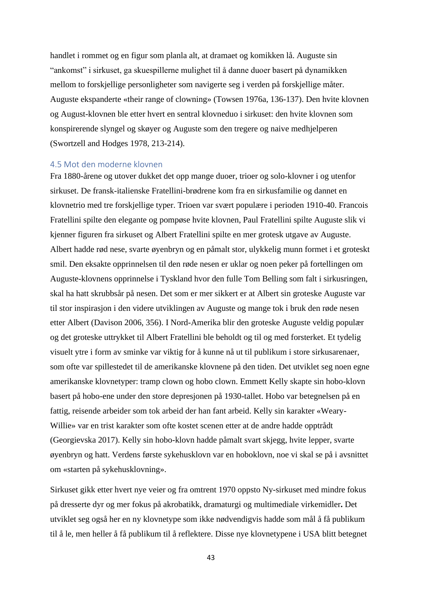handlet i rommet og en figur som planla alt, at dramaet og komikken lå. Auguste sin "ankomst" i sirkuset, ga skuespillerne mulighet til å danne duoer basert på dynamikken mellom to forskjellige personligheter som navigerte seg i verden på forskjellige måter. Auguste ekspanderte «their range of clowning» (Towsen 1976a, 136-137). Den hvite klovnen og August-klovnen ble etter hvert en sentral klovneduo i sirkuset: den hvite klovnen som konspirerende slyngel og skøyer og Auguste som den tregere og naive medhjelperen (Swortzell and Hodges 1978, 213-214).

## 4.5 Mot den moderne klovnen

Fra 1880-årene og utover dukket det opp mange duoer, trioer og solo-klovner i og utenfor sirkuset. De fransk-italienske Fratellini-brødrene kom fra en sirkusfamilie og dannet en klovnetrio med tre forskjellige typer. Trioen var svært populære i perioden 1910-40. Francois Fratellini spilte den elegante og pompøse hvite klovnen, Paul Fratellini spilte Auguste slik vi kjenner figuren fra sirkuset og Albert Fratellini spilte en mer grotesk utgave av Auguste. Albert hadde rød nese, svarte øyenbryn og en påmalt stor, ulykkelig munn formet i et groteskt smil. Den eksakte opprinnelsen til den røde nesen er uklar og noen peker på fortellingen om Auguste-klovnens opprinnelse i Tyskland hvor den fulle Tom Belling som falt i sirkusringen, skal ha hatt skrubbsår på nesen. Det som er mer sikkert er at Albert sin groteske Auguste var til stor inspirasjon i den videre utviklingen av Auguste og mange tok i bruk den røde nesen etter Albert (Davison 2006, 356). I Nord-Amerika blir den groteske Auguste veldig populær og det groteske uttrykket til Albert Fratellini ble beholdt og til og med forsterket. Et tydelig visuelt ytre i form av sminke var viktig for å kunne nå ut til publikum i store sirkusarenaer, som ofte var spillestedet til de amerikanske klovnene på den tiden. Det utviklet seg noen egne amerikanske klovnetyper: tramp clown og hobo clown. Emmett Kelly skapte sin hobo-klovn basert på hobo-ene under den store depresjonen på 1930-tallet. Hobo var betegnelsen på en fattig, reisende arbeider som tok arbeid der han fant arbeid. Kelly sin karakter «Weary-Willie» var en trist karakter som ofte kostet scenen etter at de andre hadde opptrådt (Georgievska 2017). Kelly sin hobo-klovn hadde påmalt svart skjegg, hvite lepper, svarte øyenbryn og hatt. Verdens første sykehusklovn var en hoboklovn, noe vi skal se på i avsnittet om «starten på sykehusklovning».

Sirkuset gikk etter hvert nye veier og fra omtrent 1970 oppsto Ny-sirkuset med mindre fokus på dresserte dyr og mer fokus på akrobatikk, dramaturgi og multimediale virkemidler**.** Det utviklet seg også her en ny klovnetype som ikke nødvendigvis hadde som mål å få publikum til å le, men heller å få publikum til å reflektere. Disse nye klovnetypene i USA blitt betegnet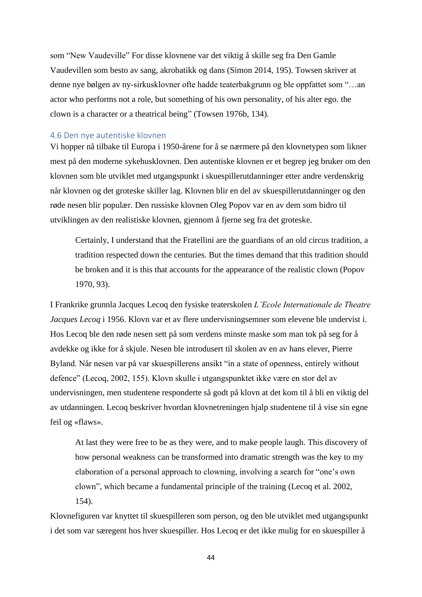som "New Vaudeville" For disse klovnene var det viktig å skille seg fra Den Gamle Vaudevillen som besto av sang, akrobatikk og dans (Simon 2014, 195). Towsen skriver at denne nye bølgen av ny-sirkusklovner ofte hadde teaterbakgrunn og ble oppfattet som "…an actor who performs not a role, but something of his own personality, of his alter ego. the clown is a character or a theatrical being" (Towsen 1976b, 134).

# 4.6 Den nye autentiske klovnen

Vi hopper nå tilbake til Europa i 1950-årene for å se nærmere på den klovnetypen som likner mest på den moderne sykehusklovnen. Den autentiske klovnen er et begrep jeg bruker om den klovnen som ble utviklet med utgangspunkt i skuespillerutdanninger etter andre verdenskrig når klovnen og det groteske skiller lag. Klovnen blir en del av skuespillerutdanninger og den røde nesen blir populær. Den russiske klovnen Oleg Popov var en av dem som bidro til utviklingen av den realistiske klovnen, gjennom å fjerne seg fra det groteske.

Certainly, I understand that the Fratellini are the guardians of an old circus tradition, a tradition respected down the centuries. But the times demand that this tradition should be broken and it is this that accounts for the appearance of the realistic clown (Popov 1970, 93).

I Frankrike grunnla Jacques Lecoq den fysiske teaterskolen *L'Ecole Internationale de Theatre Jacques Lecoq* i 1956. Klovn var et av flere undervisningsemner som elevene ble undervist i. Hos Lecoq ble den røde nesen sett på som verdens minste maske som man tok på seg for å avdekke og ikke for å skjule. Nesen ble introdusert til skolen av en av hans elever, Pierre Byland. Når nesen var på var skuespillerens ansikt "in a state of openness, entirely without defence" (Lecoq, 2002, 155). Klovn skulle i utgangspunktet ikke være en stor del av undervisningen, men studentene responderte så godt på klovn at det kom til å bli en viktig del av utdanningen. Lecoq beskriver hvordan klovnetreningen hjalp studentene til å vise sin egne feil og «flaws».

At last they were free to be as they were, and to make people laugh. This discovery of how personal weakness can be transformed into dramatic strength was the key to my elaboration of a personal approach to clowning, involving a search for "one's own clown", which became a fundamental principle of the training (Lecoq et al. 2002, 154).

Klovnefiguren var knyttet til skuespilleren som person, og den ble utviklet med utgangspunkt i det som var særegent hos hver skuespiller. Hos Lecoq er det ikke mulig for en skuespiller å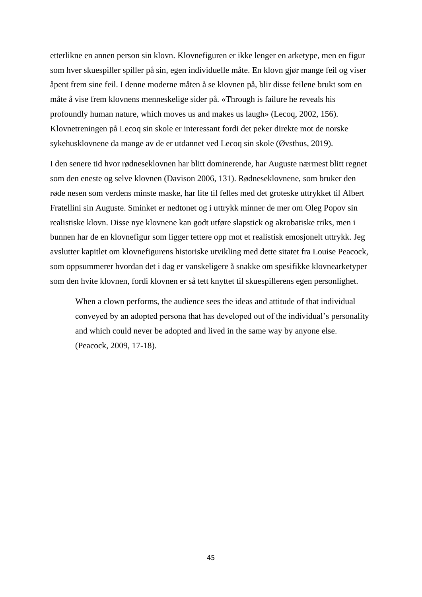etterlikne en annen person sin klovn. Klovnefiguren er ikke lenger en arketype, men en figur som hver skuespiller spiller på sin, egen individuelle måte. En klovn gjør mange feil og viser åpent frem sine feil. I denne moderne måten å se klovnen på, blir disse feilene brukt som en måte å vise frem klovnens menneskelige sider på. «Through is failure he reveals his profoundly human nature, which moves us and makes us laugh» (Lecoq, 2002, 156). Klovnetreningen på Lecoq sin skole er interessant fordi det peker direkte mot de norske sykehusklovnene da mange av de er utdannet ved Lecoq sin skole (Øvsthus, 2019).

I den senere tid hvor rødneseklovnen har blitt dominerende, har Auguste nærmest blitt regnet som den eneste og selve klovnen (Davison 2006, 131). Rødneseklovnene, som bruker den røde nesen som verdens minste maske, har lite til felles med det groteske uttrykket til Albert Fratellini sin Auguste. Sminket er nedtonet og i uttrykk minner de mer om Oleg Popov sin realistiske klovn. Disse nye klovnene kan godt utføre slapstick og akrobatiske triks, men i bunnen har de en klovnefigur som ligger tettere opp mot et realistisk emosjonelt uttrykk. Jeg avslutter kapitlet om klovnefigurens historiske utvikling med dette sitatet fra Louise Peacock, som oppsummerer hvordan det i dag er vanskeligere å snakke om spesifikke klovnearketyper som den hvite klovnen, fordi klovnen er så tett knyttet til skuespillerens egen personlighet.

When a clown performs, the audience sees the ideas and attitude of that individual conveyed by an adopted persona that has developed out of the individual's personality and which could never be adopted and lived in the same way by anyone else. (Peacock, 2009, 17-18).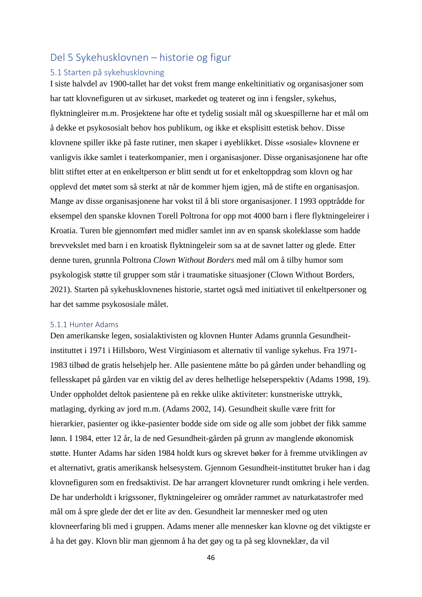# Del 5 Sykehusklovnen – historie og figur

# 5.1 Starten på sykehusklovning

I siste halvdel av 1900-tallet har det vokst frem mange enkeltinitiativ og organisasjoner som har tatt klovnefiguren ut av sirkuset, markedet og teateret og inn i fengsler, sykehus, flyktningleirer m.m. Prosjektene har ofte et tydelig sosialt mål og skuespillerne har et mål om å dekke et psykososialt behov hos publikum, og ikke et eksplisitt estetisk behov. Disse klovnene spiller ikke på faste rutiner, men skaper i øyeblikket. Disse «sosiale» klovnene er vanligvis ikke samlet i teaterkompanier, men i organisasjoner. Disse organisasjonene har ofte blitt stiftet etter at en enkeltperson er blitt sendt ut for et enkeltoppdrag som klovn og har opplevd det møtet som så sterkt at når de kommer hjem igjen, må de stifte en organisasjon. Mange av disse organisasjonene har vokst til å bli store organisasjoner. I 1993 opptrådde for eksempel den spanske klovnen Torell Poltrona for opp mot 4000 barn i flere flyktningeleirer i Kroatia. Turen ble gjennomført med midler samlet inn av en spansk skoleklasse som hadde brevvekslet med barn i en kroatisk flyktningeleir som sa at de savnet latter og glede. Etter denne turen, grunnla Poltrona *Clown Without Borders* med mål om å tilby humor som psykologisk støtte til grupper som står i traumatiske situasjoner (Clown Without Borders, 2021). Starten på sykehusklovnenes historie, startet også med initiativet til enkeltpersoner og har det samme psykososiale målet.

# 5.1.1 Hunter Adams

Den amerikanske legen, sosialaktivisten og klovnen Hunter Adams grunnla Gesundheitinstituttet i 1971 i Hillsboro, West Virginiasom et alternativ til vanlige sykehus. Fra 1971- 1983 tilbød de gratis helsehjelp her. Alle pasientene måtte bo på gården under behandling og fellesskapet på gården var en viktig del av deres helhetlige helseperspektiv (Adams 1998, 19). Under oppholdet deltok pasientene på en rekke ulike aktiviteter: kunstneriske uttrykk, matlaging, dyrking av jord m.m. (Adams 2002, 14). Gesundheit skulle være fritt for hierarkier, pasienter og ikke-pasienter bodde side om side og alle som jobbet der fikk samme lønn. I 1984, etter 12 år, la de ned Gesundheit-gården på grunn av manglende økonomisk støtte. Hunter Adams har siden 1984 holdt kurs og skrevet bøker for å fremme utviklingen av et alternativt, gratis amerikansk helsesystem. Gjennom Gesundheit-instituttet bruker han i dag klovnefiguren som en fredsaktivist. De har arrangert klovneturer rundt omkring i hele verden. De har underholdt i krigssoner, flyktningeleirer og områder rammet av naturkatastrofer med mål om å spre glede der det er lite av den. Gesundheit lar mennesker med og uten klovneerfaring bli med i gruppen. Adams mener alle mennesker kan klovne og det viktigste er å ha det gøy. Klovn blir man gjennom å ha det gøy og ta på seg klovneklær, da vil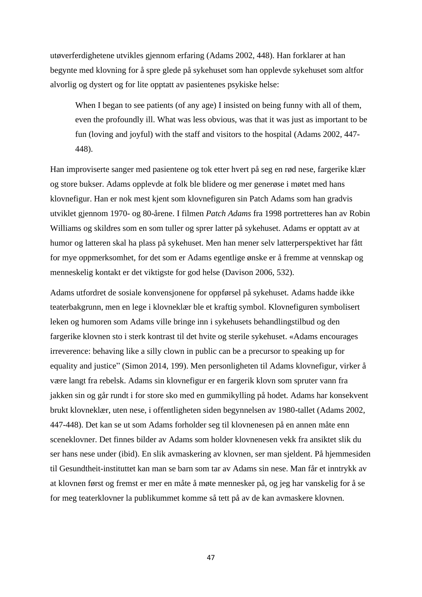utøverferdighetene utvikles gjennom erfaring (Adams 2002, 448). Han forklarer at han begynte med klovning for å spre glede på sykehuset som han opplevde sykehuset som altfor alvorlig og dystert og for lite opptatt av pasientenes psykiske helse:

When I began to see patients (of any age) I insisted on being funny with all of them, even the profoundly ill. What was less obvious, was that it was just as important to be fun (loving and joyful) with the staff and visitors to the hospital (Adams 2002, 447- 448).

Han improviserte sanger med pasientene og tok etter hvert på seg en rød nese, fargerike klær og store bukser. Adams opplevde at folk ble blidere og mer generøse i møtet med hans klovnefigur. Han er nok mest kjent som klovnefiguren sin Patch Adams som han gradvis utviklet gjennom 1970- og 80-årene. I filmen *Patch Adams* fra 1998 portretteres han av Robin Williams og skildres som en som tuller og sprer latter på sykehuset. Adams er opptatt av at humor og latteren skal ha plass på sykehuset. Men han mener selv latterperspektivet har fått for mye oppmerksomhet, for det som er Adams egentlige ønske er å fremme at vennskap og menneskelig kontakt er det viktigste for god helse (Davison 2006, 532).

Adams utfordret de sosiale konvensjonene for oppførsel på sykehuset. Adams hadde ikke teaterbakgrunn, men en lege i klovneklær ble et kraftig symbol. Klovnefiguren symbolisert leken og humoren som Adams ville bringe inn i sykehusets behandlingstilbud og den fargerike klovnen sto i sterk kontrast til det hvite og sterile sykehuset. «Adams encourages irreverence: behaving like a silly clown in public can be a precursor to speaking up for equality and justice" (Simon 2014, 199). Men personligheten til Adams klovnefigur, virker å være langt fra rebelsk. Adams sin klovnefigur er en fargerik klovn som spruter vann fra jakken sin og går rundt i for store sko med en gummikylling på hodet. Adams har konsekvent brukt klovneklær, uten nese, i offentligheten siden begynnelsen av 1980-tallet (Adams 2002, 447-448). Det kan se ut som Adams forholder seg til klovnenesen på en annen måte enn sceneklovner. Det finnes bilder av Adams som holder klovnenesen vekk fra ansiktet slik du ser hans nese under (ibid). En slik avmaskering av klovnen, ser man sjeldent. På hjemmesiden til Gesundtheit-instituttet kan man se barn som tar av Adams sin nese. Man får et inntrykk av at klovnen først og fremst er mer en måte å møte mennesker på, og jeg har vanskelig for å se for meg teaterklovner la publikummet komme så tett på av de kan avmaskere klovnen.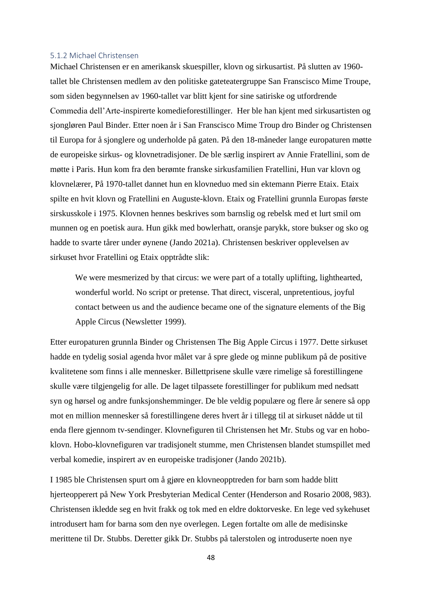## 5.1.2 Michael Christensen

Michael Christensen er en amerikansk skuespiller, klovn og sirkusartist. På slutten av 1960 tallet ble Christensen medlem av den politiske gateteatergruppe San Franscisco Mime Troupe, som siden begynnelsen av 1960-tallet var blitt kjent for sine satiriske og utfordrende Commedia dell'Arte-inspirerte komedieforestillinger. Her ble han kjent med sirkusartisten og sjongløren Paul Binder. Etter noen år i San Franscisco Mime Troup dro Binder og Christensen til Europa for å sjonglere og underholde på gaten. På den 18-måneder lange europaturen møtte de europeiske sirkus- og klovnetradisjoner. De ble særlig inspirert av Annie Fratellini, som de møtte i Paris. Hun kom fra den berømte franske sirkusfamilien Fratellini, Hun var klovn og klovnelærer, På 1970-tallet dannet hun en klovneduo med sin ektemann Pierre Etaix. Etaix spilte en hvit klovn og Fratellini en Auguste-klovn. Etaix og Fratellini grunnla Europas første sirskusskole i 1975. Klovnen hennes beskrives som barnslig og rebelsk med et lurt smil om munnen og en poetisk aura. Hun gikk med bowlerhatt, oransje parykk, store bukser og sko og hadde to svarte tårer under øynene (Jando 2021a). Christensen beskriver opplevelsen av sirkuset hvor Fratellini og Etaix opptrådte slik:

We were mesmerized by that circus: we were part of a totally uplifting, lighthearted, wonderful world. No script or pretense. That direct, visceral, unpretentious, joyful contact between us and the audience became one of the signature elements of the Big Apple Circus (Newsletter 1999).

Etter europaturen grunnla Binder og Christensen The Big Apple Circus i 1977. Dette sirkuset hadde en tydelig sosial agenda hvor målet var å spre glede og minne publikum på de positive kvalitetene som finns i alle mennesker. Billettprisene skulle være rimelige så forestillingene skulle være tilgjengelig for alle. De laget tilpassete forestillinger for publikum med nedsatt syn og hørsel og andre funksjonshemminger. De ble veldig populære og flere år senere så opp mot en million mennesker så forestillingene deres hvert år i tillegg til at sirkuset nådde ut til enda flere gjennom tv-sendinger. Klovnefiguren til Christensen het Mr. Stubs og var en hoboklovn. Hobo-klovnefiguren var tradisjonelt stumme, men Christensen blandet stumspillet med verbal komedie, inspirert av en europeiske tradisjoner (Jando 2021b).

I 1985 ble Christensen spurt om å gjøre en klovneopptreden for barn som hadde blitt hjerteopperert på New York Presbyterian Medical Center (Henderson and Rosario 2008, 983). Christensen ikledde seg en hvit frakk og tok med en eldre doktorveske. En lege ved sykehuset introdusert ham for barna som den nye overlegen. Legen fortalte om alle de medisinske merittene til Dr. Stubbs. Deretter gikk Dr. Stubbs på talerstolen og introduserte noen nye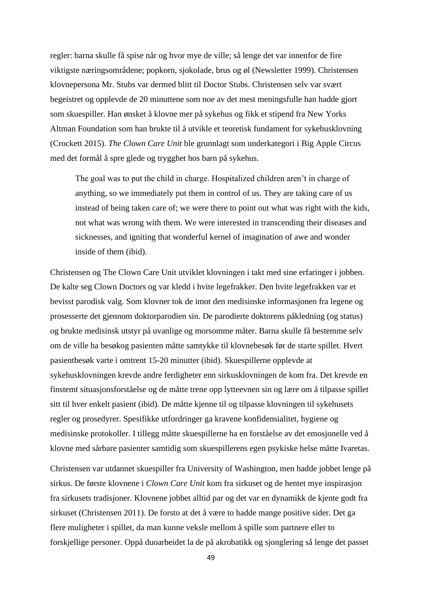regler: barna skulle få spise når og hvor mye de ville; så lenge det var innenfor de fire viktigste næringsområdene; popkorn, sjokolade, brus og øl (Newsletter 1999). Christensen klovnepersona Mr. Stubs var dermed blitt til Doctor Stubs. Christensen selv var svært begeistret og opplevde de 20 minuttene som noe av det mest meningsfulle han hadde gjort som skuespiller. Han ønsket å klovne mer på sykehus og fikk et stipend fra New Yorks Altman Foundation som han brukte til å utvikle et teoretisk fundament for sykehusklovning (Crockett 2015). *The Clown Care Unit* ble grunnlagt som underkategori i Big Apple Circus med det formål å spre glede og trygghet hos barn på sykehus.

The goal was to put the child in charge. Hospitalized children aren't in charge of anything, so we immediately put them in control of us. They are taking care of us instead of being taken care of; we were there to point out what was right with the kids, not what was wrong with them. We were interested in transcending their diseases and sicknesses, and igniting that wonderful kernel of imagination of awe and wonder inside of them (ibid).

Christensen og The Clown Care Unit utviklet klovningen i takt med sine erfaringer i jobben. De kalte seg Clown Doctors og var kledd i hvite legefrakker. Den hvite legefrakken var et bevisst parodisk valg. Som klovner tok de imot den medisinske informasjonen fra legene og prosesserte det gjennom doktorparodien sin. De parodierte doktorens påkledning (og status) og brukte medisinsk utstyr på uvanlige og morsomme måter. Barna skulle få bestemme selv om de ville ha besøkog pasienten måtte samtykke til klovnebesøk før de starte spillet. Hvert pasientbesøk varte i omtrent 15-20 minutter (ibid). Skuespillerne opplevde at sykehusklovningen krevde andre ferdigheter enn sirkusklovningen de kom fra. Det krevde en finstemt situasjonsforståelse og de måtte trene opp lytteevnen sin og lære om å tilpasse spillet sitt til hver enkelt pasient (ibid). De måtte kjenne til og tilpasse klovningen til sykehusets regler og prosedyrer. Spesifikke utfordringer ga kravene konfidensialitet, hygiene og medisinske protokoller. I tillegg måtte skuespillerne ha en forståelse av det emosjonelle ved å klovne med sårbare pasienter samtidig som skuespillerens egen psykiske helse måtte Ivaretas.

Christensen var utdannet skuespiller fra University of Washington, men hadde jobbet lenge på sirkus. De første klovnene i *Clown Care Unit* kom fra sirkuset og de hentet mye inspirasjon fra sirkusets tradisjoner. Klovnene jobbet alltid par og det var en dynamikk de kjente godt fra sirkuset (Christensen 2011). De forsto at det å være to hadde mange positive sider. Det ga flere muligheter i spillet, da man kunne veksle mellom å spille som partnere eller to forskjellige personer. Oppå duoarbeidet la de på akrobatikk og sjonglering så lenge det passet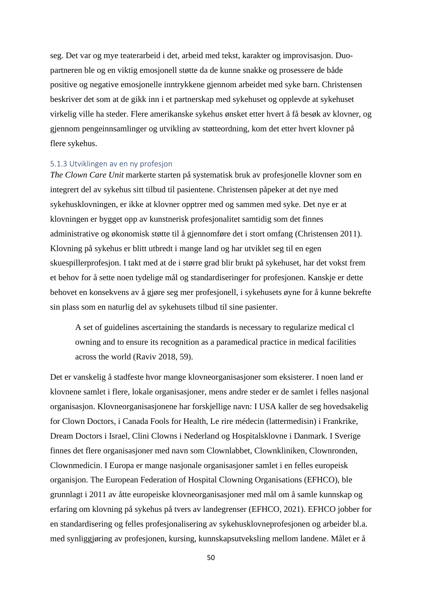seg. Det var og mye teaterarbeid i det, arbeid med tekst, karakter og improvisasjon. Duopartneren ble og en viktig emosjonell støtte da de kunne snakke og prosessere de både positive og negative emosjonelle inntrykkene gjennom arbeidet med syke barn. Christensen beskriver det som at de gikk inn i et partnerskap med sykehuset og opplevde at sykehuset virkelig ville ha steder. Flere amerikanske sykehus ønsket etter hvert å få besøk av klovner, og gjennom pengeinnsamlinger og utvikling av støtteordning, kom det etter hvert klovner på flere sykehus.

### 5.1.3 Utviklingen av en ny profesjon

*The Clown Care Unit* markerte starten på systematisk bruk av profesjonelle klovner som en integrert del av sykehus sitt tilbud til pasientene. Christensen påpeker at det nye med sykehusklovningen, er ikke at klovner opptrer med og sammen med syke. Det nye er at klovningen er bygget opp av kunstnerisk profesjonalitet samtidig som det finnes administrative og økonomisk støtte til å gjennomføre det i stort omfang (Christensen 2011). Klovning på sykehus er blitt utbredt i mange land og har utviklet seg til en egen skuespillerprofesjon. I takt med at de i større grad blir brukt på sykehuset, har det vokst frem et behov for å sette noen tydelige mål og standardiseringer for profesjonen. Kanskje er dette behovet en konsekvens av å gjøre seg mer profesjonell, i sykehusets øyne for å kunne bekrefte sin plass som en naturlig del av sykehusets tilbud til sine pasienter.

A set of guidelines ascertaining the standards is necessary to regularize medical cl owning and to ensure its recognition as a paramedical practice in medical facilities across the world (Raviv 2018, 59).

Det er vanskelig å stadfeste hvor mange klovneorganisasjoner som eksisterer. I noen land er klovnene samlet i flere, lokale organisasjoner, mens andre steder er de samlet i felles nasjonal organisasjon. Klovneorganisasjonene har forskjellige navn: I USA kaller de seg hovedsakelig for Clown Doctors, i Canada Fools for Health, Le rire médecin (lattermedisin) i Frankrike, Dream Doctors i Israel, Clini Clowns i Nederland og Hospitalsklovne i Danmark. I Sverige finnes det flere organisasjoner med navn som Clownlabbet, Clownkliniken, Clownronden, Clownmedicin. I Europa er mange nasjonale organisasjoner samlet i en felles europeisk organisjon. The European Federation of Hospital Clowning Organisations (EFHCO), ble grunnlagt i 2011 av åtte europeiske klovneorganisasjoner med mål om å samle kunnskap og erfaring om klovning på sykehus på tvers av landegrenser (EFHCO, 2021). EFHCO jobber for en standardisering og felles profesjonalisering av sykehusklovneprofesjonen og arbeider bl.a. med synliggjøring av profesjonen, kursing, kunnskapsutveksling mellom landene. Målet er å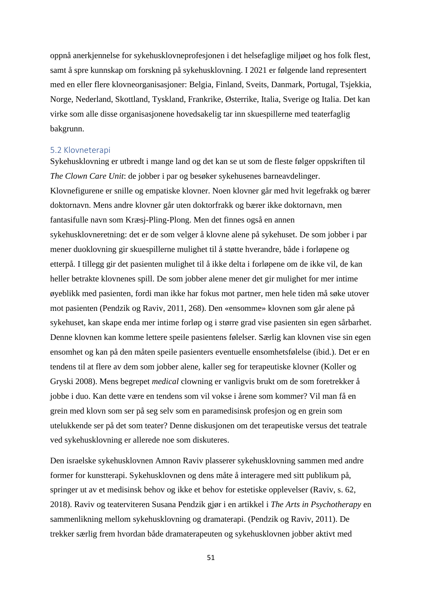oppnå anerkjennelse for sykehusklovneprofesjonen i det helsefaglige miljøet og hos folk flest, samt å spre kunnskap om forskning på sykehusklovning. I 2021 er følgende land representert med en eller flere klovneorganisasjoner: Belgia, Finland, Sveits, Danmark, Portugal, Tsjekkia, Norge, Nederland, Skottland, Tyskland, Frankrike, Østerrike, Italia, Sverige og Italia. Det kan virke som alle disse organisasjonene hovedsakelig tar inn skuespillerne med teaterfaglig bakgrunn.

#### 5.2 Klovneterapi

Sykehusklovning er utbredt i mange land og det kan se ut som de fleste følger oppskriften til *The Clown Care Unit*: de jobber i par og besøker sykehusenes barneavdelinger. Klovnefigurene er snille og empatiske klovner. Noen klovner går med hvit legefrakk og bærer doktornavn. Mens andre klovner går uten doktorfrakk og bærer ikke doktornavn, men fantasifulle navn som Kræsj-Pling-Plong. Men det finnes også en annen sykehusklovneretning: det er de som velger å klovne alene på sykehuset. De som jobber i par mener duoklovning gir skuespillerne mulighet til å støtte hverandre, både i forløpene og etterpå. I tillegg gir det pasienten mulighet til å ikke delta i forløpene om de ikke vil, de kan heller betrakte klovnenes spill. De som jobber alene mener det gir mulighet for mer intime øyeblikk med pasienten, fordi man ikke har fokus mot partner, men hele tiden må søke utover mot pasienten (Pendzik og Raviv, 2011, 268). Den «ensomme» klovnen som går alene på sykehuset, kan skape enda mer intime forløp og i større grad vise pasienten sin egen sårbarhet. Denne klovnen kan komme lettere speile pasientens følelser. Særlig kan klovnen vise sin egen ensomhet og kan på den måten speile pasienters eventuelle ensomhetsfølelse (ibid.). Det er en tendens til at flere av dem som jobber alene, kaller seg for terapeutiske klovner (Koller og Gryski 2008). Mens begrepet *medical* clowning er vanligvis brukt om de som foretrekker å jobbe i duo. Kan dette være en tendens som vil vokse i årene som kommer? Vil man få en grein med klovn som ser på seg selv som en paramedisinsk profesjon og en grein som utelukkende ser på det som teater? Denne diskusjonen om det terapeutiske versus det teatrale ved sykehusklovning er allerede noe som diskuteres.

Den israelske sykehusklovnen Amnon Raviv plasserer sykehusklovning sammen med andre former for kunstterapi. Sykehusklovnen og dens måte å interagere med sitt publikum på, springer ut av et medisinsk behov og ikke et behov for estetiske opplevelser (Raviv, s. 62, 2018). Raviv og teaterviteren Susana Pendzik gjør i en artikkel i *The Arts in Psychotherapy* en sammenlikning mellom sykehusklovning og dramaterapi. (Pendzik og Raviv, 2011). De trekker særlig frem hvordan både dramaterapeuten og sykehusklovnen jobber aktivt med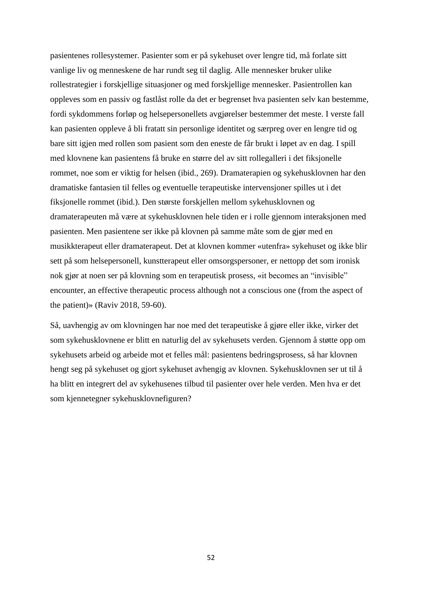pasientenes rollesystemer. Pasienter som er på sykehuset over lengre tid, må forlate sitt vanlige liv og menneskene de har rundt seg til daglig. Alle mennesker bruker ulike rollestrategier i forskjellige situasjoner og med forskjellige mennesker. Pasientrollen kan oppleves som en passiv og fastlåst rolle da det er begrenset hva pasienten selv kan bestemme, fordi sykdommens forløp og helsepersonellets avgjørelser bestemmer det meste. I verste fall kan pasienten oppleve å bli fratatt sin personlige identitet og særpreg over en lengre tid og bare sitt igjen med rollen som pasient som den eneste de får brukt i løpet av en dag. I spill med klovnene kan pasientens få bruke en større del av sitt rollegalleri i det fiksjonelle rommet, noe som er viktig for helsen (ibid., 269). Dramaterapien og sykehusklovnen har den dramatiske fantasien til felles og eventuelle terapeutiske intervensjoner spilles ut i det fiksjonelle rommet (ibid.). Den største forskjellen mellom sykehusklovnen og dramaterapeuten må være at sykehusklovnen hele tiden er i rolle gjennom interaksjonen med pasienten. Men pasientene ser ikke på klovnen på samme måte som de gjør med en musikkterapeut eller dramaterapeut. Det at klovnen kommer «utenfra» sykehuset og ikke blir sett på som helsepersonell, kunstterapeut eller omsorgspersoner, er nettopp det som ironisk nok gjør at noen ser på klovning som en terapeutisk prosess, «it becomes an "invisible" encounter, an effective therapeutic process although not a conscious one (from the aspect of the patient)» (Raviv 2018, 59-60).

Så, uavhengig av om klovningen har noe med det terapeutiske å gjøre eller ikke, virker det som sykehusklovnene er blitt en naturlig del av sykehusets verden. Gjennom å støtte opp om sykehusets arbeid og arbeide mot et felles mål: pasientens bedringsprosess, så har klovnen hengt seg på sykehuset og gjort sykehuset avhengig av klovnen. Sykehusklovnen ser ut til å ha blitt en integrert del av sykehusenes tilbud til pasienter over hele verden. Men hva er det som kjennetegner sykehusklovnefiguren?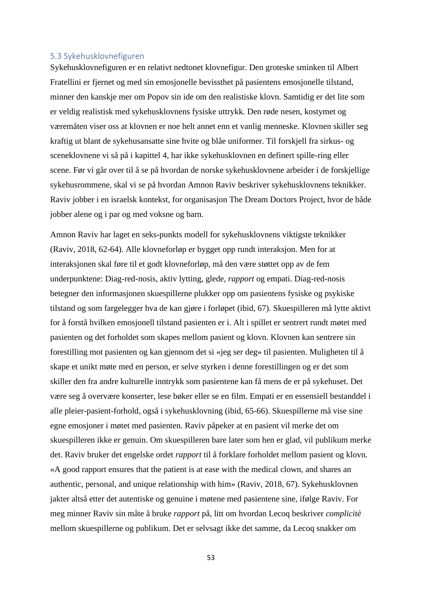# 5.3 Sykehusklovnefiguren

Sykehusklovnefiguren er en relativt nedtonet klovnefigur. Den groteske sminken til Albert Fratellini er fjernet og med sin emosjonelle bevissthet på pasientens emosjonelle tilstand, minner den kanskje mer om Popov sin ide om den realistiske klovn. Samtidig er det lite som er veldig realistisk med sykehusklovnens fysiske uttrykk. Den røde nesen, kostymet og væremåten viser oss at klovnen er noe helt annet enn et vanlig menneske. Klovnen skiller seg kraftig ut blant de sykehusansatte sine hvite og blåe uniformer. Til forskjell fra sirkus- og sceneklovnene vi så på i kapittel 4, har ikke sykehusklovnen en definert spille-ring eller scene. Før vi går over til å se på hvordan de norske sykehusklovnene arbeider i de forskjellige sykehusrommene, skal vi se på hvordan Amnon Raviv beskriver sykehusklovnens teknikker. Raviv jobber i en israelsk kontekst, for organisasjon The Dream Doctors Project, hvor de både jobber alene og i par og med voksne og barn.

Amnon Raviv har laget en seks-punkts modell for sykehusklovnens viktigste teknikker (Raviv, 2018, 62-64). Alle klovneforløp er bygget opp rundt interaksjon. Men for at interaksjonen skal føre til et godt klovneforløp, må den være støttet opp av de fem underpunktene: Diag-red-nosis, aktiv lytting, glede, *rapport* og empati. Diag-red-nosis betegner den informasjonen skuespillerne plukker opp om pasientens fysiske og psykiske tilstand og som fargelegger hva de kan gjøre i forløpet (ibid, 67). Skuespilleren må lytte aktivt for å forstå hvilken emosjonell tilstand pasienten er i. Alt i spillet er sentrert rundt møtet med pasienten og det forholdet som skapes mellom pasient og klovn. Klovnen kan sentrere sin forestilling mot pasienten og kan gjennom det si «jeg ser deg» til pasienten. Muligheten til å skape et unikt møte med en person, er selve styrken i denne forestillingen og er det som skiller den fra andre kulturelle inntrykk som pasientene kan få mens de er på sykehuset. Det være seg å overvære konserter, lese bøker eller se en film. Empati er en essensiell bestanddel i alle pleier-pasient-forhold, også i sykehusklovning (ibid, 65-66). Skuespillerne må vise sine egne emosjoner i møtet med pasienten. Raviv påpeker at en pasient vil merke det om skuespilleren ikke er genuin. Om skuespilleren bare later som hen er glad, vil publikum merke det. Raviv bruker det engelske ordet *rapport* til å forklare forholdet mellom pasient og klovn. «A good rapport ensures that the patient is at ease with the medical clown, and shares an authentic, personal, and unique relationship with him» (Raviv, 2018, 67). Sykehusklovnen jakter altså etter det autentiske og genuine i møtene med pasientene sine, ifølge Raviv. For meg minner Raviv sin måte å bruke *rapport* på, litt om hvordan Lecoq beskriver *complicitè*  mellom skuespillerne og publikum. Det er selvsagt ikke det samme, da Lecoq snakker om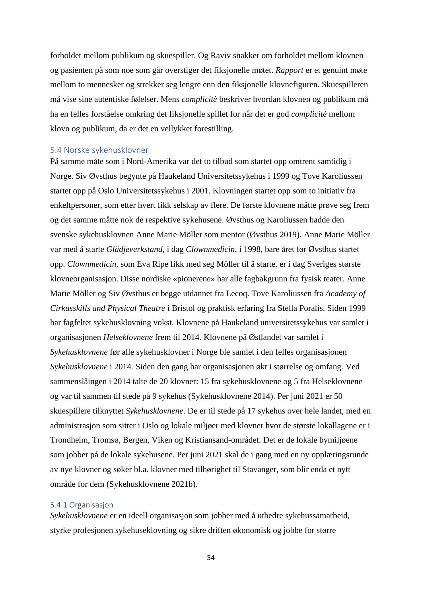forholdet mellom publikum og skuespiller. Og Raviv snakker om forholdet mellom klovnen og pasienten på som noe som går overstiger det fiksjonelle møtet. *Rapport* er et genuint møte mellom to mennesker og strekker seg lengre enn den fiksjonelle klovnefiguren. Skuespilleren må vise sine autentiske følelser. Mens *complicitè* beskriver hvordan klovnen og publikum må ha en felles forståelse omkring det fiksjonelle spillet for når det er god *complicitè* mellom klovn og publikum, da er det en vellykket forestilling.

# 5.4 Norske sykehusklovner

På samme måte som i Nord-Amerika var det to tilbud som startet opp omtrent samtidig i Norge. Siv Øvsthus begynte på Haukeland Universitetssykehus i 1999 og Tove Karoliussen startet opp på Oslo Universitetssykehus i 2001. Klovningen startet opp som to initiativ fra enkeltpersoner, som etter hvert fikk selskap av flere. De første klovnene måtte prøve seg frem og det samme måtte nok de respektive sykehusene. Øvsthus og Karoliussen hadde den svenske sykehusklovnen Anne Marie Möller som mentor (Øvsthus 2019). Anne Marie Möller var med å starte *Glädjeverkstand,* i dag *Clownmedicin*, i 1998, bare året før Øvsthus startet opp. *Clownmedicin,* som Eva Ripe fikk med seg Möller til å starte, er i dag Sveriges største klovneorganisasjon. Disse nordiske «pionerene» har alle fagbakgrunn fra fysisk teater. Anne Marie Möller og Siv Øvsthus er begge utdannet fra Lecoq. Tove Karoliussen fra *Academy of Cirkusskills and Physical Theatre* i Bristol og praktisk erfaring fra Stella Poralis. Siden 1999 har fagfeltet sykehusklovning vokst. Klovnene på Haukeland universitetssykehus var samlet i organisasjonen *Helseklovnene* frem til 2014. Klovnene på Østlandet var samlet i *Sykehusklovnene* før alle sykehusklovner i Norge ble samlet i den felles organisasjonen *Sykehusklovnene* i 2014*.* Siden den gang har organisasjonen økt i størrelse og omfang. Ved sammenslåingen i 2014 talte de 20 klovner: 15 fra sykehusklovnene og 5 fra Helseklovnene og var til sammen til stede på 9 sykehus (Sykehusklovnene 2014). Per juni 2021 er 50 skuespillere tilknyttet *Sykehusklovnene*. De er til stede på 17 sykehus over hele landet, med en administrasjon som sitter i Oslo og lokale miljøer med klovner hvor de største lokallagene er i Trondheim, Tromsø, Bergen, Viken og Kristiansand-området. Det er de lokale bymiljøene som jobber på de lokale sykehusene. Per juni 2021 skal de i gang med en ny opplæringsrunde av nye klovner og søker bl.a. klovner med tilhørighet til Stavanger, som blir enda et nytt område for dem (Sykehusklovnene 2021b).

## 5.4.1 Organisasjon

*Sykehusklovnene* er en ideell organisasjon som jobber med å utbedre sykehussamarbeid, styrke profesjonen sykehuseklovning og sikre driften økonomisk og jobbe for større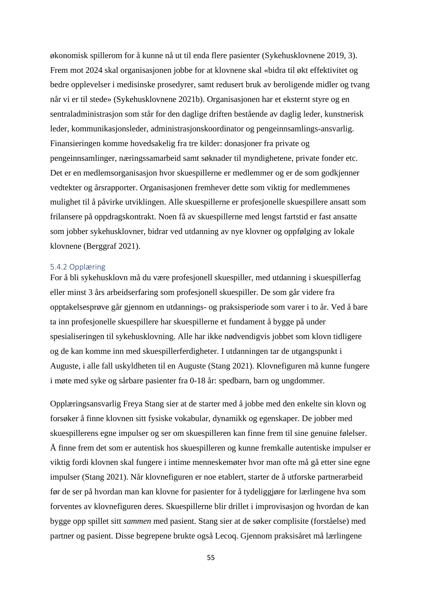økonomisk spillerom for å kunne nå ut til enda flere pasienter (Sykehusklovnene 2019, 3). Frem mot 2024 skal organisasjonen jobbe for at klovnene skal «bidra til økt effektivitet og bedre opplevelser i medisinske prosedyrer, samt redusert bruk av beroligende midler og tvang når vi er til stede» (Sykehusklovnene 2021b). Organisasjonen har et eksternt styre og en sentraladministrasjon som står for den daglige driften bestående av daglig leder, kunstnerisk leder, kommunikasjonsleder, administrasjonskoordinator og pengeinnsamlings-ansvarlig. Finansieringen komme hovedsakelig fra tre kilder: donasjoner fra private og pengeinnsamlinger, næringssamarbeid samt søknader til myndighetene, private fonder etc. Det er en medlemsorganisasjon hvor skuespillerne er medlemmer og er de som godkjenner vedtekter og årsrapporter. Organisasjonen fremhever dette som viktig for medlemmenes mulighet til å påvirke utviklingen. Alle skuespillerne er profesjonelle skuespillere ansatt som frilansere på oppdragskontrakt. Noen få av skuespillerne med lengst fartstid er fast ansatte som jobber sykehusklovner, bidrar ved utdanning av nye klovner og oppfølging av lokale klovnene (Berggraf 2021).

## 5.4.2 Opplæring

For å bli sykehusklovn må du være profesjonell skuespiller, med utdanning i skuespillerfag eller minst 3 års arbeidserfaring som profesjonell skuespiller. De som går videre fra opptakelsesprøve går gjennom en utdannings- og praksisperiode som varer i to år. Ved å bare ta inn profesjonelle skuespillere har skuespillerne et fundament å bygge på under spesialiseringen til sykehusklovning. Alle har ikke nødvendigvis jobbet som klovn tidligere og de kan komme inn med skuespillerferdigheter. I utdanningen tar de utgangspunkt i Auguste, i alle fall uskyldheten til en Auguste (Stang 2021). Klovnefiguren må kunne fungere i møte med syke og sårbare pasienter fra 0-18 år: spedbarn, barn og ungdommer.

Opplæringsansvarlig Freya Stang sier at de starter med å jobbe med den enkelte sin klovn og forsøker å finne klovnen sitt fysiske vokabular, dynamikk og egenskaper. De jobber med skuespillerens egne impulser og ser om skuespilleren kan finne frem til sine genuine følelser. Å finne frem det som er autentisk hos skuespilleren og kunne fremkalle autentiske impulser er viktig fordi klovnen skal fungere i intime menneskemøter hvor man ofte må gå etter sine egne impulser (Stang 2021). Når klovnefiguren er noe etablert, starter de å utforske partnerarbeid før de ser på hvordan man kan klovne for pasienter for å tydeliggjøre for lærlingene hva som forventes av klovnefiguren deres. Skuespillerne blir drillet i improvisasjon og hvordan de kan bygge opp spillet sitt *sammen* med pasient. Stang sier at de søker complisite (forståelse) med partner og pasient. Disse begrepene brukte også Lecoq. Gjennom praksisåret må lærlingene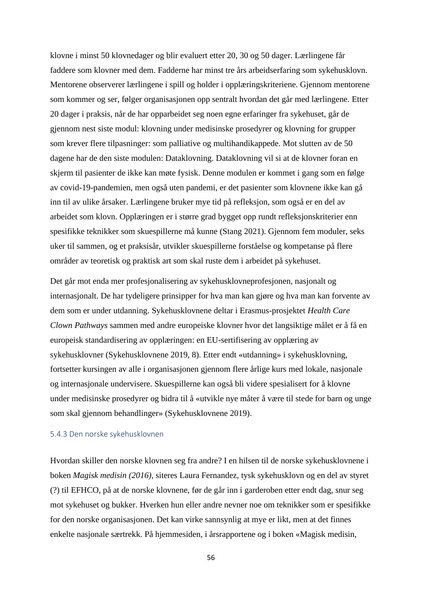klovne i minst 50 klovnedager og blir evaluert etter 20, 30 og 50 dager. Lærlingene får faddere som klovner med dem. Fadderne har minst tre års arbeidserfaring som sykehusklovn. Mentorene observerer lærlingene i spill og holder i opplæringskriteriene. Gjennom mentorene som kommer og ser, følger organisasjonen opp sentralt hvordan det går med lærlingene. Etter 20 dager i praksis, når de har opparbeidet seg noen egne erfaringer fra sykehuset, går de gjennom nest siste modul: klovning under medisinske prosedyrer og klovning for grupper som krever flere tilpasninger: som palliative og multihandikappede. Mot slutten av de 50 dagene har de den siste modulen: Dataklovning. Dataklovning vil si at de klovner foran en skjerm til pasienter de ikke kan møte fysisk. Denne modulen er kommet i gang som en følge av covid-19-pandemien, men også uten pandemi, er det pasienter som klovnene ikke kan gå inn til av ulike årsaker. Lærlingene bruker mye tid på refleksjon, som også er en del av arbeidet som klovn. Opplæringen er i større grad bygget opp rundt refleksjonskriterier enn spesifikke teknikker som skuespillerne må kunne (Stang 2021). Gjennom fem moduler, seks uker til sammen, og et praksisår, utvikler skuespillerne forståelse og kompetanse på flere områder av teoretisk og praktisk art som skal ruste dem i arbeidet på sykehuset.

Det går mot enda mer profesjonalisering av sykehusklovneprofesjonen, nasjonalt og internasjonalt. De har tydeligere prinsipper for hva man kan gjøre og hva man kan forvente av dem som er under utdanning. Sykehusklovnene deltar i Erasmus-prosjektet *Health Care Clown Pathways* sammen med andre europeiske klovner hvor det langsiktige målet er å få en europeisk standardisering av opplæringen: en EU-sertifisering av opplæring av sykehusklovner (Sykehusklovnene 2019, 8). Etter endt «utdanning» i sykehusklovning, fortsetter kursingen av alle i organisasjonen gjennom flere årlige kurs med lokale, nasjonale og internasjonale undervisere. Skuespillerne kan også bli videre spesialisert for å klovne under medisinske prosedyrer og bidra til å «utvikle nye måter å være til stede for barn og unge som skal gjennom behandlinger» (Sykehusklovnene 2019).

# 5.4.3 Den norske sykehusklovnen

Hvordan skiller den norske klovnen seg fra andre? I en hilsen til de norske sykehusklovnene i boken *Magisk medisin (2016)*, siteres Laura Fernandez, tysk sykehusklovn og en del av styret (?) til EFHCO, på at de norske klovnene, før de går inn i garderoben etter endt dag, snur seg mot sykehuset og bukker. Hverken hun eller andre nevner noe om teknikker som er spesifikke for den norske organisasjonen. Det kan virke sannsynlig at mye er likt, men at det finnes enkelte nasjonale særtrekk. På hjemmesiden, i årsrapportene og i boken «Magisk medisin,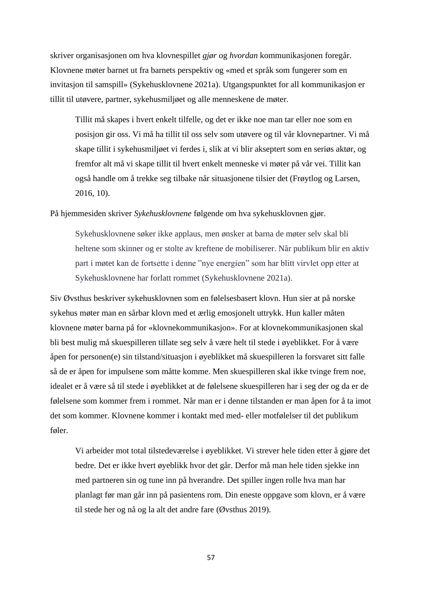skriver organisasjonen om hva klovnespillet *gjør* og *hvordan* kommunikasjonen foregår. Klovnene møter barnet ut fra barnets perspektiv og «med et språk som fungerer som en invitasjon til samspill» (Sykehusklovnene 2021a). Utgangspunktet for all kommunikasjon er tillit til utøvere, partner, sykehusmiljøet og alle menneskene de møter.

Tillit må skapes i hvert enkelt tilfelle, og det er ikke noe man tar eller noe som en posisjon gir oss. Vi må ha tillit til oss selv som utøvere og til vår klovnepartner. Vi må skape tillit i sykehusmiljøet vi ferdes i, slik at vi blir akseptert som en seriøs aktør, og fremfor alt må vi skape tillit til hvert enkelt menneske vi møter på vår vei. Tillit kan også handle om å trekke seg tilbake når situasjonene tilsier det (Frøytlog og Larsen, 2016, 10).

På hjemmesiden skriver *Sykehusklovnene* følgende om hva sykehusklovnen gjør.

Sykehusklovnene søker ikke applaus, men ønsker at barna de møter selv skal bli heltene som skinner og er stolte av kreftene de mobiliserer. Når publikum blir en aktiv part i møtet kan de fortsette i denne "nye energien" som har blitt virvlet opp etter at Sykehusklovnene har forlatt rommet (Sykehusklovnene 2021a).

Siv Øvsthus beskriver sykehusklovnen som en følelsesbasert klovn. Hun sier at på norske sykehus møter man en sårbar klovn med et ærlig emosjonelt uttrykk. Hun kaller måten klovnene møter barna på for «klovnekommunikasjon». For at klovnekommunikasjonen skal bli best mulig må skuespilleren tillate seg selv å være helt til stede i øyeblikket. For å være åpen for personen(e) sin tilstand/situasjon i øyeblikket må skuespilleren la forsvaret sitt falle så de er åpen for impulsene som måtte komme. Men skuespilleren skal ikke tvinge frem noe, idealet er å være så til stede i øyeblikket at de følelsene skuespilleren har i seg der og da er de følelsene som kommer frem i rommet. Når man er i denne tilstanden er man åpen for å ta imot det som kommer. Klovnene kommer i kontakt med med- eller motfølelser til det publikum føler.

Vi arbeider mot total tilstedeværelse i øyeblikket. Vi strever hele tiden etter å gjøre det bedre. Det er ikke hvert øyeblikk hvor det går. Derfor må man hele tiden sjekke inn med partneren sin og tune inn på hverandre. Det spiller ingen rolle hva man har planlagt før man går inn på pasientens rom. Din eneste oppgave som klovn, er å være til stede her og nå og la alt det andre fare (Øvsthus 2019).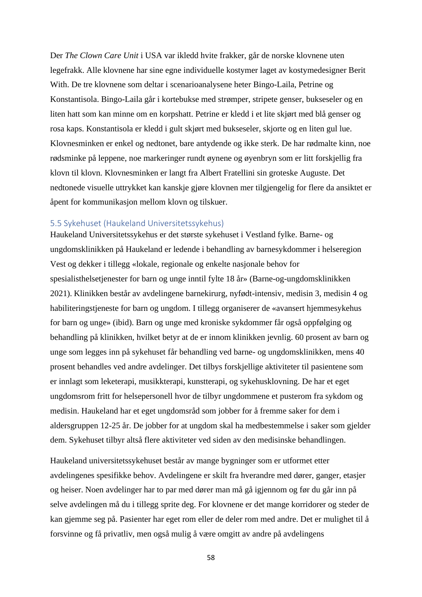Der *The Clown Care Unit* i USA var ikledd hvite frakker, går de norske klovnene uten legefrakk. Alle klovnene har sine egne individuelle kostymer laget av kostymedesigner Berit With. De tre klovnene som deltar i scenarioanalysene heter Bingo-Laila, Petrine og Konstantisola. Bingo-Laila går i kortebukse med strømper, stripete genser, bukseseler og en liten hatt som kan minne om en korpshatt. Petrine er kledd i et lite skjørt med blå genser og rosa kaps. Konstantisola er kledd i gult skjørt med bukseseler, skjorte og en liten gul lue. Klovnesminken er enkel og nedtonet, bare antydende og ikke sterk. De har rødmalte kinn, noe rødsminke på leppene, noe markeringer rundt øynene og øyenbryn som er litt forskjellig fra klovn til klovn. Klovnesminken er langt fra Albert Fratellini sin groteske Auguste. Det nedtonede visuelle uttrykket kan kanskje gjøre klovnen mer tilgjengelig for flere da ansiktet er åpent for kommunikasjon mellom klovn og tilskuer.

# 5.5 Sykehuset (Haukeland Universitetssykehus)

Haukeland Universitetssykehus er det største sykehuset i Vestland fylke. Barne- og ungdomsklinikken på Haukeland er ledende i behandling av barnesykdommer i helseregion Vest og dekker i tillegg «lokale, regionale og enkelte nasjonale behov for spesialisthelsetjenester for barn og unge inntil fylte 18 år» (Barne-og-ungdomsklinikken 2021). Klinikken består av avdelingene barnekirurg, nyfødt-intensiv, medisin 3, medisin 4 og habiliteringstjeneste for barn og ungdom. I tillegg organiserer de «avansert hjemmesykehus for barn og unge» (ibid). Barn og unge med kroniske sykdommer får også oppfølging og behandling på klinikken, hvilket betyr at de er innom klinikken jevnlig. 60 prosent av barn og unge som legges inn på sykehuset får behandling ved barne- og ungdomsklinikken, mens 40 prosent behandles ved andre avdelinger. Det tilbys forskjellige aktiviteter til pasientene som er innlagt som leketerapi, musikkterapi, kunstterapi, og sykehusklovning. De har et eget ungdomsrom fritt for helsepersonell hvor de tilbyr ungdommene et pusterom fra sykdom og medisin. Haukeland har et eget ungdomsråd som jobber for å fremme saker for dem i aldersgruppen 12-25 år. De jobber for at ungdom skal ha medbestemmelse i saker som gjelder dem. Sykehuset tilbyr altså flere aktiviteter ved siden av den medisinske behandlingen.

Haukeland universitetssykehuset består av mange bygninger som er utformet etter avdelingenes spesifikke behov. Avdelingene er skilt fra hverandre med dører, ganger, etasjer og heiser. Noen avdelinger har to par med dører man må gå igjennom og før du går inn på selve avdelingen må du i tillegg sprite deg. For klovnene er det mange korridorer og steder de kan gjemme seg på. Pasienter har eget rom eller de deler rom med andre. Det er mulighet til å forsvinne og få privatliv, men også mulig å være omgitt av andre på avdelingens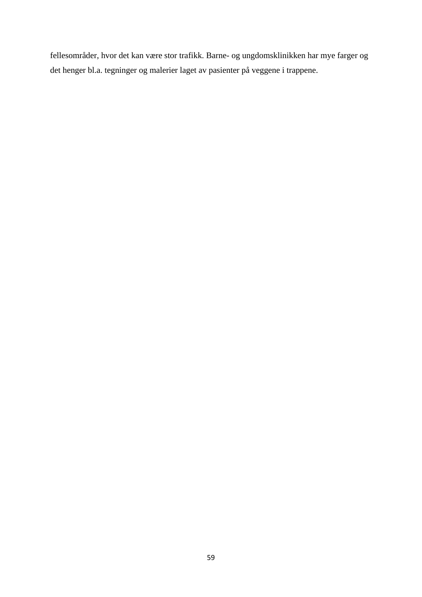fellesområder, hvor det kan være stor trafikk. Barne- og ungdomsklinikken har mye farger og det henger bl.a. tegninger og malerier laget av pasienter på veggene i trappene.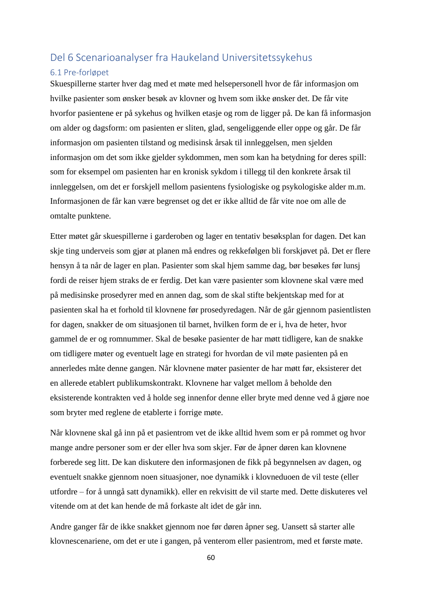# Del 6 Scenarioanalyser fra Haukeland Universitetssykehus

# 6.1 Pre-forløpet

Skuespillerne starter hver dag med et møte med helsepersonell hvor de får informasjon om hvilke pasienter som ønsker besøk av klovner og hvem som ikke ønsker det. De får vite hvorfor pasientene er på sykehus og hvilken etasje og rom de ligger på. De kan få informasjon om alder og dagsform: om pasienten er sliten, glad, sengeliggende eller oppe og går. De får informasjon om pasienten tilstand og medisinsk årsak til innleggelsen, men sjelden informasjon om det som ikke gjelder sykdommen, men som kan ha betydning for deres spill: som for eksempel om pasienten har en kronisk sykdom i tillegg til den konkrete årsak til innleggelsen, om det er forskjell mellom pasientens fysiologiske og psykologiske alder m.m. Informasjonen de får kan være begrenset og det er ikke alltid de får vite noe om alle de omtalte punktene.

Etter møtet går skuespillerne i garderoben og lager en tentativ besøksplan for dagen. Det kan skje ting underveis som gjør at planen må endres og rekkefølgen bli forskjøvet på. Det er flere hensyn å ta når de lager en plan. Pasienter som skal hjem samme dag, bør besøkes før lunsj fordi de reiser hjem straks de er ferdig. Det kan være pasienter som klovnene skal være med på medisinske prosedyrer med en annen dag, som de skal stifte bekjentskap med for at pasienten skal ha et forhold til klovnene før prosedyredagen. Når de går gjennom pasientlisten for dagen, snakker de om situasjonen til barnet, hvilken form de er i, hva de heter, hvor gammel de er og romnummer. Skal de besøke pasienter de har møtt tidligere, kan de snakke om tidligere møter og eventuelt lage en strategi for hvordan de vil møte pasienten på en annerledes måte denne gangen. Når klovnene møter pasienter de har møtt før, eksisterer det en allerede etablert publikumskontrakt. Klovnene har valget mellom å beholde den eksisterende kontrakten ved å holde seg innenfor denne eller bryte med denne ved å gjøre noe som bryter med reglene de etablerte i forrige møte.

Når klovnene skal gå inn på et pasientrom vet de ikke alltid hvem som er på rommet og hvor mange andre personer som er der eller hva som skjer. Før de åpner døren kan klovnene forberede seg litt. De kan diskutere den informasjonen de fikk på begynnelsen av dagen, og eventuelt snakke gjennom noen situasjoner, noe dynamikk i klovneduoen de vil teste (eller utfordre – for å unngå satt dynamikk). eller en rekvisitt de vil starte med. Dette diskuteres vel vitende om at det kan hende de må forkaste alt idet de går inn.

Andre ganger får de ikke snakket gjennom noe før døren åpner seg. Uansett så starter alle klovnescenariene, om det er ute i gangen, på venterom eller pasientrom, med et første møte.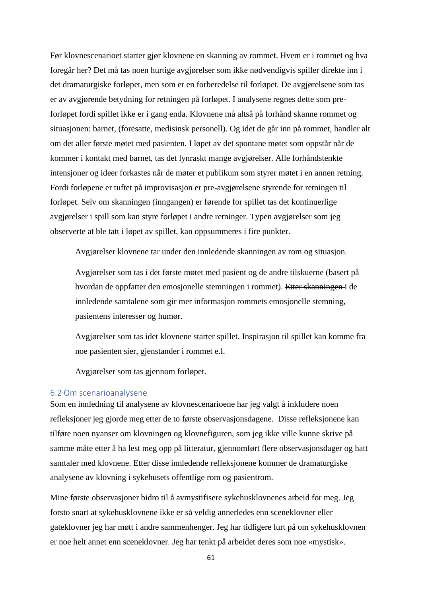Før klovnescenarioet starter gjør klovnene en skanning av rommet. Hvem er i rommet og hva foregår her? Det må tas noen hurtige avgjørelser som ikke nødvendigvis spiller direkte inn i det dramaturgiske forløpet, men som er en forberedelse til forløpet. De avgjørelsene som tas er av avgjørende betydning for retningen på forløpet. I analysene regnes dette som preforløpet fordi spillet ikke er i gang enda. Klovnene må altså på forhånd skanne rommet og situasjonen: barnet, (foresatte, medisinsk personell). Og idet de går inn på rommet, handler alt om det aller første møtet med pasienten. I løpet av det spontane møtet som oppstår når de kommer i kontakt med barnet, tas det lynraskt mange avgjørelser. Alle forhåndstenkte intensjoner og ideer forkastes når de møter et publikum som styrer møtet i en annen retning. Fordi forløpene er tuftet på improvisasjon er pre-avgjørelsene styrende for retningen til forløpet. Selv om skanningen (inngangen) er førende for spillet tas det kontinuerlige avgjørelser i spill som kan styre forløpet i andre retninger. Typen avgjørelser som jeg observerte at ble tatt i løpet av spillet, kan oppsummeres i fire punkter.

Avgjørelser klovnene tar under den innledende skanningen av rom og situasjon.

Avgjørelser som tas i det første møtet med pasient og de andre tilskuerne (basert på hvordan de oppfatter den emosjonelle stemningen i rommet). Etter skanningen i de innledende samtalene som gir mer informasjon rommets emosjonelle stemning, pasientens interesser og humør.

Avgjørelser som tas idet klovnene starter spillet. Inspirasjon til spillet kan komme fra noe pasienten sier, gjenstander i rommet e.l.

Avgjørelser som tas gjennom forløpet.

# 6.2 Om scenarioanalysene

Som en innledning til analysene av klovnescenarioene har jeg valgt å inkludere noen refleksjoner jeg gjorde meg etter de to første observasjonsdagene. Disse refleksjonene kan tilføre noen nyanser om klovningen og klovnefiguren, som jeg ikke ville kunne skrive på samme måte etter å ha lest meg opp på litteratur, gjennomført flere observasjonsdager og hatt samtaler med klovnene. Etter disse innledende refleksjonene kommer de dramaturgiske analysene av klovning i sykehusets offentlige rom og pasientrom.

Mine første observasjoner bidro til å avmystifisere sykehusklovnenes arbeid for meg. Jeg forsto snart at sykehusklovnene ikke er så veldig annerledes enn sceneklovner eller gateklovner jeg har møtt i andre sammenhenger. Jeg har tidligere lurt på om sykehusklovnen er noe helt annet enn sceneklovner. Jeg har tenkt på arbeidet deres som noe «mystisk».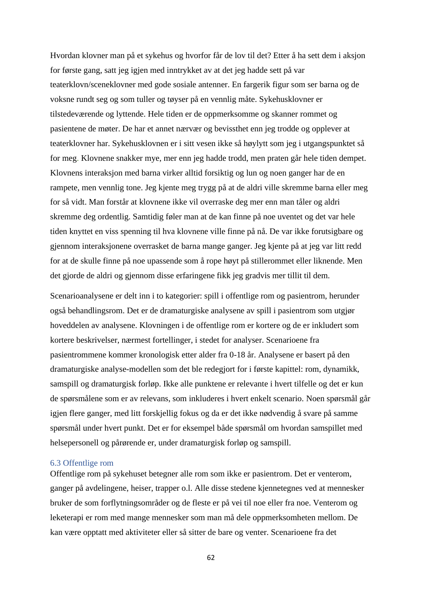Hvordan klovner man på et sykehus og hvorfor får de lov til det? Etter å ha sett dem i aksjon for første gang, satt jeg igjen med inntrykket av at det jeg hadde sett på var teaterklovn/sceneklovner med gode sosiale antenner. En fargerik figur som ser barna og de voksne rundt seg og som tuller og tøyser på en vennlig måte. Sykehusklovner er tilstedeværende og lyttende. Hele tiden er de oppmerksomme og skanner rommet og pasientene de møter. De har et annet nærvær og bevissthet enn jeg trodde og opplever at teaterklovner har. Sykehusklovnen er i sitt vesen ikke så høylytt som jeg i utgangspunktet så for meg. Klovnene snakker mye, mer enn jeg hadde trodd, men praten går hele tiden dempet. Klovnens interaksjon med barna virker alltid forsiktig og lun og noen ganger har de en rampete, men vennlig tone. Jeg kjente meg trygg på at de aldri ville skremme barna eller meg for så vidt. Man forstår at klovnene ikke vil overraske deg mer enn man tåler og aldri skremme deg ordentlig. Samtidig føler man at de kan finne på noe uventet og det var hele tiden knyttet en viss spenning til hva klovnene ville finne på nå. De var ikke forutsigbare og gjennom interaksjonene overrasket de barna mange ganger. Jeg kjente på at jeg var litt redd for at de skulle finne på noe upassende som å rope høyt på stillerommet eller liknende. Men det gjorde de aldri og gjennom disse erfaringene fikk jeg gradvis mer tillit til dem.

Scenarioanalysene er delt inn i to kategorier: spill i offentlige rom og pasientrom, herunder også behandlingsrom. Det er de dramaturgiske analysene av spill i pasientrom som utgjør hoveddelen av analysene. Klovningen i de offentlige rom er kortere og de er inkludert som kortere beskrivelser, nærmest fortellinger, i stedet for analyser. Scenarioene fra pasientrommene kommer kronologisk etter alder fra 0-18 år. Analysene er basert på den dramaturgiske analyse-modellen som det ble redegjort for i første kapittel: rom, dynamikk, samspill og dramaturgisk forløp. Ikke alle punktene er relevante i hvert tilfelle og det er kun de spørsmålene som er av relevans, som inkluderes i hvert enkelt scenario. Noen spørsmål går igjen flere ganger, med litt forskjellig fokus og da er det ikke nødvendig å svare på samme spørsmål under hvert punkt. Det er for eksempel både spørsmål om hvordan samspillet med helsepersonell og pårørende er, under dramaturgisk forløp og samspill.

# 6.3 Offentlige rom

Offentlige rom på sykehuset betegner alle rom som ikke er pasientrom. Det er venterom, ganger på avdelingene, heiser, trapper o.l. Alle disse stedene kjennetegnes ved at mennesker bruker de som forflytningsområder og de fleste er på vei til noe eller fra noe. Venterom og leketerapi er rom med mange mennesker som man må dele oppmerksomheten mellom. De kan være opptatt med aktiviteter eller så sitter de bare og venter. Scenarioene fra det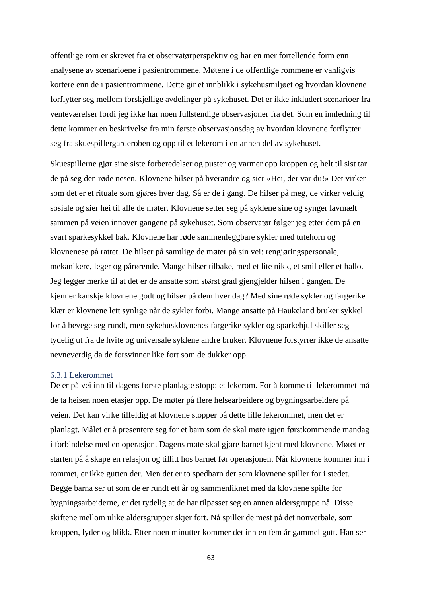offentlige rom er skrevet fra et observatørperspektiv og har en mer fortellende form enn analysene av scenarioene i pasientrommene. Møtene i de offentlige rommene er vanligvis kortere enn de i pasientrommene. Dette gir et innblikk i sykehusmiljøet og hvordan klovnene forflytter seg mellom forskjellige avdelinger på sykehuset. Det er ikke inkludert scenarioer fra venteværelser fordi jeg ikke har noen fullstendige observasjoner fra det. Som en innledning til dette kommer en beskrivelse fra min første observasjonsdag av hvordan klovnene forflytter seg fra skuespillergarderoben og opp til et lekerom i en annen del av sykehuset.

Skuespillerne gjør sine siste forberedelser og puster og varmer opp kroppen og helt til sist tar de på seg den røde nesen. Klovnene hilser på hverandre og sier «Hei, der var du!» Det virker som det er et rituale som gjøres hver dag. Så er de i gang. De hilser på meg, de virker veldig sosiale og sier hei til alle de møter. Klovnene setter seg på syklene sine og synger lavmælt sammen på veien innover gangene på sykehuset. Som observatør følger jeg etter dem på en svart sparkesykkel bak. Klovnene har røde sammenleggbare sykler med tutehorn og klovnenese på rattet. De hilser på samtlige de møter på sin vei: rengjøringspersonale, mekanikere, leger og pårørende. Mange hilser tilbake, med et lite nikk, et smil eller et hallo. Jeg legger merke til at det er de ansatte som størst grad gjengjelder hilsen i gangen. De kjenner kanskje klovnene godt og hilser på dem hver dag? Med sine røde sykler og fargerike klær er klovnene lett synlige når de sykler forbi. Mange ansatte på Haukeland bruker sykkel for å bevege seg rundt, men sykehusklovnenes fargerike sykler og sparkehjul skiller seg tydelig ut fra de hvite og universale syklene andre bruker. Klovnene forstyrrer ikke de ansatte nevneverdig da de forsvinner like fort som de dukker opp.

#### 6.3.1 Lekerommet

De er på vei inn til dagens første planlagte stopp: et lekerom. For å komme til lekerommet må de ta heisen noen etasjer opp. De møter på flere helsearbeidere og bygningsarbeidere på veien. Det kan virke tilfeldig at klovnene stopper på dette lille lekerommet, men det er planlagt. Målet er å presentere seg for et barn som de skal møte igjen førstkommende mandag i forbindelse med en operasjon. Dagens møte skal gjøre barnet kjent med klovnene. Møtet er starten på å skape en relasjon og tillitt hos barnet før operasjonen. Når klovnene kommer inn i rommet, er ikke gutten der. Men det er to spedbarn der som klovnene spiller for i stedet. Begge barna ser ut som de er rundt ett år og sammenliknet med da klovnene spilte for bygningsarbeiderne, er det tydelig at de har tilpasset seg en annen aldersgruppe nå. Disse skiftene mellom ulike aldersgrupper skjer fort. Nå spiller de mest på det nonverbale, som kroppen, lyder og blikk. Etter noen minutter kommer det inn en fem år gammel gutt. Han ser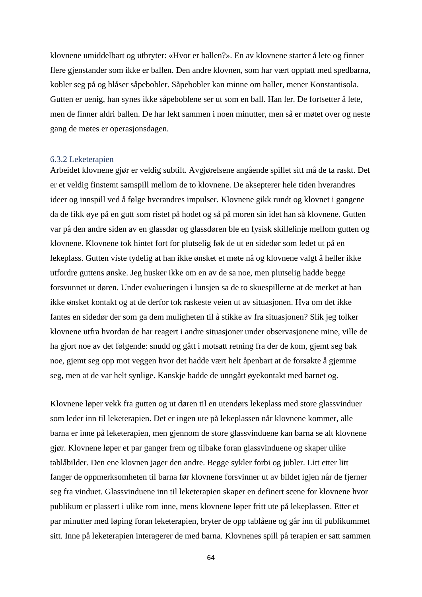klovnene umiddelbart og utbryter: «Hvor er ballen?». En av klovnene starter å lete og finner flere gjenstander som ikke er ballen. Den andre klovnen, som har vært opptatt med spedbarna, kobler seg på og blåser såpebobler. Såpebobler kan minne om baller, mener Konstantisola. Gutten er uenig, han synes ikke såpeboblene ser ut som en ball. Han ler. De fortsetter å lete, men de finner aldri ballen. De har lekt sammen i noen minutter, men så er møtet over og neste gang de møtes er operasjonsdagen.

#### 6.3.2 Leketerapien

Arbeidet klovnene gjør er veldig subtilt. Avgjørelsene angående spillet sitt må de ta raskt. Det er et veldig finstemt samspill mellom de to klovnene. De aksepterer hele tiden hverandres ideer og innspill ved å følge hverandres impulser. Klovnene gikk rundt og klovnet i gangene da de fikk øye på en gutt som ristet på hodet og så på moren sin idet han så klovnene. Gutten var på den andre siden av en glassdør og glassdøren ble en fysisk skillelinje mellom gutten og klovnene. Klovnene tok hintet fort for plutselig føk de ut en sidedør som ledet ut på en lekeplass. Gutten viste tydelig at han ikke ønsket et møte nå og klovnene valgt å heller ikke utfordre guttens ønske. Jeg husker ikke om en av de sa noe, men plutselig hadde begge forsvunnet ut døren. Under evalueringen i lunsjen sa de to skuespillerne at de merket at han ikke ønsket kontakt og at de derfor tok raskeste veien ut av situasjonen. Hva om det ikke fantes en sidedør der som ga dem muligheten til å stikke av fra situasjonen? Slik jeg tolker klovnene utfra hvordan de har reagert i andre situasjoner under observasjonene mine, ville de ha gjort noe av det følgende: snudd og gått i motsatt retning fra der de kom, gjemt seg bak noe, gjemt seg opp mot veggen hvor det hadde vært helt åpenbart at de forsøkte å gjemme seg, men at de var helt synlige. Kanskje hadde de unngått øyekontakt med barnet og.

Klovnene løper vekk fra gutten og ut døren til en utendørs lekeplass med store glassvinduer som leder inn til leketerapien. Det er ingen ute på lekeplassen når klovnene kommer, alle barna er inne på leketerapien, men gjennom de store glassvinduene kan barna se alt klovnene gjør. Klovnene løper et par ganger frem og tilbake foran glassvinduene og skaper ulike tablåbilder. Den ene klovnen jager den andre. Begge sykler forbi og jubler. Litt etter litt fanger de oppmerksomheten til barna før klovnene forsvinner ut av bildet igjen når de fjerner seg fra vinduet. Glassvinduene inn til leketerapien skaper en definert scene for klovnene hvor publikum er plassert i ulike rom inne, mens klovnene løper fritt ute på lekeplassen. Etter et par minutter med løping foran leketerapien, bryter de opp tablåene og går inn til publikummet sitt. Inne på leketerapien interagerer de med barna. Klovnenes spill på terapien er satt sammen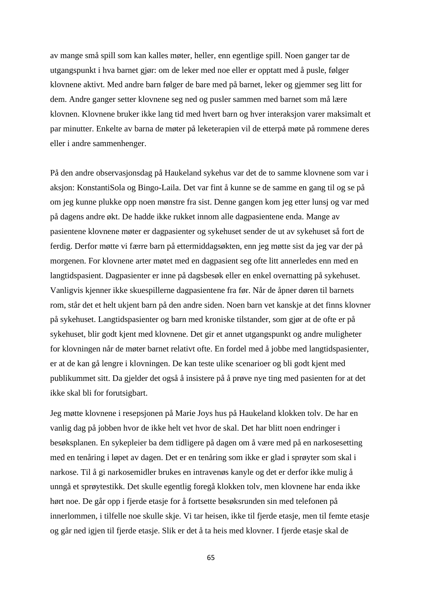av mange små spill som kan kalles møter, heller, enn egentlige spill. Noen ganger tar de utgangspunkt i hva barnet gjør: om de leker med noe eller er opptatt med å pusle, følger klovnene aktivt. Med andre barn følger de bare med på barnet, leker og gjemmer seg litt for dem. Andre ganger setter klovnene seg ned og pusler sammen med barnet som må lære klovnen. Klovnene bruker ikke lang tid med hvert barn og hver interaksjon varer maksimalt et par minutter. Enkelte av barna de møter på leketerapien vil de etterpå møte på rommene deres eller i andre sammenhenger.

På den andre observasjonsdag på Haukeland sykehus var det de to samme klovnene som var i aksjon: KonstantiSola og Bingo-Laila. Det var fint å kunne se de samme en gang til og se på om jeg kunne plukke opp noen mønstre fra sist. Denne gangen kom jeg etter lunsj og var med på dagens andre økt. De hadde ikke rukket innom alle dagpasientene enda. Mange av pasientene klovnene møter er dagpasienter og sykehuset sender de ut av sykehuset så fort de ferdig. Derfor møtte vi færre barn på ettermiddagsøkten, enn jeg møtte sist da jeg var der på morgenen. For klovnene arter møtet med en dagpasient seg ofte litt annerledes enn med en langtidspasient. Dagpasienter er inne på dagsbesøk eller en enkel overnatting på sykehuset. Vanligvis kjenner ikke skuespillerne dagpasientene fra før. Når de åpner døren til barnets rom, står det et helt ukjent barn på den andre siden. Noen barn vet kanskje at det finns klovner på sykehuset. Langtidspasienter og barn med kroniske tilstander, som gjør at de ofte er på sykehuset, blir godt kjent med klovnene. Det gir et annet utgangspunkt og andre muligheter for klovningen når de møter barnet relativt ofte. En fordel med å jobbe med langtidspasienter, er at de kan gå lengre i klovningen. De kan teste ulike scenarioer og bli godt kjent med publikummet sitt. Da gjelder det også å insistere på å prøve nye ting med pasienten for at det ikke skal bli for forutsigbart.

Jeg møtte klovnene i resepsjonen på Marie Joys hus på Haukeland klokken tolv. De har en vanlig dag på jobben hvor de ikke helt vet hvor de skal. Det har blitt noen endringer i besøksplanen. En sykepleier ba dem tidligere på dagen om å være med på en narkosesetting med en tenåring i løpet av dagen. Det er en tenåring som ikke er glad i sprøyter som skal i narkose. Til å gi narkosemidler brukes en intravenøs kanyle og det er derfor ikke mulig å unngå et sprøytestikk. Det skulle egentlig foregå klokken tolv, men klovnene har enda ikke hørt noe. De går opp i fjerde etasje for å fortsette besøksrunden sin med telefonen på innerlommen, i tilfelle noe skulle skje. Vi tar heisen, ikke til fjerde etasje, men til femte etasje og går ned igjen til fjerde etasje. Slik er det å ta heis med klovner. I fjerde etasje skal de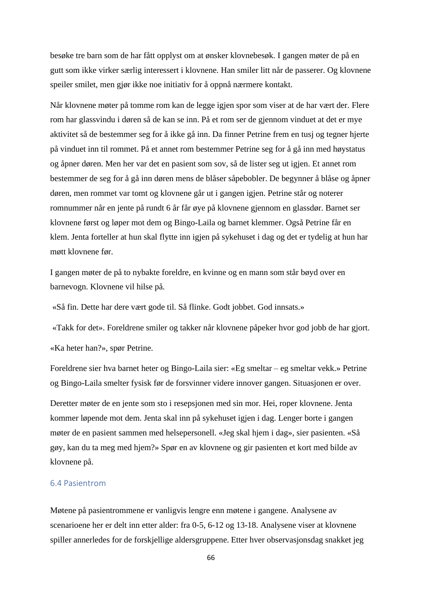besøke tre barn som de har fått opplyst om at ønsker klovnebesøk. I gangen møter de på en gutt som ikke virker særlig interessert i klovnene. Han smiler litt når de passerer. Og klovnene speiler smilet, men gjør ikke noe initiativ for å oppnå nærmere kontakt.

Når klovnene møter på tomme rom kan de legge igjen spor som viser at de har vært der. Flere rom har glassvindu i døren så de kan se inn. På et rom ser de gjennom vinduet at det er mye aktivitet så de bestemmer seg for å ikke gå inn. Da finner Petrine frem en tusj og tegner hjerte på vinduet inn til rommet. På et annet rom bestemmer Petrine seg for å gå inn med høystatus og åpner døren. Men her var det en pasient som sov, så de lister seg ut igjen. Et annet rom bestemmer de seg for å gå inn døren mens de blåser såpebobler. De begynner å blåse og åpner døren, men rommet var tomt og klovnene går ut i gangen igjen. Petrine står og noterer romnummer når en jente på rundt 6 år får øye på klovnene gjennom en glassdør. Barnet ser klovnene først og løper mot dem og Bingo-Laila og barnet klemmer. Også Petrine får en klem. Jenta forteller at hun skal flytte inn igjen på sykehuset i dag og det er tydelig at hun har møtt klovnene før.

I gangen møter de på to nybakte foreldre, en kvinne og en mann som står bøyd over en barnevogn. Klovnene vil hilse på.

«Så fin. Dette har dere vært gode til. Så flinke. Godt jobbet. God innsats.»

«Takk for det». Foreldrene smiler og takker når klovnene påpeker hvor god jobb de har gjort. «Ka heter han?», spør Petrine.

Foreldrene sier hva barnet heter og Bingo-Laila sier: «Eg smeltar – eg smeltar vekk.» Petrine og Bingo-Laila smelter fysisk før de forsvinner videre innover gangen. Situasjonen er over.

Deretter møter de en jente som sto i resepsjonen med sin mor. Hei, roper klovnene. Jenta kommer løpende mot dem. Jenta skal inn på sykehuset igjen i dag. Lenger borte i gangen møter de en pasient sammen med helsepersonell. «Jeg skal hjem i dag», sier pasienten. «Så gøy, kan du ta meg med hjem?» Spør en av klovnene og gir pasienten et kort med bilde av klovnene på.

# 6.4 Pasientrom

Møtene på pasientrommene er vanligvis lengre enn møtene i gangene. Analysene av scenarioene her er delt inn etter alder: fra 0-5, 6-12 og 13-18. Analysene viser at klovnene spiller annerledes for de forskjellige aldersgruppene. Etter hver observasjonsdag snakket jeg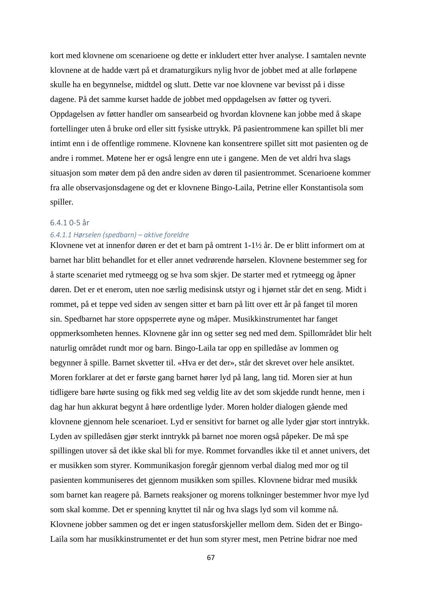kort med klovnene om scenarioene og dette er inkludert etter hver analyse. I samtalen nevnte klovnene at de hadde vært på et dramaturgikurs nylig hvor de jobbet med at alle forløpene skulle ha en begynnelse, midtdel og slutt. Dette var noe klovnene var bevisst på i disse dagene. På det samme kurset hadde de jobbet med oppdagelsen av føtter og tyveri. Oppdagelsen av føtter handler om sansearbeid og hvordan klovnene kan jobbe med å skape fortellinger uten å bruke ord eller sitt fysiske uttrykk. På pasientrommene kan spillet bli mer intimt enn i de offentlige rommene. Klovnene kan konsentrere spillet sitt mot pasienten og de andre i rommet. Møtene her er også lengre enn ute i gangene. Men de vet aldri hva slags situasjon som møter dem på den andre siden av døren til pasientrommet. Scenarioene kommer fra alle observasjonsdagene og det er klovnene Bingo-Laila, Petrine eller Konstantisola som spiller.

## 6.4.1 0-5 år

# *6.4.1.1 Hørselen (spedbarn) – aktive foreldre*

Klovnene vet at innenfor døren er det et barn på omtrent 1-1½ år. De er blitt informert om at barnet har blitt behandlet for et eller annet vedrørende hørselen. Klovnene bestemmer seg for å starte scenariet med rytmeegg og se hva som skjer. De starter med et rytmeegg og åpner døren. Det er et enerom, uten noe særlig medisinsk utstyr og i hjørnet står det en seng. Midt i rommet, på et teppe ved siden av sengen sitter et barn på litt over ett år på fanget til moren sin. Spedbarnet har store oppsperrete øyne og måper. Musikkinstrumentet har fanget oppmerksomheten hennes. Klovnene går inn og setter seg ned med dem. Spillområdet blir helt naturlig området rundt mor og barn. Bingo-Laila tar opp en spilledåse av lommen og begynner å spille. Barnet skvetter til. «Hva er det der», står det skrevet over hele ansiktet. Moren forklarer at det er første gang barnet hører lyd på lang, lang tid. Moren sier at hun tidligere bare hørte susing og fikk med seg veldig lite av det som skjedde rundt henne, men i dag har hun akkurat begynt å høre ordentlige lyder. Moren holder dialogen gående med klovnene gjennom hele scenarioet. Lyd er sensitivt for barnet og alle lyder gjør stort inntrykk. Lyden av spilledåsen gjør sterkt inntrykk på barnet noe moren også påpeker. De må spe spillingen utover så det ikke skal bli for mye. Rommet forvandles ikke til et annet univers, det er musikken som styrer. Kommunikasjon foregår gjennom verbal dialog med mor og til pasienten kommuniseres det gjennom musikken som spilles. Klovnene bidrar med musikk som barnet kan reagere på. Barnets reaksjoner og morens tolkninger bestemmer hvor mye lyd som skal komme. Det er spenning knyttet til når og hva slags lyd som vil komme nå. Klovnene jobber sammen og det er ingen statusforskjeller mellom dem. Siden det er Bingo-Laila som har musikkinstrumentet er det hun som styrer mest, men Petrine bidrar noe med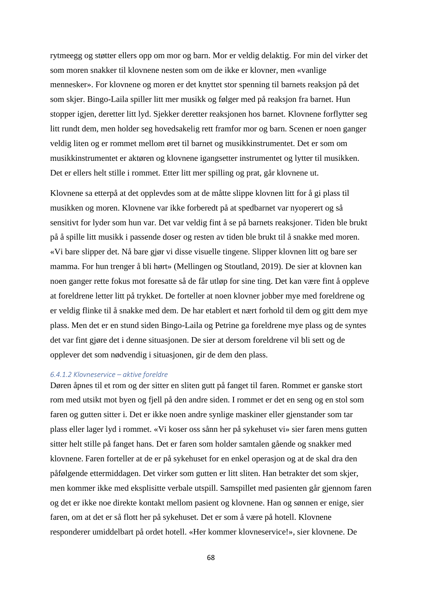rytmeegg og støtter ellers opp om mor og barn. Mor er veldig delaktig. For min del virker det som moren snakker til klovnene nesten som om de ikke er klovner, men «vanlige mennesker». For klovnene og moren er det knyttet stor spenning til barnets reaksjon på det som skjer. Bingo-Laila spiller litt mer musikk og følger med på reaksjon fra barnet. Hun stopper igjen, deretter litt lyd. Sjekker deretter reaksjonen hos barnet. Klovnene forflytter seg litt rundt dem, men holder seg hovedsakelig rett framfor mor og barn. Scenen er noen ganger veldig liten og er rommet mellom øret til barnet og musikkinstrumentet. Det er som om musikkinstrumentet er aktøren og klovnene igangsetter instrumentet og lytter til musikken. Det er ellers helt stille i rommet. Etter litt mer spilling og prat, går klovnene ut.

Klovnene sa etterpå at det opplevdes som at de måtte slippe klovnen litt for å gi plass til musikken og moren. Klovnene var ikke forberedt på at spedbarnet var nyoperert og så sensitivt for lyder som hun var. Det var veldig fint å se på barnets reaksjoner. Tiden ble brukt på å spille litt musikk i passende doser og resten av tiden ble brukt til å snakke med moren. «Vi bare slipper det. Nå bare gjør vi disse visuelle tingene. Slipper klovnen litt og bare ser mamma. For hun trenger å bli hørt» (Mellingen og Stoutland, 2019). De sier at klovnen kan noen ganger rette fokus mot foresatte så de får utløp for sine ting. Det kan være fint å oppleve at foreldrene letter litt på trykket. De forteller at noen klovner jobber mye med foreldrene og er veldig flinke til å snakke med dem. De har etablert et nært forhold til dem og gitt dem mye plass. Men det er en stund siden Bingo-Laila og Petrine ga foreldrene mye plass og de syntes det var fint gjøre det i denne situasjonen. De sier at dersom foreldrene vil bli sett og de opplever det som nødvendig i situasjonen, gir de dem den plass.

### *6.4.1.2 Klovneservice – aktive foreldre*

Døren åpnes til et rom og der sitter en sliten gutt på fanget til faren. Rommet er ganske stort rom med utsikt mot byen og fjell på den andre siden. I rommet er det en seng og en stol som faren og gutten sitter i. Det er ikke noen andre synlige maskiner eller gjenstander som tar plass eller lager lyd i rommet. «Vi koser oss sånn her på sykehuset vi» sier faren mens gutten sitter helt stille på fanget hans. Det er faren som holder samtalen gående og snakker med klovnene. Faren forteller at de er på sykehuset for en enkel operasjon og at de skal dra den påfølgende ettermiddagen. Det virker som gutten er litt sliten. Han betrakter det som skjer, men kommer ikke med eksplisitte verbale utspill. Samspillet med pasienten går gjennom faren og det er ikke noe direkte kontakt mellom pasient og klovnene. Han og sønnen er enige, sier faren, om at det er så flott her på sykehuset. Det er som å være på hotell. Klovnene responderer umiddelbart på ordet hotell. «Her kommer klovneservice!», sier klovnene. De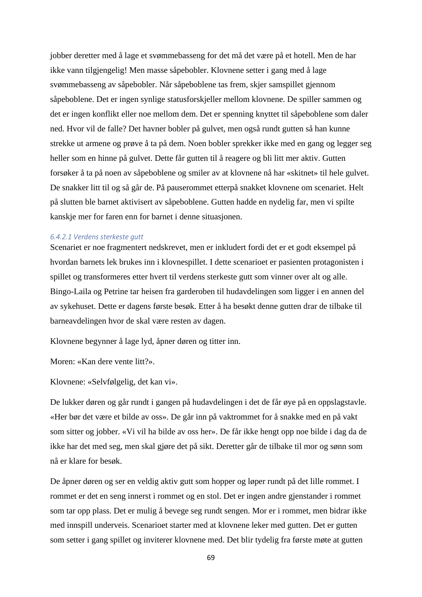jobber deretter med å lage et svømmebasseng for det må det være på et hotell. Men de har ikke vann tilgjengelig! Men masse såpebobler. Klovnene setter i gang med å lage svømmebasseng av såpebobler. Når såpeboblene tas frem, skjer samspillet gjennom såpeboblene. Det er ingen synlige statusforskjeller mellom klovnene. De spiller sammen og det er ingen konflikt eller noe mellom dem. Det er spenning knyttet til såpeboblene som daler ned. Hvor vil de falle? Det havner bobler på gulvet, men også rundt gutten så han kunne strekke ut armene og prøve å ta på dem. Noen bobler sprekker ikke med en gang og legger seg heller som en hinne på gulvet. Dette får gutten til å reagere og bli litt mer aktiv. Gutten forsøker å ta på noen av såpeboblene og smiler av at klovnene nå har «skitnet» til hele gulvet. De snakker litt til og så går de. På pauserommet etterpå snakket klovnene om scenariet. Helt på slutten ble barnet aktivisert av såpeboblene. Gutten hadde en nydelig far, men vi spilte kanskje mer for faren enn for barnet i denne situasjonen.

### *6.4.2.1 Verdens sterkeste gutt*

Scenariet er noe fragmentert nedskrevet, men er inkludert fordi det er et godt eksempel på hvordan barnets lek brukes inn i klovnespillet. I dette scenarioet er pasienten protagonisten i spillet og transformeres etter hvert til verdens sterkeste gutt som vinner over alt og alle. Bingo-Laila og Petrine tar heisen fra garderoben til hudavdelingen som ligger i en annen del av sykehuset. Dette er dagens første besøk. Etter å ha besøkt denne gutten drar de tilbake til barneavdelingen hvor de skal være resten av dagen.

Klovnene begynner å lage lyd, åpner døren og titter inn.

Moren: «Kan dere vente litt?».

Klovnene: «Selvfølgelig, det kan vi».

De lukker døren og går rundt i gangen på hudavdelingen i det de får øye på en oppslagstavle. «Her bør det være et bilde av oss». De går inn på vaktrommet for å snakke med en på vakt som sitter og jobber. «Vi vil ha bilde av oss her». De får ikke hengt opp noe bilde i dag da de ikke har det med seg, men skal gjøre det på sikt. Deretter går de tilbake til mor og sønn som nå er klare for besøk.

De åpner døren og ser en veldig aktiv gutt som hopper og løper rundt på det lille rommet. I rommet er det en seng innerst i rommet og en stol. Det er ingen andre gjenstander i rommet som tar opp plass. Det er mulig å bevege seg rundt sengen. Mor er i rommet, men bidrar ikke med innspill underveis. Scenarioet starter med at klovnene leker med gutten. Det er gutten som setter i gang spillet og inviterer klovnene med. Det blir tydelig fra første møte at gutten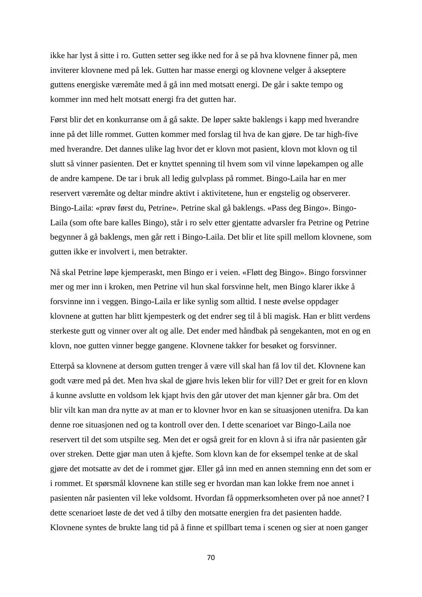ikke har lyst å sitte i ro. Gutten setter seg ikke ned for å se på hva klovnene finner på, men inviterer klovnene med på lek. Gutten har masse energi og klovnene velger å akseptere guttens energiske væremåte med å gå inn med motsatt energi. De går i sakte tempo og kommer inn med helt motsatt energi fra det gutten har.

Først blir det en konkurranse om å gå sakte. De løper sakte baklengs i kapp med hverandre inne på det lille rommet. Gutten kommer med forslag til hva de kan gjøre. De tar high-five med hverandre. Det dannes ulike lag hvor det er klovn mot pasient, klovn mot klovn og til slutt så vinner pasienten. Det er knyttet spenning til hvem som vil vinne løpekampen og alle de andre kampene. De tar i bruk all ledig gulvplass på rommet. Bingo-Laila har en mer reservert væremåte og deltar mindre aktivt i aktivitetene, hun er engstelig og observerer. Bingo-Laila: «prøv først du, Petrine». Petrine skal gå baklengs. «Pass deg Bingo». Bingo-Laila (som ofte bare kalles Bingo), står i ro selv etter gjentatte advarsler fra Petrine og Petrine begynner å gå baklengs, men går rett i Bingo-Laila. Det blir et lite spill mellom klovnene, som gutten ikke er involvert i, men betrakter.

Nå skal Petrine løpe kjemperaskt, men Bingo er i veien. «Fløtt deg Bingo». Bingo forsvinner mer og mer inn i kroken, men Petrine vil hun skal forsvinne helt, men Bingo klarer ikke å forsvinne inn i veggen. Bingo-Laila er like synlig som alltid. I neste øvelse oppdager klovnene at gutten har blitt kjempesterk og det endrer seg til å bli magisk. Han er blitt verdens sterkeste gutt og vinner over alt og alle. Det ender med håndbak på sengekanten, mot en og en klovn, noe gutten vinner begge gangene. Klovnene takker for besøket og forsvinner.

Etterpå sa klovnene at dersom gutten trenger å være vill skal han få lov til det. Klovnene kan godt være med på det. Men hva skal de gjøre hvis leken blir for vill? Det er greit for en klovn å kunne avslutte en voldsom lek kjapt hvis den går utover det man kjenner går bra. Om det blir vilt kan man dra nytte av at man er to klovner hvor en kan se situasjonen utenifra. Da kan denne roe situasjonen ned og ta kontroll over den. I dette scenarioet var Bingo-Laila noe reservert til det som utspilte seg. Men det er også greit for en klovn å si ifra når pasienten går over streken. Dette gjør man uten å kjefte. Som klovn kan de for eksempel tenke at de skal gjøre det motsatte av det de i rommet gjør. Eller gå inn med en annen stemning enn det som er i rommet. Et spørsmål klovnene kan stille seg er hvordan man kan lokke frem noe annet i pasienten når pasienten vil leke voldsomt. Hvordan få oppmerksomheten over på noe annet? I dette scenarioet løste de det ved å tilby den motsatte energien fra det pasienten hadde. Klovnene syntes de brukte lang tid på å finne et spillbart tema i scenen og sier at noen ganger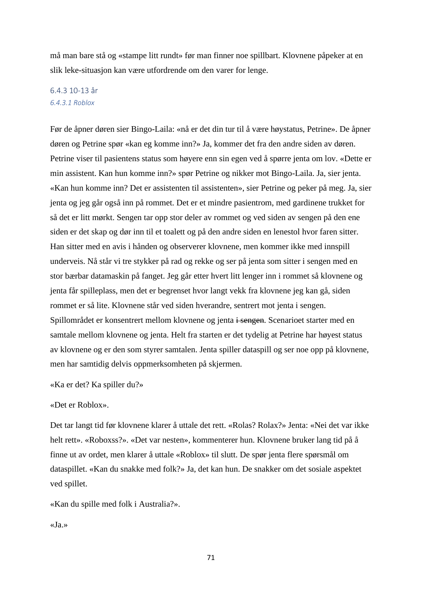må man bare stå og «stampe litt rundt» før man finner noe spillbart. Klovnene påpeker at en slik leke-situasjon kan være utfordrende om den varer for lenge.

# 6.4.3 10-13 år *6.4.3.1 Roblox*

Før de åpner døren sier Bingo-Laila: «nå er det din tur til å være høystatus, Petrine». De åpner døren og Petrine spør «kan eg komme inn?» Ja, kommer det fra den andre siden av døren. Petrine viser til pasientens status som høyere enn sin egen ved å spørre jenta om lov. «Dette er min assistent. Kan hun komme inn?» spør Petrine og nikker mot Bingo-Laila. Ja, sier jenta. «Kan hun komme inn? Det er assistenten til assistenten», sier Petrine og peker på meg. Ja, sier jenta og jeg går også inn på rommet. Det er et mindre pasientrom, med gardinene trukket for så det er litt mørkt. Sengen tar opp stor deler av rommet og ved siden av sengen på den ene siden er det skap og dør inn til et toalett og på den andre siden en lenestol hvor faren sitter. Han sitter med en avis i hånden og observerer klovnene, men kommer ikke med innspill underveis. Nå står vi tre stykker på rad og rekke og ser på jenta som sitter i sengen med en stor bærbar datamaskin på fanget. Jeg går etter hvert litt lenger inn i rommet så klovnene og jenta får spilleplass, men det er begrenset hvor langt vekk fra klovnene jeg kan gå, siden rommet er så lite. Klovnene står ved siden hverandre, sentrert mot jenta i sengen. Spillområdet er konsentrert mellom klovnene og jenta i sengen. Scenarioet starter med en samtale mellom klovnene og jenta. Helt fra starten er det tydelig at Petrine har høyest status av klovnene og er den som styrer samtalen. Jenta spiller dataspill og ser noe opp på klovnene, men har samtidig delvis oppmerksomheten på skjermen.

«Ka er det? Ka spiller du?»

# «Det er Roblox».

Det tar langt tid før klovnene klarer å uttale det rett. «Rolas? Rolax?» Jenta: «Nei det var ikke helt rett». «Roboxss?». «Det var nesten», kommenterer hun. Klovnene bruker lang tid på å finne ut av ordet, men klarer å uttale «Roblox» til slutt. De spør jenta flere spørsmål om dataspillet. «Kan du snakke med folk?» Ja, det kan hun. De snakker om det sosiale aspektet ved spillet.

«Kan du spille med folk i Australia?».

«Ja.»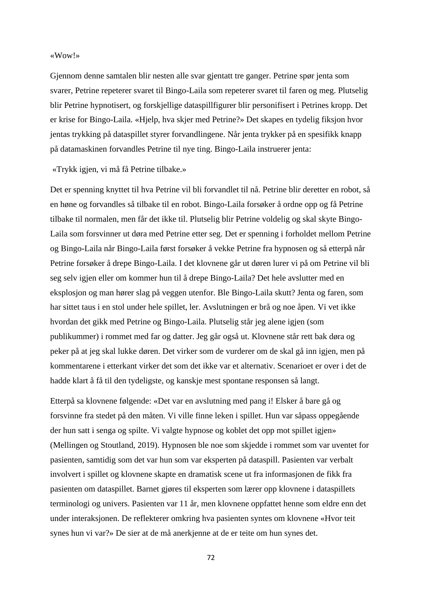### «Wow!»

Gjennom denne samtalen blir nesten alle svar gjentatt tre ganger. Petrine spør jenta som svarer, Petrine repeterer svaret til Bingo-Laila som repeterer svaret til faren og meg. Plutselig blir Petrine hypnotisert, og forskjellige dataspillfigurer blir personifisert i Petrines kropp. Det er krise for Bingo-Laila. «Hjelp, hva skjer med Petrine?» Det skapes en tydelig fiksjon hvor jentas trykking på dataspillet styrer forvandlingene. Når jenta trykker på en spesifikk knapp på datamaskinen forvandles Petrine til nye ting. Bingo-Laila instruerer jenta:

# «Trykk igjen, vi må få Petrine tilbake.»

Det er spenning knyttet til hva Petrine vil bli forvandlet til nå. Petrine blir deretter en robot, så en høne og forvandles så tilbake til en robot. Bingo-Laila forsøker å ordne opp og få Petrine tilbake til normalen, men får det ikke til. Plutselig blir Petrine voldelig og skal skyte Bingo-Laila som forsvinner ut døra med Petrine etter seg. Det er spenning i forholdet mellom Petrine og Bingo-Laila når Bingo-Laila først forsøker å vekke Petrine fra hypnosen og så etterpå når Petrine forsøker å drepe Bingo-Laila. I det klovnene går ut døren lurer vi på om Petrine vil bli seg selv igjen eller om kommer hun til å drepe Bingo-Laila? Det hele avslutter med en eksplosjon og man hører slag på veggen utenfor. Ble Bingo-Laila skutt? Jenta og faren, som har sittet taus i en stol under hele spillet, ler. Avslutningen er brå og noe åpen. Vi vet ikke hvordan det gikk med Petrine og Bingo-Laila. Plutselig står jeg alene igjen (som publikummer) i rommet med far og datter. Jeg går også ut. Klovnene står rett bak døra og peker på at jeg skal lukke døren. Det virker som de vurderer om de skal gå inn igjen, men på kommentarene i etterkant virker det som det ikke var et alternativ. Scenarioet er over i det de hadde klart å få til den tydeligste, og kanskje mest spontane responsen så langt.

Etterpå sa klovnene følgende: «Det var en avslutning med pang i! Elsker å bare gå og forsvinne fra stedet på den måten. Vi ville finne leken i spillet. Hun var såpass oppegående der hun satt i senga og spilte. Vi valgte hypnose og koblet det opp mot spillet igjen» (Mellingen og Stoutland, 2019). Hypnosen ble noe som skjedde i rommet som var uventet for pasienten, samtidig som det var hun som var eksperten på dataspill. Pasienten var verbalt involvert i spillet og klovnene skapte en dramatisk scene ut fra informasjonen de fikk fra pasienten om dataspillet. Barnet gjøres til eksperten som lærer opp klovnene i dataspillets terminologi og univers. Pasienten var 11 år, men klovnene oppfattet henne som eldre enn det under interaksjonen. De reflekterer omkring hva pasienten syntes om klovnene «Hvor teit synes hun vi var?» De sier at de må anerkjenne at de er teite om hun synes det.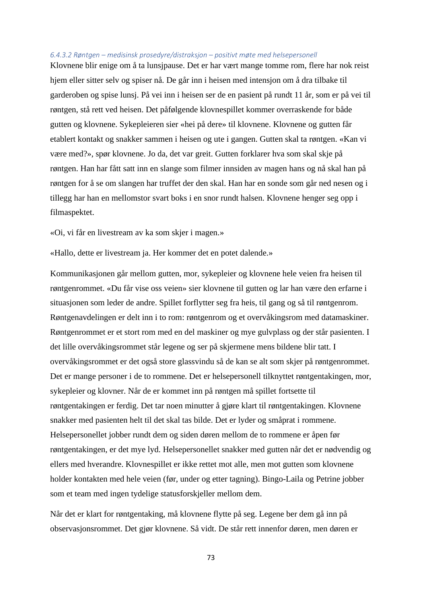#### *6.4.3.2 Røntgen – medisinsk prosedyre/distraksjon – positivt møte med helsepersonell*

Klovnene blir enige om å ta lunsjpause. Det er har vært mange tomme rom, flere har nok reist hjem eller sitter selv og spiser nå. De går inn i heisen med intensjon om å dra tilbake til garderoben og spise lunsj. På vei inn i heisen ser de en pasient på rundt 11 år, som er på vei til røntgen, stå rett ved heisen. Det påfølgende klovnespillet kommer overraskende for både gutten og klovnene. Sykepleieren sier «hei på dere» til klovnene. Klovnene og gutten får etablert kontakt og snakker sammen i heisen og ute i gangen. Gutten skal ta røntgen. «Kan vi være med?», spør klovnene. Jo da, det var greit. Gutten forklarer hva som skal skje på røntgen. Han har fått satt inn en slange som filmer innsiden av magen hans og nå skal han på røntgen for å se om slangen har truffet der den skal. Han har en sonde som går ned nesen og i tillegg har han en mellomstor svart boks i en snor rundt halsen. Klovnene henger seg opp i filmaspektet.

«Oi, vi får en livestream av ka som skjer i magen.»

«Hallo, dette er livestream ja. Her kommer det en potet dalende.»

Kommunikasjonen går mellom gutten, mor, sykepleier og klovnene hele veien fra heisen til røntgenrommet. «Du får vise oss veien» sier klovnene til gutten og lar han være den erfarne i situasjonen som leder de andre. Spillet forflytter seg fra heis, til gang og så til røntgenrom. Røntgenavdelingen er delt inn i to rom: røntgenrom og et overvåkingsrom med datamaskiner. Røntgenrommet er et stort rom med en del maskiner og mye gulvplass og der står pasienten. I det lille overvåkingsrommet står legene og ser på skjermene mens bildene blir tatt. I overvåkingsrommet er det også store glassvindu så de kan se alt som skjer på røntgenrommet. Det er mange personer i de to rommene. Det er helsepersonell tilknyttet røntgentakingen, mor, sykepleier og klovner. Når de er kommet inn på røntgen må spillet fortsette til røntgentakingen er ferdig. Det tar noen minutter å gjøre klart til røntgentakingen. Klovnene snakker med pasienten helt til det skal tas bilde. Det er lyder og småprat i rommene. Helsepersonellet jobber rundt dem og siden døren mellom de to rommene er åpen før røntgentakingen, er det mye lyd. Helsepersonellet snakker med gutten når det er nødvendig og ellers med hverandre. Klovnespillet er ikke rettet mot alle, men mot gutten som klovnene holder kontakten med hele veien (før, under og etter tagning). Bingo-Laila og Petrine jobber som et team med ingen tydelige statusforskjeller mellom dem.

Når det er klart for røntgentaking, må klovnene flytte på seg. Legene ber dem gå inn på observasjonsrommet. Det gjør klovnene. Så vidt. De står rett innenfor døren, men døren er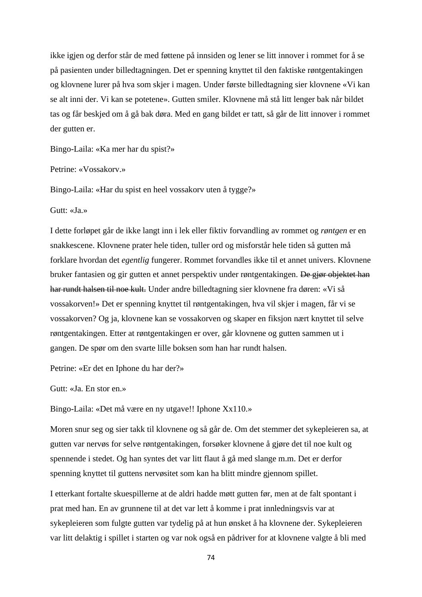ikke igjen og derfor står de med føttene på innsiden og lener se litt innover i rommet for å se på pasienten under billedtagningen. Det er spenning knyttet til den faktiske røntgentakingen og klovnene lurer på hva som skjer i magen. Under første billedtagning sier klovnene «Vi kan se alt inni der. Vi kan se potetene». Gutten smiler. Klovnene må stå litt lenger bak når bildet tas og får beskjed om å gå bak døra. Med en gang bildet er tatt, så går de litt innover i rommet der gutten er.

Bingo-Laila: «Ka mer har du spist?»

Petrine: «Vossakorv.»

Bingo-Laila: «Har du spist en heel vossakorv uten å tygge?»

Gutt: «Ja.»

I dette forløpet går de ikke langt inn i lek eller fiktiv forvandling av rommet og *røntgen* er en snakkescene. Klovnene prater hele tiden, tuller ord og misforstår hele tiden så gutten må forklare hvordan det *egentlig* fungerer. Rommet forvandles ikke til et annet univers. Klovnene bruker fantasien og gir gutten et annet perspektiv under røntgentakingen. De gjør objektet han har rundt halsen til noe kult. Under andre billedtagning sier klovnene fra døren: «Vi så vossakorven!» Det er spenning knyttet til røntgentakingen, hva vil skjer i magen, får vi se vossakorven? Og ja, klovnene kan se vossakorven og skaper en fiksjon nært knyttet til selve røntgentakingen. Etter at røntgentakingen er over, går klovnene og gutten sammen ut i gangen. De spør om den svarte lille boksen som han har rundt halsen.

Petrine: «Er det en Iphone du har der?»

Gutt: «Ja. En stor en.»

Bingo-Laila: «Det må være en ny utgave!! Iphone Xx110.»

Moren snur seg og sier takk til klovnene og så går de. Om det stemmer det sykepleieren sa, at gutten var nervøs for selve røntgentakingen, forsøker klovnene å gjøre det til noe kult og spennende i stedet. Og han syntes det var litt flaut å gå med slange m.m. Det er derfor spenning knyttet til guttens nervøsitet som kan ha blitt mindre gjennom spillet.

I etterkant fortalte skuespillerne at de aldri hadde møtt gutten før, men at de falt spontant i prat med han. En av grunnene til at det var lett å komme i prat innledningsvis var at sykepleieren som fulgte gutten var tydelig på at hun ønsket å ha klovnene der. Sykepleieren var litt delaktig i spillet i starten og var nok også en pådriver for at klovnene valgte å bli med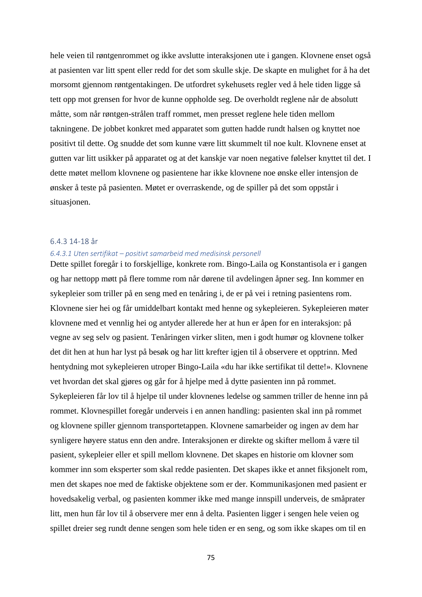hele veien til røntgenrommet og ikke avslutte interaksjonen ute i gangen. Klovnene enset også at pasienten var litt spent eller redd for det som skulle skje. De skapte en mulighet for å ha det morsomt gjennom røntgentakingen. De utfordret sykehusets regler ved å hele tiden ligge så tett opp mot grensen for hvor de kunne oppholde seg. De overholdt reglene når de absolutt måtte, som når røntgen-strålen traff rommet, men presset reglene hele tiden mellom takningene. De jobbet konkret med apparatet som gutten hadde rundt halsen og knyttet noe positivt til dette. Og snudde det som kunne være litt skummelt til noe kult. Klovnene enset at gutten var litt usikker på apparatet og at det kanskje var noen negative følelser knyttet til det. I dette møtet mellom klovnene og pasientene har ikke klovnene noe ønske eller intensjon de ønsker å teste på pasienten. Møtet er overraskende, og de spiller på det som oppstår i situasjonen.

#### 6.4.3 14-18 år

#### *6.4.3.1 Uten sertifikat – positivt samarbeid med medisinsk personell*

Dette spillet foregår i to forskjellige, konkrete rom. Bingo-Laila og Konstantisola er i gangen og har nettopp møtt på flere tomme rom når dørene til avdelingen åpner seg. Inn kommer en sykepleier som triller på en seng med en tenåring i, de er på vei i retning pasientens rom. Klovnene sier hei og får umiddelbart kontakt med henne og sykepleieren. Sykepleieren møter klovnene med et vennlig hei og antyder allerede her at hun er åpen for en interaksjon: på vegne av seg selv og pasient. Tenåringen virker sliten, men i godt humør og klovnene tolker det dit hen at hun har lyst på besøk og har litt krefter igjen til å observere et opptrinn. Med hentydning mot sykepleieren utroper Bingo-Laila «du har ikke sertifikat til dette!». Klovnene vet hvordan det skal gjøres og går for å hjelpe med å dytte pasienten inn på rommet. Sykepleieren får lov til å hjelpe til under klovnenes ledelse og sammen triller de henne inn på rommet. Klovnespillet foregår underveis i en annen handling: pasienten skal inn på rommet og klovnene spiller gjennom transportetappen. Klovnene samarbeider og ingen av dem har synligere høyere status enn den andre. Interaksjonen er direkte og skifter mellom å være til pasient, sykepleier eller et spill mellom klovnene. Det skapes en historie om klovner som kommer inn som eksperter som skal redde pasienten. Det skapes ikke et annet fiksjonelt rom, men det skapes noe med de faktiske objektene som er der. Kommunikasjonen med pasient er hovedsakelig verbal, og pasienten kommer ikke med mange innspill underveis, de småprater litt, men hun får lov til å observere mer enn å delta. Pasienten ligger i sengen hele veien og spillet dreier seg rundt denne sengen som hele tiden er en seng, og som ikke skapes om til en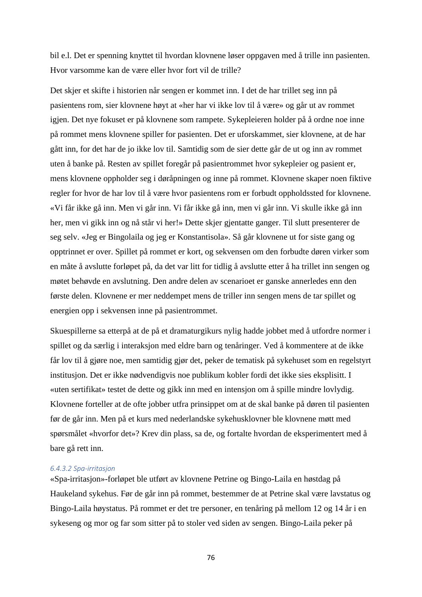bil e.l. Det er spenning knyttet til hvordan klovnene løser oppgaven med å trille inn pasienten. Hvor varsomme kan de være eller hvor fort vil de trille?

Det skjer et skifte i historien når sengen er kommet inn. I det de har trillet seg inn på pasientens rom, sier klovnene høyt at «her har vi ikke lov til å være» og går ut av rommet igjen. Det nye fokuset er på klovnene som rampete. Sykepleieren holder på å ordne noe inne på rommet mens klovnene spiller for pasienten. Det er uforskammet, sier klovnene, at de har gått inn, for det har de jo ikke lov til. Samtidig som de sier dette går de ut og inn av rommet uten å banke på. Resten av spillet foregår på pasientrommet hvor sykepleier og pasient er, mens klovnene oppholder seg i døråpningen og inne på rommet. Klovnene skaper noen fiktive regler for hvor de har lov til å være hvor pasientens rom er forbudt oppholdssted for klovnene. «Vi får ikke gå inn. Men vi går inn. Vi får ikke gå inn, men vi går inn. Vi skulle ikke gå inn her, men vi gikk inn og nå står vi her!» Dette skjer gjentatte ganger. Til slutt presenterer de seg selv. «Jeg er Bingolaila og jeg er Konstantisola». Så går klovnene ut for siste gang og opptrinnet er over. Spillet på rommet er kort, og sekvensen om den forbudte døren virker som en måte å avslutte forløpet på, da det var litt for tidlig å avslutte etter å ha trillet inn sengen og møtet behøvde en avslutning. Den andre delen av scenarioet er ganske annerledes enn den første delen. Klovnene er mer neddempet mens de triller inn sengen mens de tar spillet og energien opp i sekvensen inne på pasientrommet.

Skuespillerne sa etterpå at de på et dramaturgikurs nylig hadde jobbet med å utfordre normer i spillet og da særlig i interaksjon med eldre barn og tenåringer. Ved å kommentere at de ikke får lov til å gjøre noe, men samtidig gjør det, peker de tematisk på sykehuset som en regelstyrt institusjon. Det er ikke nødvendigvis noe publikum kobler fordi det ikke sies eksplisitt. I «uten sertifikat» testet de dette og gikk inn med en intensjon om å spille mindre lovlydig. Klovnene forteller at de ofte jobber utfra prinsippet om at de skal banke på døren til pasienten før de går inn. Men på et kurs med nederlandske sykehusklovner ble klovnene møtt med spørsmålet «hvorfor det»? Krev din plass, sa de, og fortalte hvordan de eksperimentert med å bare gå rett inn.

#### *6.4.3.2 Spa-irritasjon*

«Spa-irritasjon»-forløpet ble utført av klovnene Petrine og Bingo-Laila en høstdag på Haukeland sykehus. Før de går inn på rommet, bestemmer de at Petrine skal være lavstatus og Bingo-Laila høystatus. På rommet er det tre personer, en tenåring på mellom 12 og 14 år i en sykeseng og mor og far som sitter på to stoler ved siden av sengen. Bingo-Laila peker på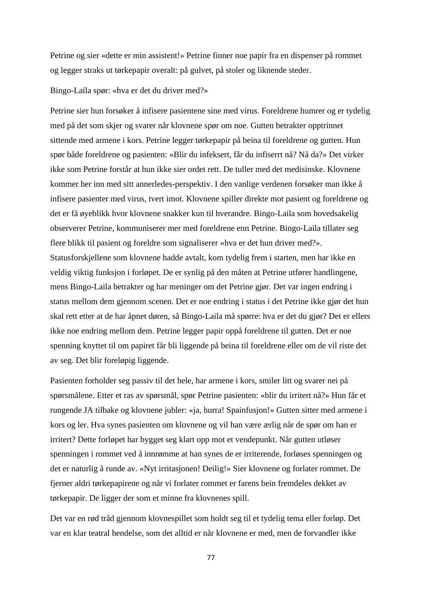Petrine og sier «dette er min assistent!» Petrine finner noe papir fra en dispenser på rommet og legger straks ut tørkepapir overalt: på gulvet, på stoler og liknende steder.

Bingo-Laila spør: «hva er det du driver med?»

Petrine sier hun forsøker å infisere pasientene sine med virus. Foreldrene humrer og er tydelig med på det som skjer og svarer når klovnene spør om noe. Gutten betrakter opptrinnet sittende med armene i kors. Petrine legger tørkepapir på beina til foreldrene og gutten. Hun spør både foreldrene og pasienten: «Blir du infeksert, får du infiserrt nå? Nå da?» Det virker ikke som Petrine forstår at hun ikke sier ordet rett. De tuller med det medisinske. Klovnene kommer her inn med sitt annerledes-perspektiv. I den vanlige verdenen forsøker man ikke å infisere pasienter med virus, tvert imot. Klovnene spiller direkte mot pasient og foreldrene og det er få øyeblikk hvor klovnene snakker kun til hverandre. Bingo-Laila som hovedsakelig observerer Petrine, kommuniserer mer med foreldrene enn Petrine. Bingo-Laila tillater seg flere blikk til pasient og foreldre som signaliserer «hva er det hun driver med?». Statusforskjellene som klovnene hadde avtalt, kom tydelig frem i starten, men har ikke en veldig viktig funksjon i forløpet. De er synlig på den måten at Petrine utfører handlingene, mens Bingo-Laila betrakter og har meninger om det Petrine gjør. Det var ingen endring i status mellom dem gjennom scenen. Det er noe endring i status i det Petrine ikke gjør det hun skal rett etter at de har åpnet døren, så Bingo-Laila må spørre: hva er det du gjør? Det er ellers ikke noe endring mellom dem. Petrine legger papir oppå foreldrene til gutten. Det er noe spenning knyttet til om papiret får bli liggende på beina til foreldrene eller om de vil riste det av seg. Det blir foreløpig liggende.

Pasienten forholder seg passiv til det hele, har armene i kors, smiler litt og svarer nei på spørsmålene. Etter et ras av spørsmål, spør Petrine pasienten: «blir du irritert nå?» Hun får et rungende JA tilbake og klovnene jubler: «ja, hurra! Spainfusjon!» Gutten sitter med armene i kors og ler. Hva synes pasienten om klovnene og vil han være ærlig når de spør om han er irritert? Dette forløpet har bygget seg klart opp mot et vendepunkt. Når gutten utløser spenningen i rommet ved å innrømme at han synes de er irriterende, forløses spenningen og det er naturlig å runde av. «Nyt irritasjonen! Deilig!» Sier klovnene og forlater rommet. De fjerner aldri tørkepapirene og når vi forlater rommet er farens bein fremdeles dekket av tørkepapir. De ligger der som et minne fra klovnenes spill.

Det var en rød tråd gjennom klovnespillet som holdt seg til et tydelig tema eller forløp. Det var en klar teatral hendelse, som det alltid er når klovnene er med, men de forvandler ikke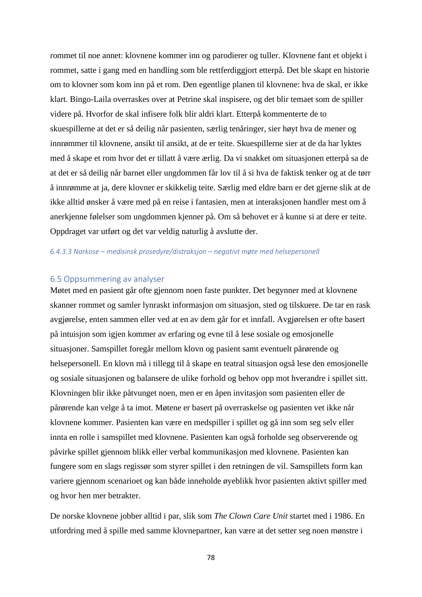rommet til noe annet: klovnene kommer inn og parodierer og tuller. Klovnene fant et objekt i rommet, satte i gang med en handling som ble rettferdiggjort etterpå. Det ble skapt en historie om to klovner som kom inn på et rom. Den egentlige planen til klovnene: hva de skal, er ikke klart. Bingo-Laila overraskes over at Petrine skal inspisere, og det blir temaet som de spiller videre på. Hvorfor de skal infisere folk blir aldri klart. Etterpå kommenterte de to skuespillerne at det er så deilig når pasienten, særlig tenåringer, sier høyt hva de mener og innrømmer til klovnene, ansikt til ansikt, at de er teite. Skuespillerne sier at de da har lyktes med å skape et rom hvor det er tillatt å være ærlig. Da vi snakket om situasjonen etterpå sa de at det er så deilig når barnet eller ungdommen får lov til å si hva de faktisk tenker og at de tørr å innrømme at ja, dere klovner er skikkelig teite. Særlig med eldre barn er det gjerne slik at de ikke alltid ønsker å være med på en reise i fantasien, men at interaksjonen handler mest om å anerkjenne følelser som ungdommen kjenner på. Om så behovet er å kunne si at dere er teite. Oppdraget var utført og det var veldig naturlig å avslutte der.

#### *6.4.3.3 Narkose – medisinsk prosedyre/distraksjon – negativt møte med helsepersonell*

### 6.5 Oppsummering av analyser

Møtet med en pasient går ofte gjennom noen faste punkter. Det begynner med at klovnene skanner rommet og samler lynraskt informasjon om situasjon, sted og tilskuere. De tar en rask avgjørelse, enten sammen eller ved at en av dem går for et innfall. Avgjørelsen er ofte basert på intuisjon som igjen kommer av erfaring og evne til å lese sosiale og emosjonelle situasjoner. Samspillet foregår mellom klovn og pasient samt eventuelt pårørende og helsepersonell. En klovn må i tillegg til å skape en teatral situasjon også lese den emosjonelle og sosiale situasjonen og balansere de ulike forhold og behov opp mot hverandre i spillet sitt. Klovningen blir ikke påtvunget noen, men er en åpen invitasjon som pasienten eller de pårørende kan velge å ta imot. Møtene er basert på overraskelse og pasienten vet ikke når klovnene kommer. Pasienten kan være en medspiller i spillet og gå inn som seg selv eller innta en rolle i samspillet med klovnene. Pasienten kan også forholde seg observerende og påvirke spillet gjennom blikk eller verbal kommunikasjon med klovnene. Pasienten kan fungere som en slags regissør som styrer spillet i den retningen de vil. Samspillets form kan variere gjennom scenarioet og kan både inneholde øyeblikk hvor pasienten aktivt spiller med og hvor hen mer betrakter.

De norske klovnene jobber alltid i par, slik som *The Clown Care Unit* startet med i 1986. En utfordring med å spille med samme klovnepartner, kan være at det setter seg noen mønstre i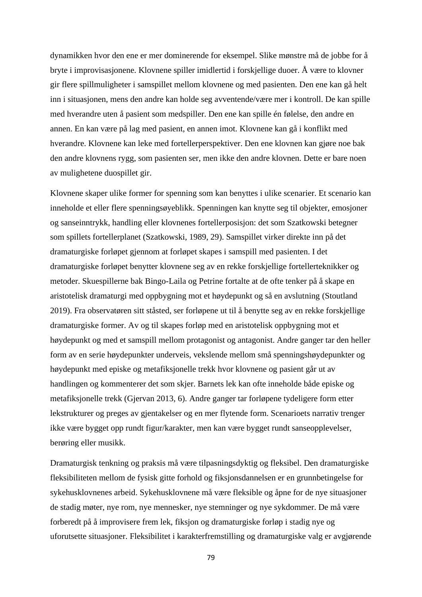dynamikken hvor den ene er mer dominerende for eksempel. Slike mønstre må de jobbe for å bryte i improvisasjonene. Klovnene spiller imidlertid i forskjellige duoer. Å være to klovner gir flere spillmuligheter i samspillet mellom klovnene og med pasienten. Den ene kan gå helt inn i situasjonen, mens den andre kan holde seg avventende/være mer i kontroll. De kan spille med hverandre uten å pasient som medspiller. Den ene kan spille én følelse, den andre en annen. En kan være på lag med pasient, en annen imot. Klovnene kan gå i konflikt med hverandre. Klovnene kan leke med fortellerperspektiver. Den ene klovnen kan gjøre noe bak den andre klovnens rygg, som pasienten ser, men ikke den andre klovnen. Dette er bare noen av mulighetene duospillet gir.

Klovnene skaper ulike former for spenning som kan benyttes i ulike scenarier. Et scenario kan inneholde et eller flere spenningsøyeblikk. Spenningen kan knytte seg til objekter, emosjoner og sanseinntrykk, handling eller klovnenes fortellerposisjon: det som Szatkowski betegner som spillets fortellerplanet (Szatkowski, 1989, 29). Samspillet virker direkte inn på det dramaturgiske forløpet gjennom at forløpet skapes i samspill med pasienten. I det dramaturgiske forløpet benytter klovnene seg av en rekke forskjellige fortellerteknikker og metoder. Skuespillerne bak Bingo-Laila og Petrine fortalte at de ofte tenker på å skape en aristotelisk dramaturgi med oppbygning mot et høydepunkt og så en avslutning (Stoutland 2019). Fra observatøren sitt ståsted, ser forløpene ut til å benytte seg av en rekke forskjellige dramaturgiske former. Av og til skapes forløp med en aristotelisk oppbygning mot et høydepunkt og med et samspill mellom protagonist og antagonist. Andre ganger tar den heller form av en serie høydepunkter underveis, vekslende mellom små spenningshøydepunkter og høydepunkt med episke og metafiksjonelle trekk hvor klovnene og pasient går ut av handlingen og kommenterer det som skjer. Barnets lek kan ofte inneholde både episke og metafiksjonelle trekk (Gjervan 2013, 6). Andre ganger tar forløpene tydeligere form etter lekstrukturer og preges av gjentakelser og en mer flytende form. Scenarioets narrativ trenger ikke være bygget opp rundt figur/karakter, men kan være bygget rundt sanseopplevelser, berøring eller musikk.

Dramaturgisk tenkning og praksis må være tilpasningsdyktig og fleksibel. Den dramaturgiske fleksibiliteten mellom de fysisk gitte forhold og fiksjonsdannelsen er en grunnbetingelse for sykehusklovnenes arbeid. Sykehusklovnene må være fleksible og åpne for de nye situasjoner de stadig møter, nye rom, nye mennesker, nye stemninger og nye sykdommer. De må være forberedt på å improvisere frem lek, fiksjon og dramaturgiske forløp i stadig nye og uforutsette situasjoner. Fleksibilitet i karakterfremstilling og dramaturgiske valg er avgjørende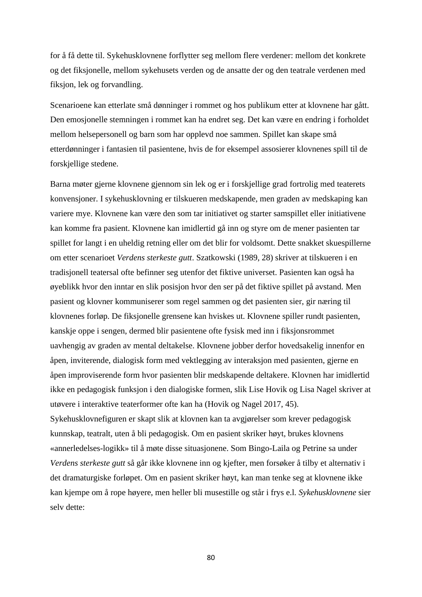for å få dette til. Sykehusklovnene forflytter seg mellom flere verdener: mellom det konkrete og det fiksjonelle, mellom sykehusets verden og de ansatte der og den teatrale verdenen med fiksjon, lek og forvandling.

Scenarioene kan etterlate små dønninger i rommet og hos publikum etter at klovnene har gått. Den emosjonelle stemningen i rommet kan ha endret seg. Det kan være en endring i forholdet mellom helsepersonell og barn som har opplevd noe sammen. Spillet kan skape små etterdønninger i fantasien til pasientene, hvis de for eksempel assosierer klovnenes spill til de forskjellige stedene.

Barna møter gjerne klovnene gjennom sin lek og er i forskjellige grad fortrolig med teaterets konvensjoner. I sykehusklovning er tilskueren medskapende, men graden av medskaping kan variere mye. Klovnene kan være den som tar initiativet og starter samspillet eller initiativene kan komme fra pasient. Klovnene kan imidlertid gå inn og styre om de mener pasienten tar spillet for langt i en uheldig retning eller om det blir for voldsomt. Dette snakket skuespillerne om etter scenarioet *Verdens sterkeste gutt*. Szatkowski (1989, 28) skriver at tilskueren i en tradisjonell teatersal ofte befinner seg utenfor det fiktive universet. Pasienten kan også ha øyeblikk hvor den inntar en slik posisjon hvor den ser på det fiktive spillet på avstand. Men pasient og klovner kommuniserer som regel sammen og det pasienten sier, gir næring til klovnenes forløp. De fiksjonelle grensene kan hviskes ut. Klovnene spiller rundt pasienten, kanskje oppe i sengen, dermed blir pasientene ofte fysisk med inn i fiksjonsrommet uavhengig av graden av mental deltakelse. Klovnene jobber derfor hovedsakelig innenfor en åpen, inviterende, dialogisk form med vektlegging av interaksjon med pasienten, gjerne en åpen improviserende form hvor pasienten blir medskapende deltakere. Klovnen har imidlertid ikke en pedagogisk funksjon i den dialogiske formen, slik Lise Hovik og Lisa Nagel skriver at utøvere i interaktive teaterformer ofte kan ha (Hovik og Nagel 2017, 45). Sykehusklovnefiguren er skapt slik at klovnen kan ta avgjørelser som krever pedagogisk kunnskap, teatralt, uten å bli pedagogisk. Om en pasient skriker høyt, brukes klovnens «annerledelses-logikk» til å møte disse situasjonene. Som Bingo-Laila og Petrine sa under *Verdens sterkeste gutt* så går ikke klovnene inn og kjefter, men forsøker å tilby et alternativ i det dramaturgiske forløpet. Om en pasient skriker høyt, kan man tenke seg at klovnene ikke kan kjempe om å rope høyere, men heller bli musestille og står i frys e.l. *Sykehusklovnene* sier selv dette: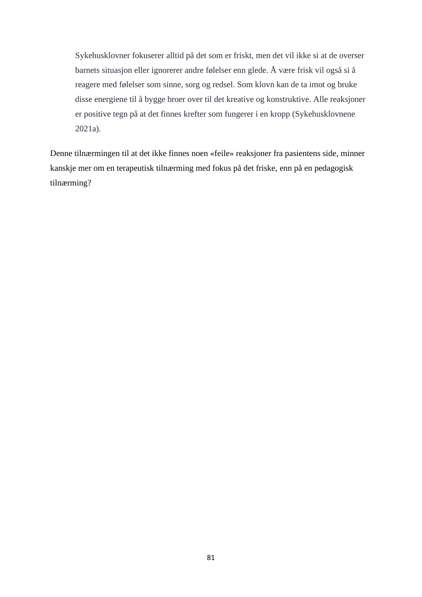Sykehusklovner fokuserer alltid på det som er friskt, men det vil ikke si at de overser barnets situasjon eller ignorerer andre følelser enn glede. Å være frisk vil også si å reagere med følelser som sinne, sorg og redsel. Som klovn kan de ta imot og bruke disse energiene til å bygge broer over til det kreative og konstruktive. Alle reaksjoner er positive tegn på at det finnes krefter som fungerer i en kropp (Sykehusklovnene 2021a).

Denne tilnærmingen til at det ikke finnes noen «feile» reaksjoner fra pasientens side, minner kanskje mer om en terapeutisk tilnærming med fokus på det friske, enn på en pedagogisk tilnærming?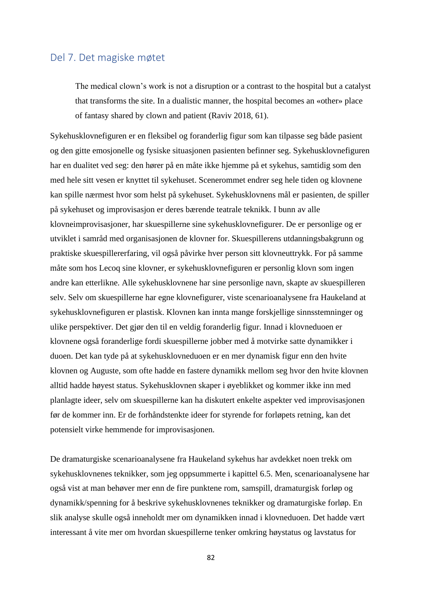# Del 7. Det magiske møtet

The medical clown's work is not a disruption or a contrast to the hospital but a catalyst that transforms the site. In a dualistic manner, the hospital becomes an «other» place of fantasy shared by clown and patient (Raviv 2018, 61).

Sykehusklovnefiguren er en fleksibel og foranderlig figur som kan tilpasse seg både pasient og den gitte emosjonelle og fysiske situasjonen pasienten befinner seg. Sykehusklovnefiguren har en dualitet ved seg: den hører på en måte ikke hjemme på et sykehus, samtidig som den med hele sitt vesen er knyttet til sykehuset. Scenerommet endrer seg hele tiden og klovnene kan spille nærmest hvor som helst på sykehuset. Sykehusklovnens mål er pasienten, de spiller på sykehuset og improvisasjon er deres bærende teatrale teknikk. I bunn av alle klovneimprovisasjoner, har skuespillerne sine sykehusklovnefigurer. De er personlige og er utviklet i samråd med organisasjonen de klovner for. Skuespillerens utdanningsbakgrunn og praktiske skuespillererfaring, vil også påvirke hver person sitt klovneuttrykk. For på samme måte som hos Lecoq sine klovner, er sykehusklovnefiguren er personlig klovn som ingen andre kan etterlikne. Alle sykehusklovnene har sine personlige navn, skapte av skuespilleren selv. Selv om skuespillerne har egne klovnefigurer, viste scenarioanalysene fra Haukeland at sykehusklovnefiguren er plastisk. Klovnen kan innta mange forskjellige sinnsstemninger og ulike perspektiver. Det gjør den til en veldig foranderlig figur. Innad i klovneduoen er klovnene også foranderlige fordi skuespillerne jobber med å motvirke satte dynamikker i duoen. Det kan tyde på at sykehusklovneduoen er en mer dynamisk figur enn den hvite klovnen og Auguste, som ofte hadde en fastere dynamikk mellom seg hvor den hvite klovnen alltid hadde høyest status. Sykehusklovnen skaper i øyeblikket og kommer ikke inn med planlagte ideer, selv om skuespillerne kan ha diskutert enkelte aspekter ved improvisasjonen før de kommer inn. Er de forhåndstenkte ideer for styrende for forløpets retning, kan det potensielt virke hemmende for improvisasjonen.

De dramaturgiske scenarioanalysene fra Haukeland sykehus har avdekket noen trekk om sykehusklovnenes teknikker, som jeg oppsummerte i kapittel 6.5. Men, scenarioanalysene har også vist at man behøver mer enn de fire punktene rom, samspill, dramaturgisk forløp og dynamikk/spenning for å beskrive sykehusklovnenes teknikker og dramaturgiske forløp. En slik analyse skulle også inneholdt mer om dynamikken innad i klovneduoen. Det hadde vært interessant å vite mer om hvordan skuespillerne tenker omkring høystatus og lavstatus for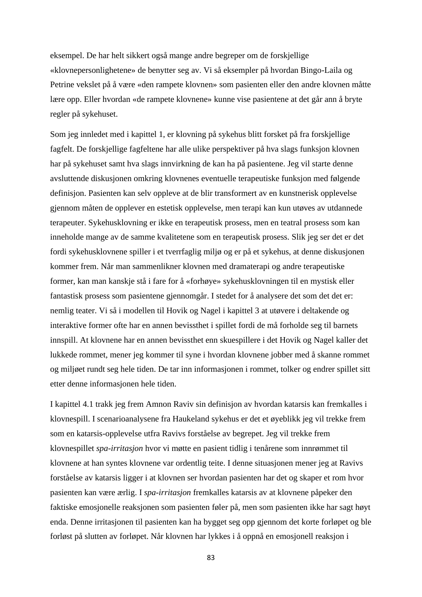eksempel. De har helt sikkert også mange andre begreper om de forskjellige «klovnepersonlighetene» de benytter seg av. Vi så eksempler på hvordan Bingo-Laila og Petrine vekslet på å være «den rampete klovnen» som pasienten eller den andre klovnen måtte lære opp. Eller hvordan «de rampete klovnene» kunne vise pasientene at det går ann å bryte regler på sykehuset.

Som jeg innledet med i kapittel 1, er klovning på sykehus blitt forsket på fra forskjellige fagfelt. De forskjellige fagfeltene har alle ulike perspektiver på hva slags funksjon klovnen har på sykehuset samt hva slags innvirkning de kan ha på pasientene. Jeg vil starte denne avsluttende diskusjonen omkring klovnenes eventuelle terapeutiske funksjon med følgende definisjon. Pasienten kan selv oppleve at de blir transformert av en kunstnerisk opplevelse gjennom måten de opplever en estetisk opplevelse, men terapi kan kun utøves av utdannede terapeuter. Sykehusklovning er ikke en terapeutisk prosess, men en teatral prosess som kan inneholde mange av de samme kvalitetene som en terapeutisk prosess. Slik jeg ser det er det fordi sykehusklovnene spiller i et tverrfaglig miljø og er på et sykehus, at denne diskusjonen kommer frem. Når man sammenlikner klovnen med dramaterapi og andre terapeutiske former, kan man kanskje stå i fare for å «forhøye» sykehusklovningen til en mystisk eller fantastisk prosess som pasientene gjennomgår. I stedet for å analysere det som det det er: nemlig teater. Vi så i modellen til Hovik og Nagel i kapittel 3 at utøvere i deltakende og interaktive former ofte har en annen bevissthet i spillet fordi de må forholde seg til barnets innspill. At klovnene har en annen bevissthet enn skuespillere i det Hovik og Nagel kaller det lukkede rommet, mener jeg kommer til syne i hvordan klovnene jobber med å skanne rommet og miljøet rundt seg hele tiden. De tar inn informasjonen i rommet, tolker og endrer spillet sitt etter denne informasjonen hele tiden.

I kapittel 4.1 trakk jeg frem Amnon Raviv sin definisjon av hvordan katarsis kan fremkalles i klovnespill. I scenarioanalysene fra Haukeland sykehus er det et øyeblikk jeg vil trekke frem som en katarsis-opplevelse utfra Ravivs forståelse av begrepet. Jeg vil trekke frem klovnespillet *spa-irritasjon* hvor vi møtte en pasient tidlig i tenårene som innrømmet til klovnene at han syntes klovnene var ordentlig teite. I denne situasjonen mener jeg at Ravivs forståelse av katarsis ligger i at klovnen ser hvordan pasienten har det og skaper et rom hvor pasienten kan være ærlig. I *spa-irritasjon* fremkalles katarsis av at klovnene påpeker den faktiske emosjonelle reaksjonen som pasienten føler på, men som pasienten ikke har sagt høyt enda. Denne irritasjonen til pasienten kan ha bygget seg opp gjennom det korte forløpet og ble forløst på slutten av forløpet. Når klovnen har lykkes i å oppnå en emosjonell reaksjon i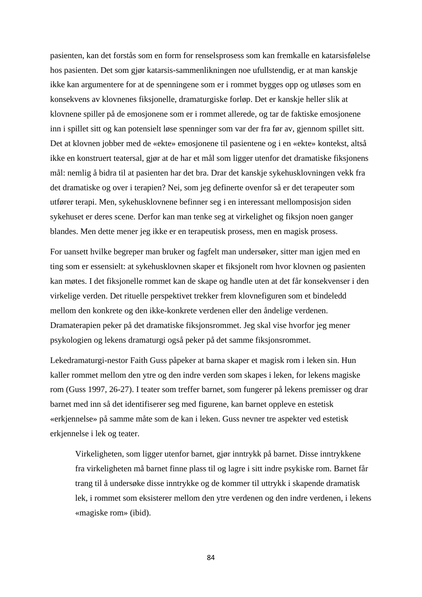pasienten, kan det forstås som en form for renselsprosess som kan fremkalle en katarsisfølelse hos pasienten. Det som gjør katarsis-sammenlikningen noe ufullstendig, er at man kanskje ikke kan argumentere for at de spenningene som er i rommet bygges opp og utløses som en konsekvens av klovnenes fiksjonelle, dramaturgiske forløp. Det er kanskje heller slik at klovnene spiller på de emosjonene som er i rommet allerede, og tar de faktiske emosjonene inn i spillet sitt og kan potensielt løse spenninger som var der fra før av, gjennom spillet sitt. Det at klovnen jobber med de «ekte» emosjonene til pasientene og i en «ekte» kontekst, altså ikke en konstruert teatersal, gjør at de har et mål som ligger utenfor det dramatiske fiksjonens mål: nemlig å bidra til at pasienten har det bra. Drar det kanskje sykehusklovningen vekk fra det dramatiske og over i terapien? Nei, som jeg definerte ovenfor så er det terapeuter som utfører terapi. Men, sykehusklovnene befinner seg i en interessant mellomposisjon siden sykehuset er deres scene. Derfor kan man tenke seg at virkelighet og fiksjon noen ganger blandes. Men dette mener jeg ikke er en terapeutisk prosess, men en magisk prosess.

For uansett hvilke begreper man bruker og fagfelt man undersøker, sitter man igjen med en ting som er essensielt: at sykehusklovnen skaper et fiksjonelt rom hvor klovnen og pasienten kan møtes. I det fiksjonelle rommet kan de skape og handle uten at det får konsekvenser i den virkelige verden. Det rituelle perspektivet trekker frem klovnefiguren som et bindeledd mellom den konkrete og den ikke-konkrete verdenen eller den åndelige verdenen. Dramaterapien peker på det dramatiske fiksjonsrommet. Jeg skal vise hvorfor jeg mener psykologien og lekens dramaturgi også peker på det samme fiksjonsrommet.

Lekedramaturgi-nestor Faith Guss påpeker at barna skaper et magisk rom i leken sin. Hun kaller rommet mellom den ytre og den indre verden som skapes i leken, for lekens magiske rom (Guss 1997, 26-27). I teater som treffer barnet, som fungerer på lekens premisser og drar barnet med inn så det identifiserer seg med figurene, kan barnet oppleve en estetisk «erkjennelse» på samme måte som de kan i leken. Guss nevner tre aspekter ved estetisk erkjennelse i lek og teater.

Virkeligheten, som ligger utenfor barnet, gjør inntrykk på barnet. Disse inntrykkene fra virkeligheten må barnet finne plass til og lagre i sitt indre psykiske rom. Barnet får trang til å undersøke disse inntrykke og de kommer til uttrykk i skapende dramatisk lek, i rommet som eksisterer mellom den ytre verdenen og den indre verdenen, i lekens «magiske rom» (ibid).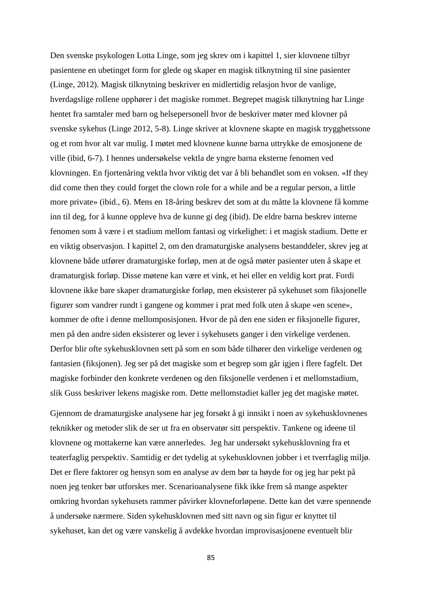Den svenske psykologen Lotta Linge, som jeg skrev om i kapittel 1, sier klovnene tilbyr pasientene en ubetinget form for glede og skaper en magisk tilknytning til sine pasienter (Linge, 2012). Magisk tilknytning beskriver en midlertidig relasjon hvor de vanlige, hverdagslige rollene opphører i det magiske rommet. Begrepet magisk tilknytning har Linge hentet fra samtaler med barn og helsepersonell hvor de beskriver møter med klovner på svenske sykehus (Linge 2012, 5-8). Linge skriver at klovnene skapte en magisk trygghetssone og et rom hvor alt var mulig. I møtet med klovnene kunne barna uttrykke de emosjonene de ville (ibid, 6-7). I hennes undersøkelse vektla de yngre barna eksterne fenomen ved klovningen. En fjortenåring vektla hvor viktig det var å bli behandlet som en voksen. «If they did come then they could forget the clown role for a while and be a regular person, a little more private» (ibid., 6). Mens en 18-åring beskrev det som at du måtte la klovnene få komme inn til deg, for å kunne oppleve hva de kunne gi deg (ibid). De eldre barna beskrev interne fenomen som å være i et stadium mellom fantasi og virkelighet: i et magisk stadium. Dette er en viktig observasjon. I kapittel 2, om den dramaturgiske analysens bestanddeler, skrev jeg at klovnene både utfører dramaturgiske forløp, men at de også møter pasienter uten å skape et dramaturgisk forløp. Disse møtene kan være et vink, et hei eller en veldig kort prat. Fordi klovnene ikke bare skaper dramaturgiske forløp, men eksisterer på sykehuset som fiksjonelle figurer som vandrer rundt i gangene og kommer i prat med folk uten å skape «en scene», kommer de ofte i denne mellomposisjonen. Hvor de på den ene siden er fiksjonelle figurer, men på den andre siden eksisterer og lever i sykehusets ganger i den virkelige verdenen. Derfor blir ofte sykehusklovnen sett på som en som både tilhører den virkelige verdenen og fantasien (fiksjonen). Jeg ser på det magiske som et begrep som går igjen i flere fagfelt. Det magiske forbinder den konkrete verdenen og den fiksjonelle verdenen i et mellomstadium, slik Guss beskriver lekens magiske rom. Dette mellomstadiet kaller jeg det magiske møtet.

Gjennom de dramaturgiske analysene har jeg forsøkt å gi innsikt i noen av sykehusklovnenes teknikker og metoder slik de ser ut fra en observatør sitt perspektiv. Tankene og ideene til klovnene og mottakerne kan være annerledes. Jeg har undersøkt sykehusklovning fra et teaterfaglig perspektiv. Samtidig er det tydelig at sykehusklovnen jobber i et tverrfaglig miljø. Det er flere faktorer og hensyn som en analyse av dem bør ta høyde for og jeg har pekt på noen jeg tenker bør utforskes mer. Scenarioanalysene fikk ikke frem så mange aspekter omkring hvordan sykehusets rammer påvirker klovneforløpene. Dette kan det være spennende å undersøke nærmere. Siden sykehusklovnen med sitt navn og sin figur er knyttet til sykehuset, kan det og være vanskelig å avdekke hvordan improvisasjonene eventuelt blir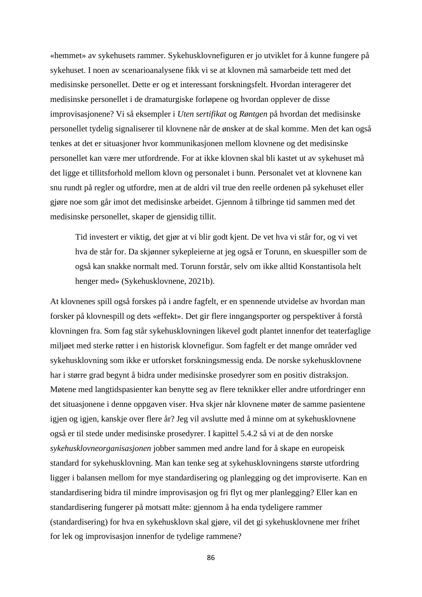«hemmet» av sykehusets rammer. Sykehusklovnefiguren er jo utviklet for å kunne fungere på sykehuset. I noen av scenarioanalysene fikk vi se at klovnen må samarbeide tett med det medisinske personellet. Dette er og et interessant forskningsfelt. Hvordan interagerer det medisinske personellet i de dramaturgiske forløpene og hvordan opplever de disse improvisasjonene? Vi så eksempler i *Uten sertifikat* og *Røntgen* på hvordan det medisinske personellet tydelig signaliserer til klovnene når de ønsker at de skal komme. Men det kan også tenkes at det er situasjoner hvor kommunikasjonen mellom klovnene og det medisinske personellet kan være mer utfordrende. For at ikke klovnen skal bli kastet ut av sykehuset må det ligge et tillitsforhold mellom klovn og personalet i bunn. Personalet vet at klovnene kan snu rundt på regler og utfordre, men at de aldri vil true den reelle ordenen på sykehuset eller gjøre noe som går imot det medisinske arbeidet. Gjennom å tilbringe tid sammen med det medisinske personellet, skaper de gjensidig tillit.

Tid investert er viktig, det gjør at vi blir godt kjent. De vet hva vi står for, og vi vet hva de står for. Da skjønner sykepleierne at jeg også er Torunn, en skuespiller som de også kan snakke normalt med. Torunn forstår, selv om ikke alltid Konstantisola helt henger med» (Sykehusklovnene, 2021b).

At klovnenes spill også forskes på i andre fagfelt, er en spennende utvidelse av hvordan man forsker på klovnespill og dets «effekt». Det gir flere inngangsporter og perspektiver å forstå klovningen fra. Som fag står sykehusklovningen likevel godt plantet innenfor det teaterfaglige miljøet med sterke røtter i en historisk klovnefigur. Som fagfelt er det mange områder ved sykehusklovning som ikke er utforsket forskningsmessig enda. De norske sykehusklovnene har i større grad begynt å bidra under medisinske prosedyrer som en positiv distraksjon. Møtene med langtidspasienter kan benytte seg av flere teknikker eller andre utfordringer enn det situasjonene i denne oppgaven viser. Hva skjer når klovnene møter de samme pasientene igjen og igjen, kanskje over flere år? Jeg vil avslutte med å minne om at sykehusklovnene også er til stede under medisinske prosedyrer. I kapittel 5.4.2 så vi at de den norske *sykehusklovneorganisasjonen* jobber sammen med andre land for å skape en europeisk standard for sykehusklovning. Man kan tenke seg at sykehusklovningens største utfordring ligger i balansen mellom for mye standardisering og planlegging og det improviserte. Kan en standardisering bidra til mindre improvisasjon og fri flyt og mer planlegging? Eller kan en standardisering fungerer på motsatt måte: gjennom å ha enda tydeligere rammer (standardisering) for hva en sykehusklovn skal gjøre, vil det gi sykehusklovnene mer frihet for lek og improvisasjon innenfor de tydelige rammene?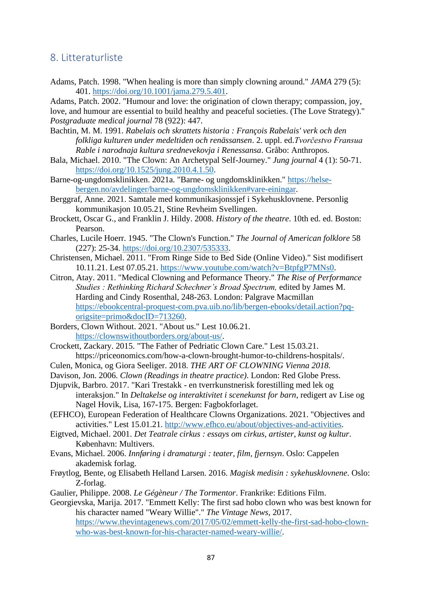## 8. Litteraturliste

Adams, Patch. 1998. "When healing is more than simply clowning around." *JAMA* 279 (5): 401. [https://doi.org/10.1001/jama.279.5.401.](https://doi.org/10.1001/jama.279.5.401)

Adams, Patch. 2002. "Humour and love: the origination of clown therapy; compassion, joy, love, and humour are essential to build healthy and peaceful societies. (The Love Strategy)." *Postgraduate medical journal* 78 (922): 447.

- Bachtin, M. M. 1991. *Rabelais och skrattets historia : François Rabelais' verk och den folkliga kulturen under medeltiden och renässansen*. 2. uppl. ed.*Tvorčestvo Fransua Rable i narodnaja kultura srednevekovja i Renessansa*. Gråbo: Anthropos.
- Bala, Michael. 2010. "The Clown: An Archetypal Self-Journey." *Jung journal* 4 (1): 50-71. [https://doi.org/10.1525/jung.2010.4.1.50.](https://doi.org/10.1525/jung.2010.4.1.50)
- Barne-og-ungdomsklinikken. 2021a. "Barne- og ungdomsklinikken." [https://helse](https://helse-bergen.no/avdelinger/barne-og-ungdomsklinikken#vare-einingar)[bergen.no/avdelinger/barne-og-ungdomsklinikken#vare-einingar.](https://helse-bergen.no/avdelinger/barne-og-ungdomsklinikken#vare-einingar)
- Berggraf, Anne. 2021. Samtale med kommunikasjonssjef i Sykehusklovnene. Personlig kommunikasjon 10.05.21, Stine Revheim Svellingen.
- Brockett, Oscar G., and Franklin J. Hildy. 2008. *History of the theatre*. 10th ed. ed. Boston: Pearson.
- Charles, Lucile Hoerr. 1945. "The Clown's Function." *The Journal of American folklore* 58 (227): 25-34. [https://doi.org/10.2307/535333.](https://doi.org/10.2307/535333)
- Christensen, Michael. 2011. "From Ringe Side to Bed Side (Online Video)." Sist modifisert 10.11.21. Lest 07.05.21. [https://www.youtube.com/watch?v=BtpfgP7MNs0.](https://www.youtube.com/watch?v=BtpfgP7MNs0)
- Citron, Atay. 2011. "Medical Clowning and Peformance Theory." *The Rise of Performance Studies : Rethinking Richard Schechner's Broad Spectrum,* edited by James M. Harding and Cindy Rosenthal, 248-263. London: Palgrave Macmillan [https://ebookcentral-proquest-com.pva.uib.no/lib/bergen-ebooks/detail.action?pq](https://ebookcentral-proquest-com.pva.uib.no/lib/bergen-ebooks/detail.action?pq-origsite=primo&docID=713260)[origsite=primo&docID=713260.](https://ebookcentral-proquest-com.pva.uib.no/lib/bergen-ebooks/detail.action?pq-origsite=primo&docID=713260)
- Borders, Clown Without. 2021. "About us." Lest 10.06.21. [https://clownswithoutborders.org/about-us/.](https://clownswithoutborders.org/about-us/)
- Crockett, Zackary. 2015. "The Father of Pedriatic Clown Care." Lest 15.03.21. https://priceonomics.com/how-a-clown-brought-humor-to-childrens-hospitals/.
- Culen, Monica, og Giora Seeliger. 2018. *THE ART OF CLOWNING Vienna 2018.*
- Davison, Jon. 2006. *Clown (Readings in theatre practice)*. London: Red Globe Press.
- Djupvik, Barbro. 2017. "Kari Trestakk en tverrkunstnerisk forestilling med lek og interaksjon." In *Deltakelse og interaktivitet i scenekunst for barn*, redigert av Lise og Nagel Hovik, Lisa, 167-175. Bergen: Fagbokforlaget.
- (EFHCO), European Federation of Healthcare Clowns Organizations. 2021. "Objectives and activities." Lest 15.01.21. [http://www.efhco.eu/about/objectives-and-activities.](http://www.efhco.eu/about/objectives-and-activities)
- Eigtved, Michael. 2001. *Det Teatrale cirkus : essays om cirkus, artister, kunst og kultur*. København: Multivers.
- Evans, Michael. 2006. *Innføring i dramaturgi : teater, film, fjernsyn*. Oslo: Cappelen akademisk forlag.
- Frøytlog, Bente, og Elisabeth Helland Larsen. 2016. *Magisk medisin : sykehusklovnene*. Oslo: Z-forlag.
- Gaulier, Philippe. 2008. *Le Gégèneur / The Tormentor*. Frankrike: Editions Film.
- Georgievska, Marija. 2017. "Emmett Kelly: The first sad hobo clown who was best known for his character named "Weary Willie"." *The Vintage News*, 2017. [https://www.thevintagenews.com/2017/05/02/emmett-kelly-the-first-sad-hobo-clown](https://www.thevintagenews.com/2017/05/02/emmett-kelly-the-first-sad-hobo-clown-who-was-best-known-for-his-character-named-weary-willie/)[who-was-best-known-for-his-character-named-weary-willie/.](https://www.thevintagenews.com/2017/05/02/emmett-kelly-the-first-sad-hobo-clown-who-was-best-known-for-his-character-named-weary-willie/)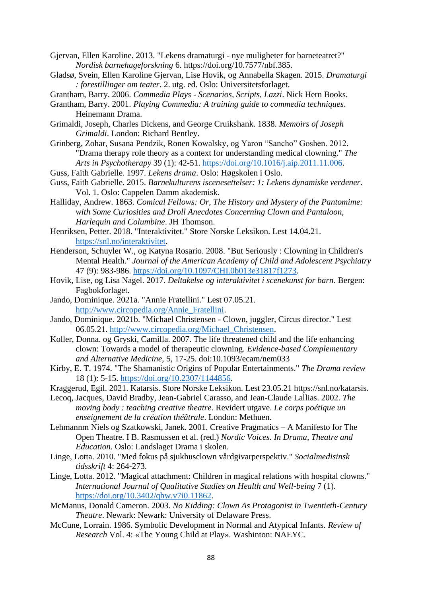- Gjervan, Ellen Karoline. 2013. "Lekens dramaturgi nye muligheter for barneteatret?" *Nordisk barnehageforskning* 6. https://doi.org/10.7577/nbf.385.
- Gladsø, Svein, Ellen Karoline Gjervan, Lise Hovik, og Annabella Skagen. 2015. *Dramaturgi : forestillinger om teater*. 2. utg. ed. Oslo: Universitetsforlaget.
- Grantham, Barry. 2006. *Commedia Plays - Scenarios, Scripts, Lazzi*. Nick Hern Books.
- Grantham, Barry. 2001. *Playing Commedia: A training guide to commedia techniques*. Heinemann Drama.
- Grimaldi, Joseph, Charles Dickens, and George Cruikshank. 1838. *Memoirs of Joseph Grimaldi*. London: Richard Bentley.
- Grinberg, Zohar, Susana Pendzik, Ronen Kowalsky, og Yaron "Sancho" Goshen. 2012. "Drama therapy role theory as a context for understanding medical clowning." *The Arts in Psychotherapy* 39 (1): 42-51. [https://doi.org/10.1016/j.aip.2011.11.006.](https://doi.org/10.1016/j.aip.2011.11.006)
- Guss, Faith Gabrielle. 1997. *Lekens drama*. Oslo: Høgskolen i Oslo.
- Guss, Faith Gabrielle. 2015. *Barnekulturens iscenesettelser: 1: Lekens dynamiske verdener*. Vol. 1. Oslo: Cappelen Damm akademisk.
- Halliday, Andrew. 1863. *Comical Fellows: Or, The History and Mystery of the Pantomime: with Some Curiosities and Droll Anecdotes Concerning Clown and Pantaloon, Harlequin and Columbine*. JH Thomson.
- Henriksen, Petter. 2018. "Interaktivitet." Store Norske Leksikon. Lest 14.04.21. [https://snl.no/interaktivitet.](https://snl.no/interaktivitet)
- Henderson, Schuyler W., og Katyna Rosario. 2008. "But Seriously : Clowning in Children's Mental Health." *Journal of the American Academy of Child and Adolescent Psychiatry* 47 (9): 983-986. [https://doi.org/10.1097/CHI.0b013e31817f1273.](https://doi.org/10.1097/CHI.0b013e31817f1273)
- Hovik, Lise, og Lisa Nagel. 2017. *Deltakelse og interaktivitet i scenekunst for barn*. Bergen: Fagbokforlaget.
- Jando, Dominique. 2021a. "Annie Fratellini." Lest 07.05.21. [http://www.circopedia.org/Annie\\_Fratellini.](http://www.circopedia.org/Annie_Fratellini)
- Jando, Dominique. 2021b. "Michael Christensen Clown, juggler, Circus director." Lest 06.05.21. [http://www.circopedia.org/Michael\\_Christensen.](http://www.circopedia.org/Michael_Christensen)
- Koller, Donna. og Gryski, Camilla. 2007. The life threatened child and the life enhancing clown: Towards a model of therapeutic clowning. *Evidence-based Complementary and Alternative Medicine,* 5, 17-25. doi:10.1093/ecam/nem033
- Kirby, E. T. 1974. "The Shamanistic Origins of Popular Entertainments." *The Drama review* 18 (1): 5-15. [https://doi.org/10.2307/1144856.](https://doi.org/10.2307/1144856)
- Kraggerud, Egil. 2021. Katarsis. Store Norske Leksikon. Lest 23.05.21 [https://snl.no/katarsis.](https://snl.no/katarsis)
- Lecoq, Jacques, David Bradby, Jean-Gabriel Carasso, and Jean-Claude Lallias. 2002. *The moving body : teaching creative theatre*. Revidert utgave. *Le corps poétique un enseignement de la création théâtrale*. London: Methuen.
- Lehmannm Niels og Szatkowski, Janek. 2001. Creative Pragmatics A Manifesto for The Open Theatre. I B. Rasmussen et al. (red.) *Nordic Voices. In Drama, Theatre and Education.* Oslo: Landslaget Drama i skolen.
- Linge, Lotta. 2010. "Med fokus på sjukhusclown vårdgivarperspektiv." *Socialmedisinsk tidsskrift* 4: 264-273.
- Linge, Lotta. 2012. "Magical attachment: Children in magical relations with hospital clowns." *International Journal of Qualitative Studies on Health and Well-being* 7 (1). [https://doi.org/10.3402/qhw.v7i0.11862.](https://doi.org/10.3402/qhw.v7i0.11862)
- McManus, Donald Cameron. 2003. *No Kidding: Clown As Protagonist in Twentieth-Century Theatre*. Newark: Newark: University of Delaware Press.
- McCune, Lorrain. 1986. Symbolic Development in Normal and Atypical Infants. *Review of Research* Vol. 4: «The Young Child at Play». Washinton: NAEYC.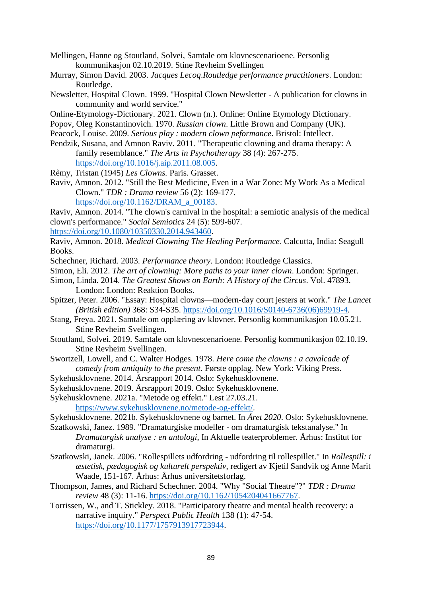- Mellingen, Hanne og Stoutland, Solvei, Samtale om klovnescenarioene. Personlig kommunikasjon 02.10.2019. Stine Revheim Svellingen
- Murray, Simon David. 2003. *Jacques Lecoq*.*Routledge performance practitioners*. London: Routledge.
- Newsletter, Hospital Clown. 1999. "Hospital Clown Newsletter A publication for clowns in community and world service."
- Online-Etymology-Dictionary. 2021. Clown (n.). Online: Online Etymology Dictionary.
- Popov, Oleg Konstantinovich. 1970. *Russian clown*. Little Brown and Company (UK).
- Peacock, Louise. 2009. *Serious play : modern clown peformance*. Bristol: Intellect.
- Pendzik, Susana, and Amnon Raviv. 2011. "Therapeutic clowning and drama therapy: A family resemblance." *The Arts in Psychotherapy* 38 (4): 267-275. [https://doi.org/10.1016/j.aip.2011.08.005.](https://doi.org/10.1016/j.aip.2011.08.005)
- Rèmy, Tristan (1945) *Les Clowns.* Paris. Grasset.
- Raviv, Amnon. 2012. "Still the Best Medicine, Even in a War Zone: My Work As a Medical Clown." *TDR : Drama review* 56 (2): 169-177. [https://doi.org/10.1162/DRAM\\_a\\_00183.](https://doi.org/10.1162/DRAM_a_00183)

Raviv, Amnon. 2014. "The clown's carnival in the hospital: a semiotic analysis of the medical clown's performance." *Social Semiotics* 24 (5): 599-607.

[https://doi.org/10.1080/10350330.2014.943460.](https://doi.org/10.1080/10350330.2014.943460)

- Raviv, Amnon. 2018. *Medical Clowning The Healing Performance*. Calcutta, India: Seagull Books.
- Schechner, Richard. 2003. *Performance theory*. London: Routledge Classics.

Simon, Eli. 2012. *The art of clowning: More paths to your inner clown*. London: Springer.

- Simon, Linda. 2014. *The Greatest Shows on Earth: A History of the Circus*. Vol. 47893. London: London: Reaktion Books.
- Spitzer, Peter. 2006. "Essay: Hospital clowns—modern-day court jesters at work." *The Lancet (British edition)* 368: S34-S35. [https://doi.org/10.1016/S0140-6736\(06\)69919-4.](https://doi.org/10.1016/S0140-6736(06)69919-4)
- Stang, Freya. 2021. Samtale om opplæring av klovner. Personlig kommunikasjon 10.05.21. Stine Revheim Svellingen.
- Stoutland, Solvei. 2019. Samtale om klovnescenarioene. Personlig kommunikasjon 02.10.19. Stine Revheim Svellingen.
- Swortzell, Lowell, and C. Walter Hodges. 1978. *Here come the clowns : a cavalcade of comedy from antiquity to the present*. Første opplag. New York: Viking Press.
- Sykehusklovnene. 2014. Årsrapport 2014. Oslo: Sykehusklovnene.
- Sykehusklovnene. 2019. Årsrapport 2019. Oslo: Sykehusklovnene.
- Sykehusklovnene. 2021a. "Metode og effekt." Lest 27.03.21.

[https://www.sykehusklovnene.no/metode-og-effekt/.](https://www.sykehusklovnene.no/metode-og-effekt/)

Sykehusklovnene. 2021b. Sykehusklovnene og barnet. In *Året 2020*. Oslo: Sykehusklovnene.

- Szatkowski, Janez. 1989. "Dramaturgiske modeller om dramaturgisk tekstanalyse." In *Dramaturgisk analyse : en antologi*, In Aktuelle teaterproblemer. Århus: Institut for dramaturgi.
- Szatkowski, Janek. 2006. "Rollespillets udfordring udfordring til rollespillet." In *Rollespill: i æstetisk, pædagogisk og kulturelt perspektiv*, redigert av Kjetil Sandvik og Anne Marit Waade, 151-167. Århus: Århus universitetsforlag.
- Thompson, James, and Richard Schechner. 2004. "Why "Social Theatre"?" *TDR : Drama review* 48 (3): 11-16. [https://doi.org/10.1162/1054204041667767.](https://doi.org/10.1162/1054204041667767)
- Torrissen, W., and T. Stickley. 2018. "Participatory theatre and mental health recovery: a narrative inquiry." *Perspect Public Health* 138 (1): 47-54. [https://doi.org/10.1177/1757913917723944.](https://doi.org/10.1177/1757913917723944)